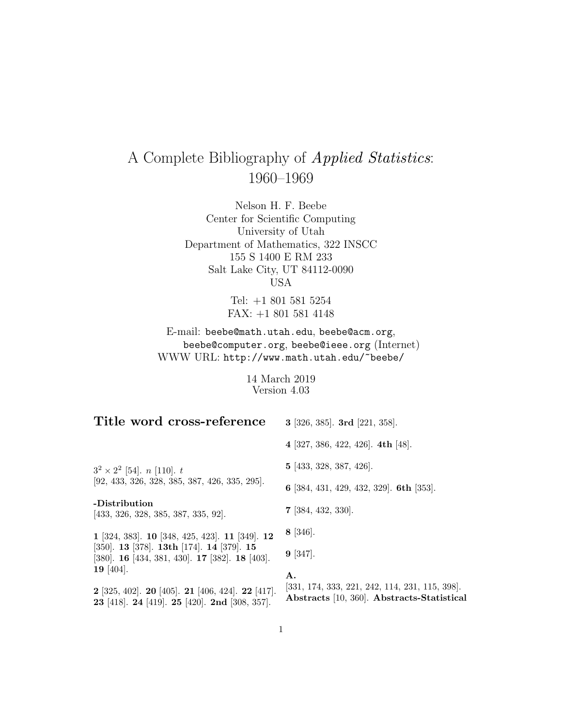# A Complete Bibliography of Applied Statistics: 1960–1969

Nelson H. F. Beebe Center for Scientific Computing University of Utah Department of Mathematics, 322 INSCC 155 S 1400 E RM 233 Salt Lake City, UT 84112-0090 USA

> Tel: +1 801 581 5254 FAX: +1 801 581 4148

E-mail: beebe@math.utah.edu, beebe@acm.org, beebe@computer.org, beebe@ieee.org (Internet) WWW URL: http://www.math.utah.edu/~beebe/

> 14 March 2019 Version 4.03

| Title word cross-reference                                                                                                                   | 3 [326, 385]. 3rd [221, 358].                                                                        |
|----------------------------------------------------------------------------------------------------------------------------------------------|------------------------------------------------------------------------------------------------------|
|                                                                                                                                              | 4 [327, 386, 422, 426]. 4th [48].                                                                    |
| $3^2 \times 2^2$ [54]. <i>n</i> [110]. <i>t</i>                                                                                              | 5 [433, 328, 387, 426].                                                                              |
| $[92, 433, 326, 328, 385, 387, 426, 335, 295].$                                                                                              | 6 [384, 431, 429, 432, 329]. 6th [353].                                                              |
| -Distribution<br>[433, 326, 328, 385, 387, 335, 92].                                                                                         | $7$ [384, 432, 330].                                                                                 |
| 1 [324, 383]. 10 [348, 425, 423]. 11 [349]. 12                                                                                               | $8 \; [346]$ .                                                                                       |
| [350]. <b>13</b> [378]. <b>13th</b> [174]. <b>14</b> [379]. <b>15</b><br>[380]. <b>16</b> [434, 381, 430]. <b>17</b> [382]. <b>18</b> [403]. | $9 \; [347]$ .                                                                                       |
| 19 [404].<br><b>2</b> [325, 402]. <b>20</b> [405]. <b>21</b> [406, 424]. <b>22</b> [417].<br>23 [418]. 24 [419]. 25 [420]. 2nd [308, 357].   | А.<br>$[331, 174, 333, 221, 242, 114, 231, 115, 398].$<br>Abstracts [10, 360]. Abstracts-Statistical |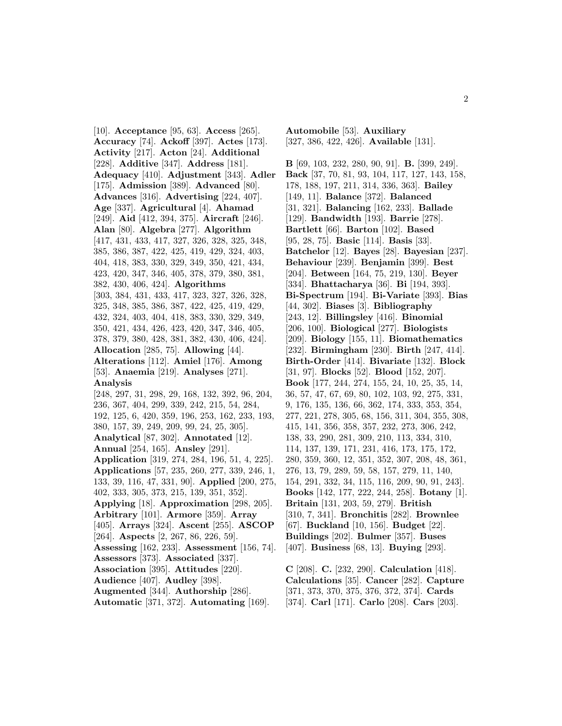[10]. **Acceptance** [95, 63]. **Access** [265]. **Accuracy** [74]. **Ackoff** [397]. **Actes** [173]. **Activity** [217]. **Acton** [24]. **Additional** [228]. **Additive** [347]. **Address** [181]. **Adequacy** [410]. **Adjustment** [343]. **Adler** [175]. **Admission** [389]. **Advanced** [80]. **Advances** [316]. **Advertising** [224, 407]. **Age** [337]. **Agricultural** [4]. **Ahamad** [249]. **Aid** [412, 394, 375]. **Aircraft** [246]. **Alan** [80]. **Algebra** [277]. **Algorithm** [417, 431, 433, 417, 327, 326, 328, 325, 348, 385, 386, 387, 422, 425, 419, 429, 324, 403, 404, 418, 383, 330, 329, 349, 350, 421, 434, 423, 420, 347, 346, 405, 378, 379, 380, 381, 382, 430, 406, 424]. **Algorithms** [303, 384, 431, 433, 417, 323, 327, 326, 328, 325, 348, 385, 386, 387, 422, 425, 419, 429, 432, 324, 403, 404, 418, 383, 330, 329, 349, 350, 421, 434, 426, 423, 420, 347, 346, 405, 378, 379, 380, 428, 381, 382, 430, 406, 424]. **Allocation** [285, 75]. **Allowing** [44]. **Alterations** [112]. **Amiel** [176]. **Among** [53]. **Anaemia** [219]. **Analyses** [271]. **Analysis** [248, 297, 31, 298, 29, 168, 132, 392, 96, 204, 236, 367, 404, 299, 339, 242, 215, 54, 284, 192, 125, 6, 420, 359, 196, 253, 162, 233, 193, 380, 157, 39, 249, 209, 99, 24, 25, 305]. **Analytical** [87, 302]. **Annotated** [12]. **Annual** [254, 165]. **Ansley** [291]. **Application** [319, 274, 284, 196, 51, 4, 225]. **Applications** [57, 235, 260, 277, 339, 246, 1, 133, 39, 116, 47, 331, 90]. **Applied** [200, 275, 402, 333, 305, 373, 215, 139, 351, 352]. **Applying** [18]. **Approximation** [298, 205]. **Arbitrary** [101]. **Armore** [359]. **Array** [405]. **Arrays** [324]. **Ascent** [255]. **ASCOP** [264]. **Aspects** [2, 267, 86, 226, 59]. **Assessing** [162, 233]. **Assessment** [156, 74]. **Assessors** [373]. **Associated** [337]. **Association** [395]. **Attitudes** [220]. **Audience** [407]. **Audley** [398]. **Augmented** [344]. **Authorship** [286]. **Automatic** [371, 372]. **Automating** [169].

**Automobile** [53]. **Auxiliary** [327, 386, 422, 426]. **Available** [131].

**B** [69, 103, 232, 280, 90, 91]. **B.** [399, 249]. **Back** [37, 70, 81, 93, 104, 117, 127, 143, 158, 178, 188, 197, 211, 314, 336, 363]. **Bailey** [149, 11]. **Balance** [372]. **Balanced** [31, 321]. **Balancing** [162, 233]. **Ballade** [129]. **Bandwidth** [193]. **Barrie** [278]. **Bartlett** [66]. **Barton** [102]. **Based** [95, 28, 75]. **Basic** [114]. **Basis** [33]. **Batchelor** [12]. **Bayes** [28]. **Bayesian** [237]. **Behaviour** [239]. **Benjamin** [399]. **Best** [204]. **Between** [164, 75, 219, 130]. **Beyer** [334]. **Bhattacharya** [36]. **Bi** [194, 393]. **Bi-Spectrum** [194]. **Bi-Variate** [393]. **Bias** [44, 302]. **Biases** [3]. **Bibliography** [243, 12]. **Billingsley** [416]. **Binomial** [206, 100]. **Biological** [277]. **Biologists** [209]. **Biology** [155, 11]. **Biomathematics** [232]. **Birmingham** [230]. **Birth** [247, 414]. **Birth-Order** [414]. **Bivariate** [132]. **Block** [31, 97]. **Blocks** [52]. **Blood** [152, 207]. **Book** [177, 244, 274, 155, 24, 10, 25, 35, 14, 36, 57, 47, 67, 69, 80, 102, 103, 92, 275, 331, 9, 176, 135, 136, 66, 362, 174, 333, 353, 354, 277, 221, 278, 305, 68, 156, 311, 304, 355, 308, 415, 141, 356, 358, 357, 232, 273, 306, 242, 138, 33, 290, 281, 309, 210, 113, 334, 310, 114, 137, 139, 171, 231, 416, 173, 175, 172, 280, 359, 360, 12, 351, 352, 307, 208, 48, 361, 276, 13, 79, 289, 59, 58, 157, 279, 11, 140, 154, 291, 332, 34, 115, 116, 209, 90, 91, 243]. **Books** [142, 177, 222, 244, 258]. **Botany** [1]. **Britain** [131, 203, 59, 279]. **British** [310, 7, 341]. **Bronchitis** [282]. **Brownlee** [67]. **Buckland** [10, 156]. **Budget** [22]. **Buildings** [202]. **Bulmer** [357]. **Buses** [407]. **Business** [68, 13]. **Buying** [293].

**C** [208]. **C.** [232, 290]. **Calculation** [418]. **Calculations** [35]. **Cancer** [282]. **Capture** [371, 373, 370, 375, 376, 372, 374]. **Cards** [374]. **Carl** [171]. **Carlo** [208]. **Cars** [203].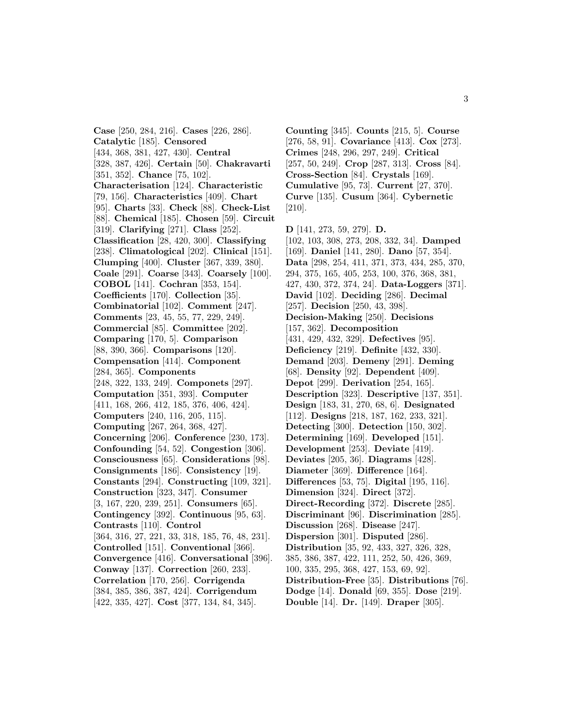**Case** [250, 284, 216]. **Cases** [226, 286]. **Catalytic** [185]. **Censored** [434, 368, 381, 427, 430]. **Central** [328, 387, 426]. **Certain** [50]. **Chakravarti** [351, 352]. **Chance** [75, 102]. **Characterisation** [124]. **Characteristic** [79, 156]. **Characteristics** [409]. **Chart** [95]. **Charts** [33]. **Check** [88]. **Check-List** [88]. **Chemical** [185]. **Chosen** [59]. **Circuit** [319]. **Clarifying** [271]. **Class** [252]. **Classification** [28, 420, 300]. **Classifying** [238]. **Climatological** [202]. **Clinical** [151]. **Clumping** [400]. **Cluster** [367, 339, 380]. **Coale** [291]. **Coarse** [343]. **Coarsely** [100]. **COBOL** [141]. **Cochran** [353, 154]. **Coefficients** [170]. **Collection** [35]. **Combinatorial** [102]. **Comment** [247]. **Comments** [23, 45, 55, 77, 229, 249]. **Commercial** [85]. **Committee** [202]. **Comparing** [170, 5]. **Comparison** [88, 390, 366]. **Comparisons** [120]. **Compensation** [414]. **Component** [284, 365]. **Components** [248, 322, 133, 249]. **Componets** [297]. **Computation** [351, 393]. **Computer** [411, 168, 266, 412, 185, 376, 406, 424]. **Computers** [240, 116, 205, 115]. **Computing** [267, 264, 368, 427]. **Concerning** [206]. **Conference** [230, 173]. **Confounding** [54, 52]. **Congestion** [306]. **Consciousness** [65]. **Considerations** [98]. **Consignments** [186]. **Consistency** [19]. **Constants** [294]. **Constructing** [109, 321]. **Construction** [323, 347]. **Consumer** [3, 167, 220, 239, 251]. **Consumers** [65]. **Contingency** [392]. **Continuous** [95, 63]. **Contrasts** [110]. **Control** [364, 316, 27, 221, 33, 318, 185, 76, 48, 231]. **Controlled** [151]. **Conventional** [366]. **Convergence** [416]. **Conversational** [396]. **Conway** [137]. **Correction** [260, 233]. **Correlation** [170, 256]. **Corrigenda** [384, 385, 386, 387, 424]. **Corrigendum** [422, 335, 427]. **Cost** [377, 134, 84, 345].

**Counting** [345]. **Counts** [215, 5]. **Course** [276, 58, 91]. **Covariance** [413]. **Cox** [273]. **Crimes** [248, 296, 297, 249]. **Critical** [257, 50, 249]. **Crop** [287, 313]. **Cross** [84]. **Cross-Section** [84]. **Crystals** [169]. **Cumulative** [95, 73]. **Current** [27, 370]. **Curve** [135]. **Cusum** [364]. **Cybernetic** [210].

**D** [141, 273, 59, 279]. **D.** [102, 103, 308, 273, 208, 332, 34]. **Damped** [169]. **Daniel** [141, 280]. **Dano** [57, 354]. **Data** [298, 254, 411, 371, 373, 434, 285, 370, 294, 375, 165, 405, 253, 100, 376, 368, 381, 427, 430, 372, 374, 24]. **Data-Loggers** [371]. **David** [102]. **Deciding** [286]. **Decimal** [257]. **Decision** [250, 43, 398]. **Decision-Making** [250]. **Decisions** [157, 362]. **Decomposition** [431, 429, 432, 329]. **Defectives** [95]. **Deficiency** [219]. **Definite** [432, 330]. **Demand** [203]. **Demeny** [291]. **Deming** [68]. **Density** [92]. **Dependent** [409]. **Depot** [299]. **Derivation** [254, 165]. **Description** [323]. **Descriptive** [137, 351]. **Design** [183, 31, 270, 68, 6]. **Designated** [112]. **Designs** [218, 187, 162, 233, 321]. **Detecting** [300]. **Detection** [150, 302]. **Determining** [169]. **Developed** [151]. **Development** [253]. **Deviate** [419]. **Deviates** [205, 36]. **Diagrams** [428]. **Diameter** [369]. **Difference** [164]. **Differences** [53, 75]. **Digital** [195, 116]. **Dimension** [324]. **Direct** [372]. **Direct-Recording** [372]. **Discrete** [285]. **Discriminant** [96]. **Discrimination** [285]. **Discussion** [268]. **Disease** [247]. **Dispersion** [301]. **Disputed** [286]. **Distribution** [35, 92, 433, 327, 326, 328, 385, 386, 387, 422, 111, 252, 50, 426, 369, 100, 335, 295, 368, 427, 153, 69, 92]. **Distribution-Free** [35]. **Distributions** [76]. **Dodge** [14]. **Donald** [69, 355]. **Dose** [219].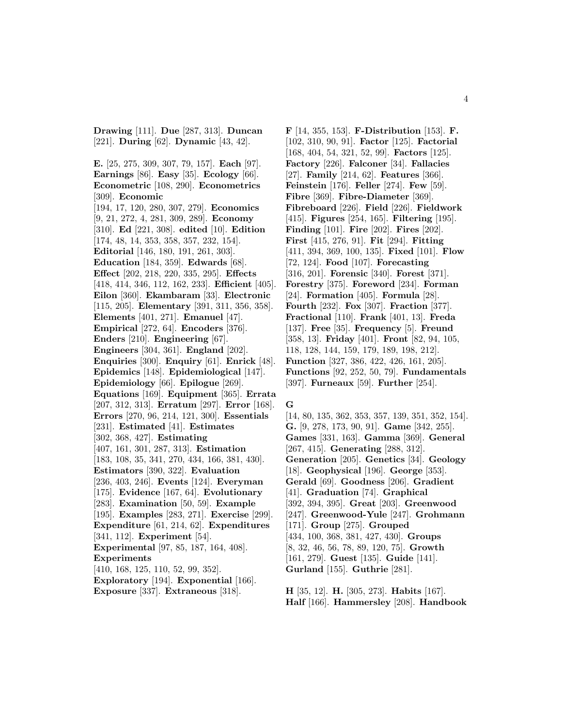**Drawing** [111]. **Due** [287, 313]. **Duncan** [221]. **During** [62]. **Dynamic** [43, 42].

**E.** [25, 275, 309, 307, 79, 157]. **Each** [97]. **Earnings** [86]. **Easy** [35]. **Ecology** [66]. **Econometric** [108, 290]. **Econometrics** [309]. **Economic** [194, 17, 120, 280, 307, 279]. **Economics** [9, 21, 272, 4, 281, 309, 289]. **Economy** [310]. **Ed** [221, 308]. **edited** [10]. **Edition** [174, 48, 14, 353, 358, 357, 232, 154]. **Editorial** [146, 180, 191, 261, 303]. **Education** [184, 359]. **Edwards** [68]. **Effect** [202, 218, 220, 335, 295]. **Effects** [418, 414, 346, 112, 162, 233]. **Efficient** [405]. **Eilon** [360]. **Ekambaram** [33]. **Electronic** [115, 205]. **Elementary** [391, 311, 356, 358]. **Elements** [401, 271]. **Emanuel** [47]. **Empirical** [272, 64]. **Encoders** [376]. **Enders** [210]. **Engineering** [67]. **Engineers** [304, 361]. **England** [202]. **Enquiries** [300]. **Enquiry** [61]. **Enrick** [48]. **Epidemics** [148]. **Epidemiological** [147]. **Epidemiology** [66]. **Epilogue** [269]. **Equations** [169]. **Equipment** [365]. **Errata** [207, 312, 313]. **Erratum** [297]. **Error** [168]. **Errors** [270, 96, 214, 121, 300]. **Essentials** [231]. **Estimated** [41]. **Estimates** [302, 368, 427]. **Estimating** [407, 161, 301, 287, 313]. **Estimation** [183, 108, 35, 341, 270, 434, 166, 381, 430]. **Estimators** [390, 322]. **Evaluation** [236, 403, 246]. **Events** [124]. **Everyman** [175]. **Evidence** [167, 64]. **Evolutionary** [283]. **Examination** [50, 59]. **Example** [195]. **Examples** [283, 271]. **Exercise** [299]. **Expenditure** [61, 214, 62]. **Expenditures** [341, 112]. **Experiment** [54]. **Experimental** [97, 85, 187, 164, 408]. **Experiments** [410, 168, 125, 110, 52, 99, 352]. **Exploratory** [194]. **Exponential** [166]. **Exposure** [337]. **Extraneous** [318].

**F** [14, 355, 153]. **F-Distribution** [153]. **F.** [102, 310, 90, 91]. **Factor** [125]. **Factorial** [168, 404, 54, 321, 52, 99]. **Factors** [125]. **Factory** [226]. **Falconer** [34]. **Fallacies** [27]. **Family** [214, 62]. **Features** [366]. **Feinstein** [176]. **Feller** [274]. **Few** [59]. **Fibre** [369]. **Fibre-Diameter** [369]. **Fibreboard** [226]. **Field** [226]. **Fieldwork** [415]. **Figures** [254, 165]. **Filtering** [195]. **Finding** [101]. **Fire** [202]. **Fires** [202]. **First** [415, 276, 91]. **Fit** [294]. **Fitting** [411, 394, 369, 100, 135]. **Fixed** [101]. **Flow** [72, 124]. **Food** [107]. **Forecasting** [316, 201]. **Forensic** [340]. **Forest** [371]. **Forestry** [375]. **Foreword** [234]. **Forman** [24]. **Formation** [405]. **Formula** [28]. **Fourth** [232]. **Fox** [307]. **Fraction** [377]. **Fractional** [110]. **Frank** [401, 13]. **Freda** [137]. **Free** [35]. **Frequency** [5]. **Freund** [358, 13]. **Friday** [401]. **Front** [82, 94, 105, 118, 128, 144, 159, 179, 189, 198, 212]. **Function** [327, 386, 422, 426, 161, 205]. **Functions** [92, 252, 50, 79]. **Fundamentals** [397]. **Furneaux** [59]. **Further** [254].

### **G**

[14, 80, 135, 362, 353, 357, 139, 351, 352, 154]. **G.** [9, 278, 173, 90, 91]. **Game** [342, 255]. **Games** [331, 163]. **Gamma** [369]. **General** [267, 415]. **Generating** [288, 312]. **Generation** [205]. **Genetics** [34]. **Geology** [18]. **Geophysical** [196]. **George** [353]. **Gerald** [69]. **Goodness** [206]. **Gradient** [41]. **Graduation** [74]. **Graphical** [392, 394, 395]. **Great** [203]. **Greenwood** [247]. **Greenwood-Yule** [247]. **Grohmann** [171]. **Group** [275]. **Grouped** [434, 100, 368, 381, 427, 430]. **Groups** [8, 32, 46, 56, 78, 89, 120, 75]. **Growth** [161, 279]. **Guest** [135]. **Guide** [141]. **Gurland** [155]. **Guthrie** [281].

**H** [35, 12]. **H.** [305, 273]. **Habits** [167]. **Half** [166]. **Hammersley** [208]. **Handbook**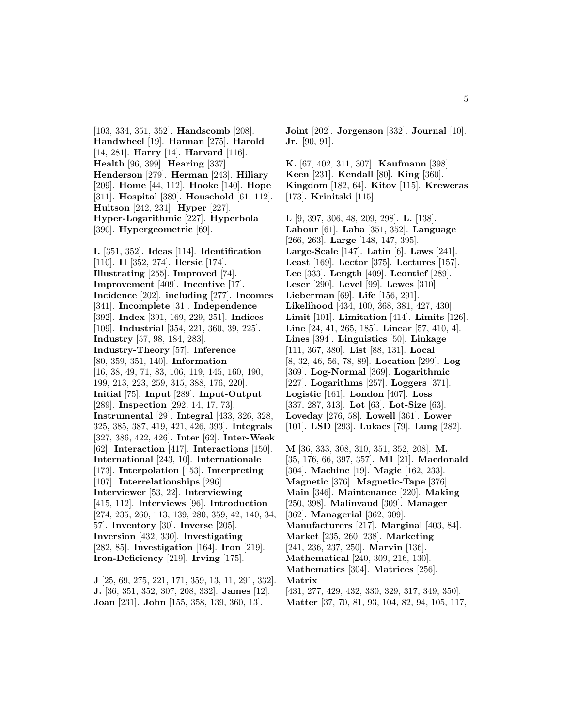[103, 334, 351, 352]. **Handscomb** [208]. **Handwheel** [19]. **Hannan** [275]. **Harold** [14, 281]. **Harry** [14]. **Harvard** [116]. **Health** [96, 399]. **Hearing** [337]. **Henderson** [279]. **Herman** [243]. **Hiliary** [209]. **Home** [44, 112]. **Hooke** [140]. **Hope** [311]. **Hospital** [389]. **Household** [61, 112]. **Huitson** [242, 231]. **Hyper** [227]. **Hyper-Logarithmic** [227]. **Hyperbola** [390]. **Hypergeometric** [69].

**I.** [351, 352]. **Ideas** [114]. **Identification** [110]. **II** [352, 274]. **Ilersic** [174]. **Illustrating** [255]. **Improved** [74]. **Improvement** [409]. **Incentive** [17]. **Incidence** [202]. **including** [277]. **Incomes** [341]. **Incomplete** [31]. **Independence** [392]. **Index** [391, 169, 229, 251]. **Indices** [109]. **Industrial** [354, 221, 360, 39, 225]. **Industry** [57, 98, 184, 283]. **Industry-Theory** [57]. **Inference** [80, 359, 351, 140]. **Information** [16, 38, 49, 71, 83, 106, 119, 145, 160, 190, 199, 213, 223, 259, 315, 388, 176, 220]. **Initial** [75]. **Input** [289]. **Input-Output** [289]. **Inspection** [292, 14, 17, 73]. **Instrumental** [29]. **Integral** [433, 326, 328, 325, 385, 387, 419, 421, 426, 393]. **Integrals** [327, 386, 422, 426]. **Inter** [62]. **Inter-Week** [62]. **Interaction** [417]. **Interactions** [150]. **International** [243, 10]. **Internationale** [173]. **Interpolation** [153]. **Interpreting** [107]. **Interrelationships** [296]. **Interviewer** [53, 22]. **Interviewing** [415, 112]. **Interviews** [96]. **Introduction** [274, 235, 260, 113, 139, 280, 359, 42, 140, 34, 57]. **Inventory** [30]. **Inverse** [205]. **Inversion** [432, 330]. **Investigating** [282, 85]. **Investigation** [164]. **Iron** [219]. **Iron-Deficiency** [219]. **Irving** [175].

**J** [25, 69, 275, 221, 171, 359, 13, 11, 291, 332]. **J.** [36, 351, 352, 307, 208, 332]. **James** [12]. **Joan** [231]. **John** [155, 358, 139, 360, 13].

**Joint** [202]. **Jorgenson** [332]. **Journal** [10]. **Jr.** [90, 91].

**K.** [67, 402, 311, 307]. **Kaufmann** [398]. **Keen** [231]. **Kendall** [80]. **King** [360]. **Kingdom** [182, 64]. **Kitov** [115]. **Kreweras** [173]. **Krinitski** [115].

**L** [9, 397, 306, 48, 209, 298]. **L.** [138]. **Labour** [61]. **Laha** [351, 352]. **Language** [266, 263]. **Large** [148, 147, 395]. **Large-Scale** [147]. **Latin** [6]. **Laws** [241]. **Least** [169]. **Lector** [375]. **Lectures** [157]. **Lee** [333]. **Length** [409]. **Leontief** [289]. **Leser** [290]. **Level** [99]. **Lewes** [310]. **Lieberman** [69]. **Life** [156, 291]. **Likelihood** [434, 100, 368, 381, 427, 430]. **Limit** [101]. **Limitation** [414]. **Limits** [126]. **Line** [24, 41, 265, 185]. **Linear** [57, 410, 4]. **Lines** [394]. **Linguistics** [50]. **Linkage** [111, 367, 380]. **List** [88, 131]. **Local** [8, 32, 46, 56, 78, 89]. **Location** [299]. **Log** [369]. **Log-Normal** [369]. **Logarithmic** [227]. **Logarithms** [257]. **Loggers** [371]. **Logistic** [161]. **London** [407]. **Loss** [337, 287, 313]. **Lot** [63]. **Lot-Size** [63]. **Loveday** [276, 58]. **Lowell** [361]. **Lower** [101]. **LSD** [293]. **Lukacs** [79]. **Lung** [282].

**M** [36, 333, 308, 310, 351, 352, 208]. **M.** [35, 176, 66, 397, 357]. **M1** [21]. **Macdonald** [304]. **Machine** [19]. **Magic** [162, 233]. **Magnetic** [376]. **Magnetic-Tape** [376]. **Main** [346]. **Maintenance** [220]. **Making** [250, 398]. **Malinvaud** [309]. **Manager** [362]. **Managerial** [362, 309]. **Manufacturers** [217]. **Marginal** [403, 84]. **Market** [235, 260, 238]. **Marketing** [241, 236, 237, 250]. **Marvin** [136]. **Mathematical** [240, 309, 216, 130]. **Mathematics** [304]. **Matrices** [256]. **Matrix** [431, 277, 429, 432, 330, 329, 317, 349, 350].

**Matter** [37, 70, 81, 93, 104, 82, 94, 105, 117,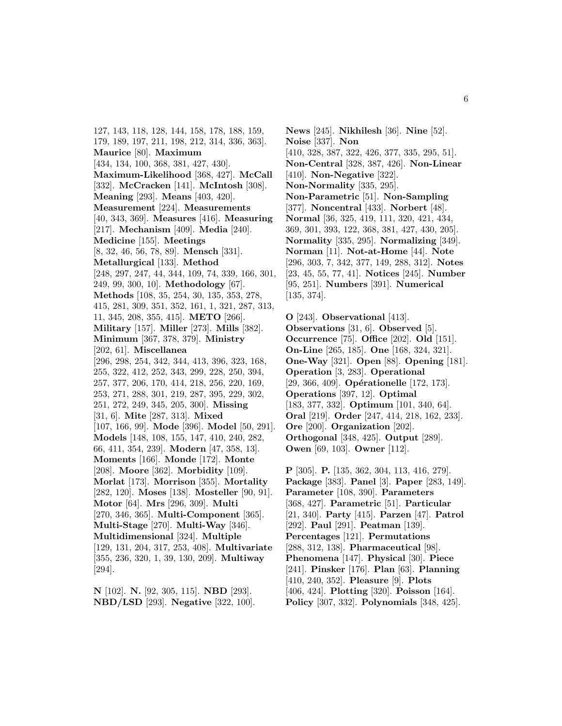127, 143, 118, 128, 144, 158, 178, 188, 159, 179, 189, 197, 211, 198, 212, 314, 336, 363]. **Maurice** [80]. **Maximum** [434, 134, 100, 368, 381, 427, 430]. **Maximum-Likelihood** [368, 427]. **McCall** [332]. **McCracken** [141]. **McIntosh** [308]. **Meaning** [293]. **Means** [403, 420]. **Measurement** [224]. **Measurements** [40, 343, 369]. **Measures** [416]. **Measuring** [217]. **Mechanism** [409]. **Media** [240]. **Medicine** [155]. **Meetings** [8, 32, 46, 56, 78, 89]. **Mensch** [331]. **Metallurgical** [133]. **Method** [248, 297, 247, 44, 344, 109, 74, 339, 166, 301, 249, 99, 300, 10]. **Methodology** [67]. **Methods** [108, 35, 254, 30, 135, 353, 278, 415, 281, 309, 351, 352, 161, 1, 321, 287, 313, 11, 345, 208, 355, 415]. **METO** [266]. **Military** [157]. **Miller** [273]. **Mills** [382]. **Minimum** [367, 378, 379]. **Ministry** [202, 61]. **Miscellanea** [296, 298, 254, 342, 344, 413, 396, 323, 168, 255, 322, 412, 252, 343, 299, 228, 250, 394, 257, 377, 206, 170, 414, 218, 256, 220, 169, 253, 271, 288, 301, 219, 287, 395, 229, 302, 251, 272, 249, 345, 205, 300]. **Missing** [31, 6]. **Mite** [287, 313]. **Mixed** [107, 166, 99]. **Mode** [396]. **Model** [50, 291]. **Models** [148, 108, 155, 147, 410, 240, 282, 66, 411, 354, 239]. **Modern** [47, 358, 13]. **Moments** [166]. **Monde** [172]. **Monte** [208]. **Moore** [362]. **Morbidity** [109]. **Morlat** [173]. **Morrison** [355]. **Mortality** [282, 120]. **Moses** [138]. **Mosteller** [90, 91]. **Motor** [64]. **Mrs** [296, 309]. **Multi** [270, 346, 365]. **Multi-Component** [365]. **Multi-Stage** [270]. **Multi-Way** [346]. **Multidimensional** [324]. **Multiple** [129, 131, 204, 317, 253, 408]. **Multivariate** [355, 236, 320, 1, 39, 130, 209]. **Multiway** [294].

**N** [102]. **N.** [92, 305, 115]. **NBD** [293]. **NBD/LSD** [293]. **Negative** [322, 100].

**News** [245]. **Nikhilesh** [36]. **Nine** [52]. **Noise** [337]. **Non** [410, 328, 387, 322, 426, 377, 335, 295, 51]. **Non-Central** [328, 387, 426]. **Non-Linear** [410]. **Non-Negative** [322]. **Non-Normality** [335, 295]. **Non-Parametric** [51]. **Non-Sampling** [377]. **Noncentral** [433]. **Norbert** [48]. **Normal** [36, 325, 419, 111, 320, 421, 434, 369, 301, 393, 122, 368, 381, 427, 430, 205]. **Normality** [335, 295]. **Normalizing** [349]. **Norman** [11]. **Not-at-Home** [44]. **Note** [296, 303, 7, 342, 377, 149, 288, 312]. **Notes** [23, 45, 55, 77, 41]. **Notices** [245]. **Number** [95, 251]. **Numbers** [391]. **Numerical** [135, 374].

**O** [243]. **Observational** [413]. **Observations** [31, 6]. **Observed** [5]. **Occurrence** [75]. **Office** [202]. **Old** [151]. **On-Line** [265, 185]. **One** [168, 324, 321]. **One-Way** [321]. **Open** [88]. **Opening** [181]. **Operation** [3, 283]. **Operational** [29, 366, 409]. **Opérationelle** [172, 173]. **Operations** [397, 12]. **Optimal** [183, 377, 332]. **Optimum** [101, 340, 64]. **Oral** [219]. **Order** [247, 414, 218, 162, 233]. **Ore** [200]. **Organization** [202]. **Orthogonal** [348, 425]. **Output** [289]. **Owen** [69, 103]. **Owner** [112].

**P** [305]. **P.** [135, 362, 304, 113, 416, 279]. **Package** [383]. **Panel** [3]. **Paper** [283, 149]. **Parameter** [108, 390]. **Parameters** [368, 427]. **Parametric** [51]. **Particular** [21, 340]. **Party** [415]. **Parzen** [47]. **Patrol** [292]. **Paul** [291]. **Peatman** [139]. **Percentages** [121]. **Permutations** [288, 312, 138]. **Pharmaceutical** [98]. **Phenomena** [147]. **Physical** [30]. **Piece** [241]. **Pinsker** [176]. **Plan** [63]. **Planning** [410, 240, 352]. **Pleasure** [9]. **Plots** [406, 424]. **Plotting** [320]. **Poisson** [164]. **Policy** [307, 332]. **Polynomials** [348, 425].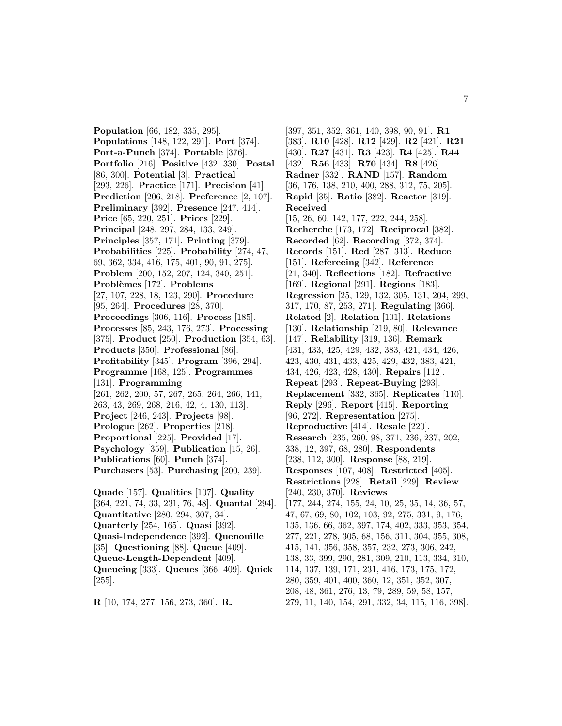**Population** [66, 182, 335, 295]. **Populations** [148, 122, 291]. **Port** [374]. **Port-a-Punch** [374]. **Portable** [376]. **Portfolio** [216]. **Positive** [432, 330]. **Postal** [86, 300]. **Potential** [3]. **Practical** [293, 226]. **Practice** [171]. **Precision** [41]. **Prediction** [206, 218]. **Preference** [2, 107]. **Preliminary** [392]. **Presence** [247, 414]. **Price** [65, 220, 251]. **Prices** [229]. **Principal** [248, 297, 284, 133, 249]. **Principles** [357, 171]. **Printing** [379]. **Probabilities** [225]. **Probability** [274, 47, 69, 362, 334, 416, 175, 401, 90, 91, 275]. **Problem** [200, 152, 207, 124, 340, 251]. **Probl`emes** [172]. **Problems** [27, 107, 228, 18, 123, 290]. **Procedure** [95, 264]. **Procedures** [28, 370]. **Proceedings** [306, 116]. **Process** [185]. **Processes** [85, 243, 176, 273]. **Processing** [375]. **Product** [250]. **Production** [354, 63]. **Products** [350]. **Professional** [86]. **Profitability** [345]. **Program** [396, 294]. **Programme** [168, 125]. **Programmes** [131]. **Programming** [261, 262, 200, 57, 267, 265, 264, 266, 141, 263, 43, 269, 268, 216, 42, 4, 130, 113]. **Project** [246, 243]. **Projects** [98]. **Prologue** [262]. **Properties** [218]. **Proportional** [225]. **Provided** [17]. **Psychology** [359]. **Publication** [15, 26]. **Publications** [60]. **Punch** [374]. **Purchasers** [53]. **Purchasing** [200, 239]. **Quade** [157]. **Qualities** [107]. **Quality**

[364, 221, 74, 33, 231, 76, 48]. **Quantal** [294]. **Quantitative** [280, 294, 307, 34]. **Quarterly** [254, 165]. **Quasi** [392]. **Quasi-Independence** [392]. **Quenouille** [35]. **Questioning** [88]. **Queue** [409]. **Queue-Length-Dependent** [409]. **Queueing** [333]. **Queues** [366, 409]. **Quick** [255].

**R** [10, 174, 277, 156, 273, 360]. **R.**

[397, 351, 352, 361, 140, 398, 90, 91]. **R1** [383]. **R10** [428]. **R12** [429]. **R2** [421]. **R21** [430]. **R27** [431]. **R3** [423]. **R4** [425]. **R44** [432]. **R56** [433]. **R70** [434]. **R8** [426]. **Radner** [332]. **RAND** [157]. **Random** [36, 176, 138, 210, 400, 288, 312, 75, 205]. **Rapid** [35]. **Ratio** [382]. **Reactor** [319]. **Received** [15, 26, 60, 142, 177, 222, 244, 258]. **Recherche** [173, 172]. **Reciprocal** [382]. **Recorded** [62]. **Recording** [372, 374]. **Records** [151]. **Red** [287, 313]. **Reduce** [151]. **Refereeing** [342]. **Reference** [21, 340]. **Reflections** [182]. **Refractive** [169]. **Regional** [291]. **Regions** [183]. **Regression** [25, 129, 132, 305, 131, 204, 299, 317, 170, 87, 253, 271]. **Regulating** [366]. **Related** [2]. **Relation** [101]. **Relations** [130]. **Relationship** [219, 80]. **Relevance** [147]. **Reliability** [319, 136]. **Remark** [431, 433, 425, 429, 432, 383, 421, 434, 426, 423, 430, 431, 433, 425, 429, 432, 383, 421, 434, 426, 423, 428, 430]. **Repairs** [112]. **Repeat** [293]. **Repeat-Buying** [293]. **Replacement** [332, 365]. **Replicates** [110]. **Reply** [296]. **Report** [415]. **Reporting** [96, 272]. **Representation** [275]. **Reproductive** [414]. **Resale** [220]. **Research** [235, 260, 98, 371, 236, 237, 202, 338, 12, 397, 68, 280]. **Respondents** [238, 112, 300]. **Response** [88, 219]. **Responses** [107, 408]. **Restricted** [405]. **Restrictions** [228]. **Retail** [229]. **Review** [240, 230, 370]. **Reviews** [177, 244, 274, 155, 24, 10, 25, 35, 14, 36, 57, 47, 67, 69, 80, 102, 103, 92, 275, 331, 9, 176, 135, 136, 66, 362, 397, 174, 402, 333, 353, 354, 277, 221, 278, 305, 68, 156, 311, 304, 355, 308, 415, 141, 356, 358, 357, 232, 273, 306, 242, 138, 33, 399, 290, 281, 309, 210, 113, 334, 310, 114, 137, 139, 171, 231, 416, 173, 175, 172, 280, 359, 401, 400, 360, 12, 351, 352, 307, 208, 48, 361, 276, 13, 79, 289, 59, 58, 157, 279, 11, 140, 154, 291, 332, 34, 115, 116, 398].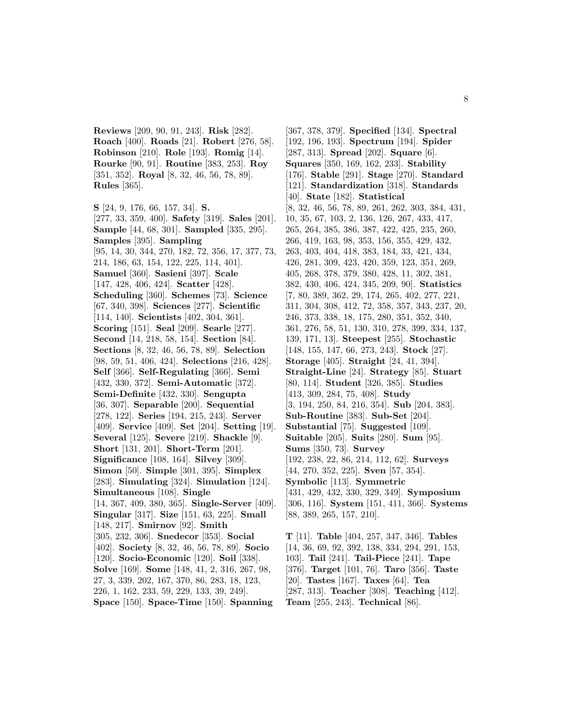**Reviews** [209, 90, 91, 243]. **Risk** [282]. **Roach** [400]. **Roads** [21]. **Robert** [276, 58]. **Robinson** [210]. **Role** [193]. **Romig** [14]. **Rourke** [90, 91]. **Routine** [383, 253]. **Roy** [351, 352]. **Royal** [8, 32, 46, 56, 78, 89]. **Rules** [365].

**S** [24, 9, 176, 66, 157, 34]. **S.** [277, 33, 359, 400]. **Safety** [319]. **Sales** [201]. **Sample** [44, 68, 301]. **Sampled** [335, 295]. **Samples** [395]. **Sampling** [95, 14, 30, 344, 270, 182, 72, 356, 17, 377, 73, 214, 186, 63, 154, 122, 225, 114, 401]. **Samuel** [360]. **Sasieni** [397]. **Scale** [147, 428, 406, 424]. **Scatter** [428]. **Scheduling** [360]. **Schemes** [73]. **Science** [67, 340, 398]. **Sciences** [277]. **Scientific** [114, 140]. **Scientists** [402, 304, 361]. **Scoring** [151]. **Seal** [209]. **Searle** [277]. **Second** [14, 218, 58, 154]. **Section** [84]. **Sections** [8, 32, 46, 56, 78, 89]. **Selection** [98, 59, 51, 406, 424]. **Selections** [216, 428]. **Self** [366]. **Self-Regulating** [366]. **Semi** [432, 330, 372]. **Semi-Automatic** [372]. **Semi-Definite** [432, 330]. **Sengupta** [36, 307]. **Separable** [200]. **Sequential** [278, 122]. **Series** [194, 215, 243]. **Server** [409]. **Service** [409]. **Set** [204]. **Setting** [19]. **Several** [125]. **Severe** [219]. **Shackle** [9]. **Short** [131, 201]. **Short-Term** [201]. **Significance** [108, 164]. **Silvey** [309]. **Simon** [50]. **Simple** [301, 395]. **Simplex** [283]. **Simulating** [324]. **Simulation** [124]. **Simultaneous** [108]. **Single** [14, 367, 409, 380, 365]. **Single-Server** [409]. **Singular** [317]. **Size** [151, 63, 225]. **Small** [148, 217]. **Smirnov** [92]. **Smith** [305, 232, 306]. **Snedecor** [353]. **Social** [402]. **Society** [8, 32, 46, 56, 78, 89]. **Socio** [120]. **Socio-Economic** [120]. **Soil** [338]. **Solve** [169]. **Some** [148, 41, 2, 316, 267, 98, 27, 3, 339, 202, 167, 370, 86, 283, 18, 123, 226, 1, 162, 233, 59, 229, 133, 39, 249]. **Space** [150]. **Space-Time** [150]. **Spanning**

[367, 378, 379]. **Specified** [134]. **Spectral** [192, 196, 193]. **Spectrum** [194]. **Spider** [287, 313]. **Spread** [202]. **Square** [6]. **Squares** [350, 169, 162, 233]. **Stability** [176]. **Stable** [291]. **Stage** [270]. **Standard** [121]. **Standardization** [318]. **Standards** [40]. **State** [182]. **Statistical** [8, 32, 46, 56, 78, 89, 261, 262, 303, 384, 431, 10, 35, 67, 103, 2, 136, 126, 267, 433, 417, 265, 264, 385, 386, 387, 422, 425, 235, 260, 266, 419, 163, 98, 353, 156, 355, 429, 432, 263, 403, 404, 418, 383, 184, 33, 421, 434, 426, 281, 309, 423, 420, 359, 123, 351, 269, 405, 268, 378, 379, 380, 428, 11, 302, 381, 382, 430, 406, 424, 345, 209, 90]. **Statistics** [7, 80, 389, 362, 29, 174, 265, 402, 277, 221, 311, 304, 308, 412, 72, 358, 357, 343, 237, 20, 246, 373, 338, 18, 175, 280, 351, 352, 340, 361, 276, 58, 51, 130, 310, 278, 399, 334, 137, 139, 171, 13]. **Steepest** [255]. **Stochastic** [148, 155, 147, 66, 273, 243]. **Stock** [27]. **Storage** [405]. **Straight** [24, 41, 394]. **Straight-Line** [24]. **Strategy** [85]. **Stuart** [80, 114]. **Student** [326, 385]. **Studies** [413, 309, 284, 75, 408]. **Study** [3, 194, 250, 84, 216, 354]. **Sub** [204, 383]. **Sub-Routine** [383]. **Sub-Set** [204]. **Substantial** [75]. **Suggested** [109]. **Suitable** [205]. **Suits** [280]. **Sum** [95]. **Sums** [350, 73]. **Survey** [192, 238, 22, 86, 214, 112, 62]. **Surveys** [44, 270, 352, 225]. **Sven** [57, 354]. **Symbolic** [113]. **Symmetric** [431, 429, 432, 330, 329, 349]. **Symposium** [306, 116]. **System** [151, 411, 366]. **Systems** [88, 389, 265, 157, 210].

**T** [11]. **Table** [404, 257, 347, 346]. **Tables** [14, 36, 69, 92, 392, 138, 334, 294, 291, 153, 103]. **Tail** [241]. **Tail-Piece** [241]. **Tape** [376]. **Target** [101, 76]. **Taro** [356]. **Taste** [20]. **Tastes** [167]. **Taxes** [64]. **Tea** [287, 313]. **Teacher** [308]. **Teaching** [412]. **Team** [255, 243]. **Technical** [86].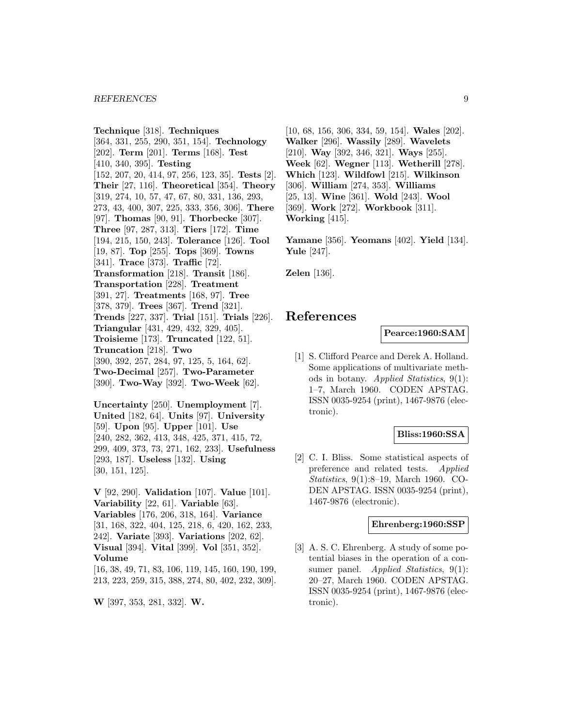#### *REFERENCES* 9

**Technique** [318]. **Techniques** [364, 331, 255, 290, 351, 154]. **Technology** [202]. **Term** [201]. **Terms** [168]. **Test** [410, 340, 395]. **Testing** [152, 207, 20, 414, 97, 256, 123, 35]. **Tests** [2]. **Their** [27, 116]. **Theoretical** [354]. **Theory** [319, 274, 10, 57, 47, 67, 80, 331, 136, 293, 273, 43, 400, 307, 225, 333, 356, 306]. **There** [97]. **Thomas** [90, 91]. **Thorbecke** [307]. **Three** [97, 287, 313]. **Tiers** [172]. **Time** [194, 215, 150, 243]. **Tolerance** [126]. **Tool** [19, 87]. **Top** [255]. **Tops** [369]. **Towns** [341]. **Trace** [373]. **Traffic** [72]. **Transformation** [218]. **Transit** [186]. **Transportation** [228]. **Treatment** [391, 27]. **Treatments** [168, 97]. **Tree** [378, 379]. **Trees** [367]. **Trend** [321]. **Trends** [227, 337]. **Trial** [151]. **Trials** [226]. **Triangular** [431, 429, 432, 329, 405]. **Troisieme** [173]. **Truncated** [122, 51]. **Truncation** [218]. **Two** [390, 392, 257, 284, 97, 125, 5, 164, 62]. **Two-Decimal** [257]. **Two-Parameter** [390]. **Two-Way** [392]. **Two-Week** [62].

**Uncertainty** [250]. **Unemployment** [7]. **United** [182, 64]. **Units** [97]. **University** [59]. **Upon** [95]. **Upper** [101]. **Use** [240, 282, 362, 413, 348, 425, 371, 415, 72, 299, 409, 373, 73, 271, 162, 233]. **Usefulness** [293, 187]. **Useless** [132]. **Using** [30, 151, 125].

**V** [92, 290]. **Validation** [107]. **Value** [101]. **Variability** [22, 61]. **Variable** [63]. **Variables** [176, 206, 318, 164]. **Variance** [31, 168, 322, 404, 125, 218, 6, 420, 162, 233, 242]. **Variate** [393]. **Variations** [202, 62]. **Visual** [394]. **Vital** [399]. **Vol** [351, 352]. **Volume** [16, 38, 49, 71, 83, 106, 119, 145, 160, 190, 199,

213, 223, 259, 315, 388, 274, 80, 402, 232, 309].

**W** [397, 353, 281, 332]. **W.**

[10, 68, 156, 306, 334, 59, 154]. **Wales** [202]. **Walker** [296]. **Wassily** [289]. **Wavelets** [210]. **Way** [392, 346, 321]. **Ways** [255]. **Week** [62]. **Wegner** [113]. **Wetherill** [278]. **Which** [123]. **Wildfowl** [215]. **Wilkinson** [306]. **William** [274, 353]. **Williams** [25, 13]. **Wine** [361]. **Wold** [243]. **Wool** [369]. **Work** [272]. **Workbook** [311]. **Working** [415].

**Yamane** [356]. **Yeomans** [402]. **Yield** [134]. **Yule** [247].

**Zelen** [136].

# **References**

**Pearce:1960:SAM**

[1] S. Clifford Pearce and Derek A. Holland. Some applications of multivariate methods in botany. Applied Statistics, 9(1): 1–7, March 1960. CODEN APSTAG. ISSN 0035-9254 (print), 1467-9876 (electronic).

# **Bliss:1960:SSA**

[2] C. I. Bliss. Some statistical aspects of preference and related tests. Applied Statistics, 9(1):8–19, March 1960. CO-DEN APSTAG. ISSN 0035-9254 (print), 1467-9876 (electronic).

### **Ehrenberg:1960:SSP**

[3] A. S. C. Ehrenberg. A study of some potential biases in the operation of a consumer panel. *Applied Statistics*, 9(1): 20–27, March 1960. CODEN APSTAG. ISSN 0035-9254 (print), 1467-9876 (electronic).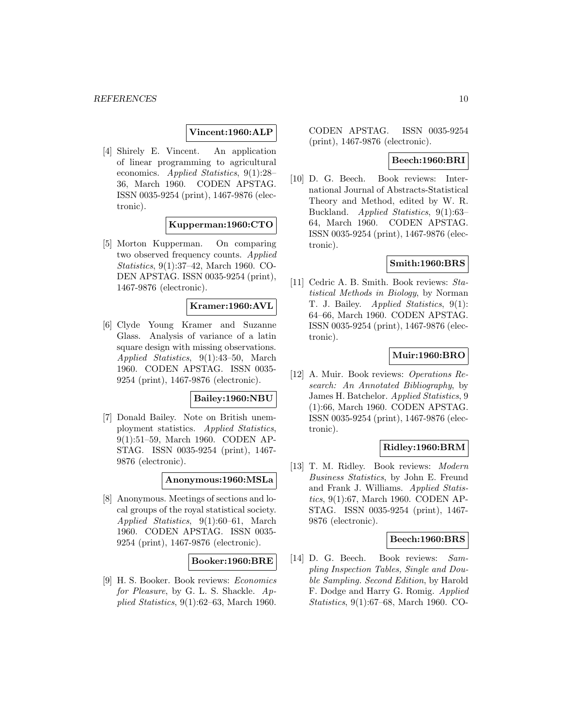### **Vincent:1960:ALP**

[4] Shirely E. Vincent. An application of linear programming to agricultural economics. Applied Statistics, 9(1):28– 36, March 1960. CODEN APSTAG. ISSN 0035-9254 (print), 1467-9876 (electronic).

**Kupperman:1960:CTO**

[5] Morton Kupperman. On comparing two observed frequency counts. Applied Statistics, 9(1):37–42, March 1960. CO-DEN APSTAG. ISSN 0035-9254 (print), 1467-9876 (electronic).

### **Kramer:1960:AVL**

[6] Clyde Young Kramer and Suzanne Glass. Analysis of variance of a latin square design with missing observations. Applied Statistics, 9(1):43–50, March 1960. CODEN APSTAG. ISSN 0035- 9254 (print), 1467-9876 (electronic).

### **Bailey:1960:NBU**

[7] Donald Bailey. Note on British unemployment statistics. Applied Statistics, 9(1):51–59, March 1960. CODEN AP-STAG. ISSN 0035-9254 (print), 1467- 9876 (electronic).

# **Anonymous:1960:MSLa**

[8] Anonymous. Meetings of sections and local groups of the royal statistical society. Applied Statistics, 9(1):60–61, March 1960. CODEN APSTAG. ISSN 0035- 9254 (print), 1467-9876 (electronic).

# **Booker:1960:BRE**

[9] H. S. Booker. Book reviews: Economics for Pleasure, by G. L. S. Shackle. Applied Statistics, 9(1):62–63, March 1960.

CODEN APSTAG. ISSN 0035-9254 (print), 1467-9876 (electronic).

# **Beech:1960:BRI**

[10] D. G. Beech. Book reviews: International Journal of Abstracts-Statistical Theory and Method, edited by W. R. Buckland. Applied Statistics, 9(1):63– 64, March 1960. CODEN APSTAG. ISSN 0035-9254 (print), 1467-9876 (electronic).

### **Smith:1960:BRS**

[11] Cedric A. B. Smith. Book reviews: Statistical Methods in Biology, by Norman T. J. Bailey. Applied Statistics, 9(1): 64–66, March 1960. CODEN APSTAG. ISSN 0035-9254 (print), 1467-9876 (electronic).

# **Muir:1960:BRO**

[12] A. Muir. Book reviews: Operations Research: An Annotated Bibliography, by James H. Batchelor. Applied Statistics, 9 (1):66, March 1960. CODEN APSTAG. ISSN 0035-9254 (print), 1467-9876 (electronic).

# **Ridley:1960:BRM**

[13] T. M. Ridley. Book reviews: Modern Business Statistics, by John E. Freund and Frank J. Williams. Applied Statistics, 9(1):67, March 1960. CODEN AP-STAG. ISSN 0035-9254 (print), 1467- 9876 (electronic).

### **Beech:1960:BRS**

[14] D. G. Beech. Book reviews: Sampling Inspection Tables, Single and Double Sampling. Second Edition, by Harold F. Dodge and Harry G. Romig. Applied Statistics, 9(1):67–68, March 1960. CO-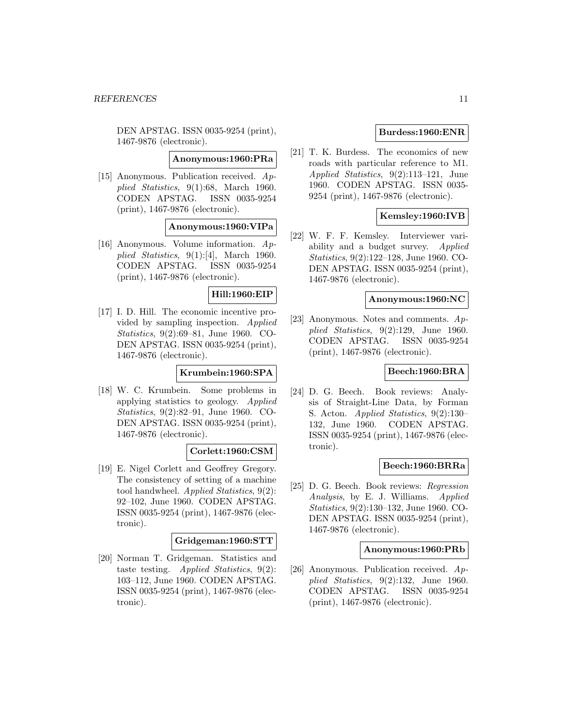DEN APSTAG. ISSN 0035-9254 (print), 1467-9876 (electronic).

**Anonymous:1960:PRa**

[15] Anonymous. Publication received. Applied Statistics, 9(1):68, March 1960. CODEN APSTAG. ISSN 0035-9254 (print), 1467-9876 (electronic).

# **Anonymous:1960:VIPa**

[16] Anonymous. Volume information. Applied Statistics,  $9(1):[4]$ , March 1960. CODEN APSTAG. ISSN 0035-9254 (print), 1467-9876 (electronic).

# **Hill:1960:EIP**

[17] I. D. Hill. The economic incentive provided by sampling inspection. Applied Statistics, 9(2):69–81, June 1960. CO-DEN APSTAG. ISSN 0035-9254 (print), 1467-9876 (electronic).

# **Krumbein:1960:SPA**

[18] W. C. Krumbein. Some problems in applying statistics to geology. Applied Statistics, 9(2):82–91, June 1960. CO-DEN APSTAG. ISSN 0035-9254 (print), 1467-9876 (electronic).

### **Corlett:1960:CSM**

[19] E. Nigel Corlett and Geoffrey Gregory. The consistency of setting of a machine tool handwheel. Applied Statistics, 9(2): 92–102, June 1960. CODEN APSTAG. ISSN 0035-9254 (print), 1467-9876 (electronic).

### **Gridgeman:1960:STT**

[20] Norman T. Gridgeman. Statistics and taste testing. Applied Statistics, 9(2): 103–112, June 1960. CODEN APSTAG. ISSN 0035-9254 (print), 1467-9876 (electronic).

# **Burdess:1960:ENR**

[21] T. K. Burdess. The economics of new roads with particular reference to M1. Applied Statistics, 9(2):113–121, June 1960. CODEN APSTAG. ISSN 0035- 9254 (print), 1467-9876 (electronic).

# **Kemsley:1960:IVB**

[22] W. F. F. Kemsley. Interviewer variability and a budget survey. Applied Statistics, 9(2):122–128, June 1960. CO-DEN APSTAG. ISSN 0035-9254 (print), 1467-9876 (electronic).

### **Anonymous:1960:NC**

[23] Anonymous. Notes and comments. Applied Statistics,  $9(2):129$ , June 1960. CODEN APSTAG. ISSN 0035-9254 (print), 1467-9876 (electronic).

### **Beech:1960:BRA**

[24] D. G. Beech. Book reviews: Analysis of Straight-Line Data, by Forman S. Acton. Applied Statistics, 9(2):130– 132, June 1960. CODEN APSTAG. ISSN 0035-9254 (print), 1467-9876 (electronic).

# **Beech:1960:BRRa**

[25] D. G. Beech. Book reviews: Regression Analysis, by E. J. Williams. Applied Statistics, 9(2):130–132, June 1960. CO-DEN APSTAG. ISSN 0035-9254 (print), 1467-9876 (electronic).

# **Anonymous:1960:PRb**

[26] Anonymous. Publication received. Applied Statistics, 9(2):132, June 1960. CODEN APSTAG. ISSN 0035-9254 (print), 1467-9876 (electronic).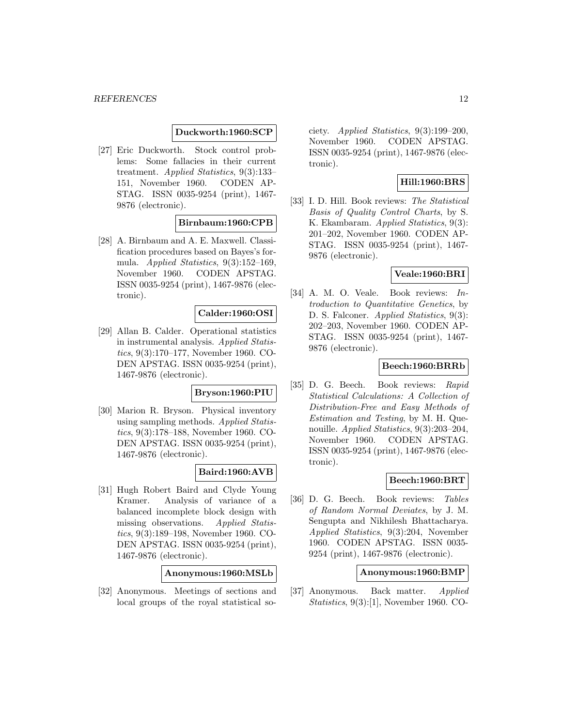### **Duckworth:1960:SCP**

[27] Eric Duckworth. Stock control problems: Some fallacies in their current treatment. Applied Statistics, 9(3):133– 151, November 1960. CODEN AP-STAG. ISSN 0035-9254 (print), 1467- 9876 (electronic).

# **Birnbaum:1960:CPB**

[28] A. Birnbaum and A. E. Maxwell. Classification procedures based on Bayes's formula. Applied Statistics, 9(3):152–169, November 1960. CODEN APSTAG. ISSN 0035-9254 (print), 1467-9876 (electronic).

# **Calder:1960:OSI**

[29] Allan B. Calder. Operational statistics in instrumental analysis. Applied Statistics, 9(3):170–177, November 1960. CO-DEN APSTAG. ISSN 0035-9254 (print), 1467-9876 (electronic).

# **Bryson:1960:PIU**

[30] Marion R. Bryson. Physical inventory using sampling methods. Applied Statistics, 9(3):178–188, November 1960. CO-DEN APSTAG. ISSN 0035-9254 (print), 1467-9876 (electronic).

# **Baird:1960:AVB**

[31] Hugh Robert Baird and Clyde Young Kramer. Analysis of variance of a balanced incomplete block design with missing observations. Applied Statistics, 9(3):189–198, November 1960. CO-DEN APSTAG. ISSN 0035-9254 (print), 1467-9876 (electronic).

# **Anonymous:1960:MSLb**

[32] Anonymous. Meetings of sections and local groups of the royal statistical society. *Applied Statistics*,  $9(3):199-200$ , November 1960. CODEN APSTAG. ISSN 0035-9254 (print), 1467-9876 (electronic).

# **Hill:1960:BRS**

[33] I. D. Hill. Book reviews: The Statistical Basis of Quality Control Charts, by S. K. Ekambaram. Applied Statistics, 9(3): 201–202, November 1960. CODEN AP-STAG. ISSN 0035-9254 (print), 1467- 9876 (electronic).

# **Veale:1960:BRI**

[34] A. M. O. Veale. Book reviews: Introduction to Quantitative Genetics, by D. S. Falconer. *Applied Statistics*, 9(3): 202–203, November 1960. CODEN AP-STAG. ISSN 0035-9254 (print), 1467- 9876 (electronic).

# **Beech:1960:BRRb**

[35] D. G. Beech. Book reviews: Rapid Statistical Calculations: A Collection of Distribution-Free and Easy Methods of Estimation and Testing, by M. H. Quenouille. Applied Statistics, 9(3):203–204, November 1960. CODEN APSTAG. ISSN 0035-9254 (print), 1467-9876 (electronic).

### **Beech:1960:BRT**

[36] D. G. Beech. Book reviews: Tables of Random Normal Deviates, by J. M. Sengupta and Nikhilesh Bhattacharya. Applied Statistics, 9(3):204, November 1960. CODEN APSTAG. ISSN 0035- 9254 (print), 1467-9876 (electronic).

### **Anonymous:1960:BMP**

[37] Anonymous. Back matter. Applied Statistics, 9(3):[1], November 1960. CO-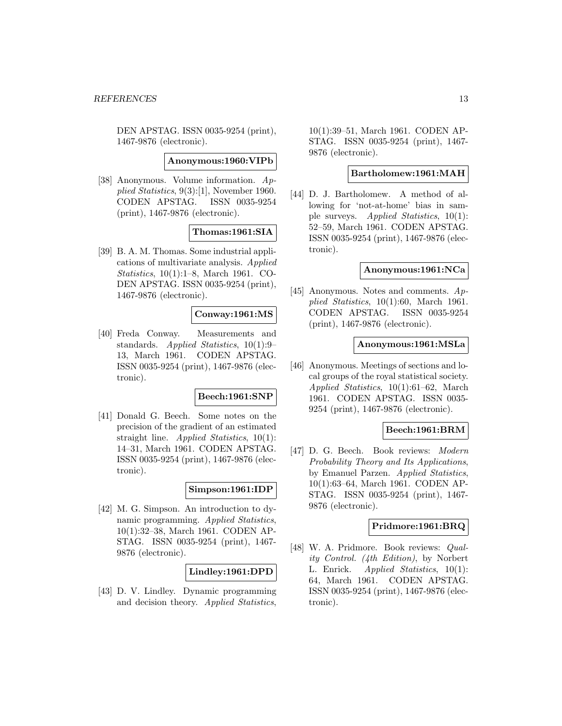DEN APSTAG. ISSN 0035-9254 (print), 1467-9876 (electronic).

### **Anonymous:1960:VIPb**

[38] Anonymous. Volume information. Applied Statistics, 9(3):[1], November 1960. CODEN APSTAG. ISSN 0035-9254 (print), 1467-9876 (electronic).

### **Thomas:1961:SIA**

[39] B. A. M. Thomas. Some industrial applications of multivariate analysis. Applied Statistics, 10(1):1–8, March 1961. CO-DEN APSTAG. ISSN 0035-9254 (print), 1467-9876 (electronic).

# **Conway:1961:MS**

[40] Freda Conway. Measurements and standards. Applied Statistics, 10(1):9– 13, March 1961. CODEN APSTAG. ISSN 0035-9254 (print), 1467-9876 (electronic).

### **Beech:1961:SNP**

[41] Donald G. Beech. Some notes on the precision of the gradient of an estimated straight line. Applied Statistics, 10(1): 14–31, March 1961. CODEN APSTAG. ISSN 0035-9254 (print), 1467-9876 (electronic).

### **Simpson:1961:IDP**

[42] M. G. Simpson. An introduction to dynamic programming. Applied Statistics, 10(1):32–38, March 1961. CODEN AP-STAG. ISSN 0035-9254 (print), 1467- 9876 (electronic).

# **Lindley:1961:DPD**

[43] D. V. Lindley. Dynamic programming and decision theory. Applied Statistics,

10(1):39–51, March 1961. CODEN AP-STAG. ISSN 0035-9254 (print), 1467- 9876 (electronic).

#### **Bartholomew:1961:MAH**

[44] D. J. Bartholomew. A method of allowing for 'not-at-home' bias in sample surveys. Applied Statistics, 10(1): 52–59, March 1961. CODEN APSTAG. ISSN 0035-9254 (print), 1467-9876 (electronic).

### **Anonymous:1961:NCa**

[45] Anonymous. Notes and comments.  $Ap$ plied Statistics, 10(1):60, March 1961. CODEN APSTAG. ISSN 0035-9254 (print), 1467-9876 (electronic).

### **Anonymous:1961:MSLa**

[46] Anonymous. Meetings of sections and local groups of the royal statistical society. Applied Statistics, 10(1):61–62, March 1961. CODEN APSTAG. ISSN 0035- 9254 (print), 1467-9876 (electronic).

### **Beech:1961:BRM**

[47] D. G. Beech. Book reviews: Modern Probability Theory and Its Applications, by Emanuel Parzen. Applied Statistics, 10(1):63–64, March 1961. CODEN AP-STAG. ISSN 0035-9254 (print), 1467- 9876 (electronic).

### **Pridmore:1961:BRQ**

[48] W. A. Pridmore. Book reviews: *Qual*ity Control. (4th Edition), by Norbert L. Enrick. Applied Statistics, 10(1): 64, March 1961. CODEN APSTAG. ISSN 0035-9254 (print), 1467-9876 (electronic).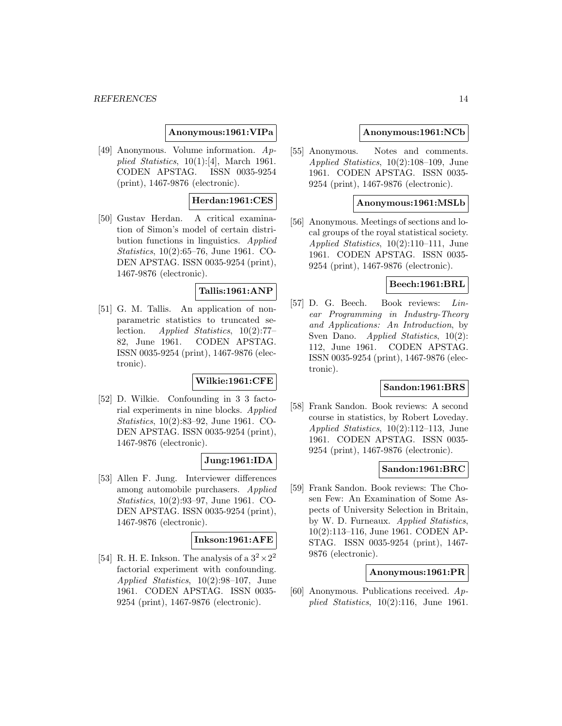### **Anonymous:1961:VIPa**

[49] Anonymous. Volume information. Applied Statistics,  $10(1):[4]$ , March 1961. CODEN APSTAG. ISSN 0035-9254 (print), 1467-9876 (electronic).

# **Herdan:1961:CES**

[50] Gustav Herdan. A critical examination of Simon's model of certain distribution functions in linguistics. Applied Statistics, 10(2):65–76, June 1961. CO-DEN APSTAG. ISSN 0035-9254 (print), 1467-9876 (electronic).

# **Tallis:1961:ANP**

[51] G. M. Tallis. An application of nonparametric statistics to truncated selection. Applied Statistics, 10(2):77– 82, June 1961. CODEN APSTAG. ISSN 0035-9254 (print), 1467-9876 (electronic).

# **Wilkie:1961:CFE**

[52] D. Wilkie. Confounding in 3 3 factorial experiments in nine blocks. Applied Statistics, 10(2):83–92, June 1961. CO-DEN APSTAG. ISSN 0035-9254 (print), 1467-9876 (electronic).

# **Jung:1961:IDA**

[53] Allen F. Jung. Interviewer differences among automobile purchasers. Applied Statistics, 10(2):93–97, June 1961. CO-DEN APSTAG. ISSN 0035-9254 (print), 1467-9876 (electronic).

# **Inkson:1961:AFE**

[54] R. H. E. Inkson. The analysis of a  $3^2 \times 2^2$ factorial experiment with confounding. Applied Statistics, 10(2):98–107, June 1961. CODEN APSTAG. ISSN 0035- 9254 (print), 1467-9876 (electronic).

### **Anonymous:1961:NCb**

[55] Anonymous. Notes and comments. Applied Statistics, 10(2):108–109, June 1961. CODEN APSTAG. ISSN 0035- 9254 (print), 1467-9876 (electronic).

### **Anonymous:1961:MSLb**

[56] Anonymous. Meetings of sections and local groups of the royal statistical society. Applied Statistics, 10(2):110–111, June 1961. CODEN APSTAG. ISSN 0035- 9254 (print), 1467-9876 (electronic).

### **Beech:1961:BRL**

[57] D. G. Beech. Book reviews: Linear Programming in Industry-Theory and Applications: An Introduction, by Sven Dano. *Applied Statistics*, 10(2): 112, June 1961. CODEN APSTAG. ISSN 0035-9254 (print), 1467-9876 (electronic).

# **Sandon:1961:BRS**

[58] Frank Sandon. Book reviews: A second course in statistics, by Robert Loveday. Applied Statistics, 10(2):112–113, June 1961. CODEN APSTAG. ISSN 0035- 9254 (print), 1467-9876 (electronic).

# **Sandon:1961:BRC**

[59] Frank Sandon. Book reviews: The Chosen Few: An Examination of Some Aspects of University Selection in Britain, by W. D. Furneaux. Applied Statistics, 10(2):113–116, June 1961. CODEN AP-STAG. ISSN 0035-9254 (print), 1467- 9876 (electronic).

### **Anonymous:1961:PR**

[60] Anonymous. Publications received. Applied Statistics,  $10(2)$ :116, June 1961.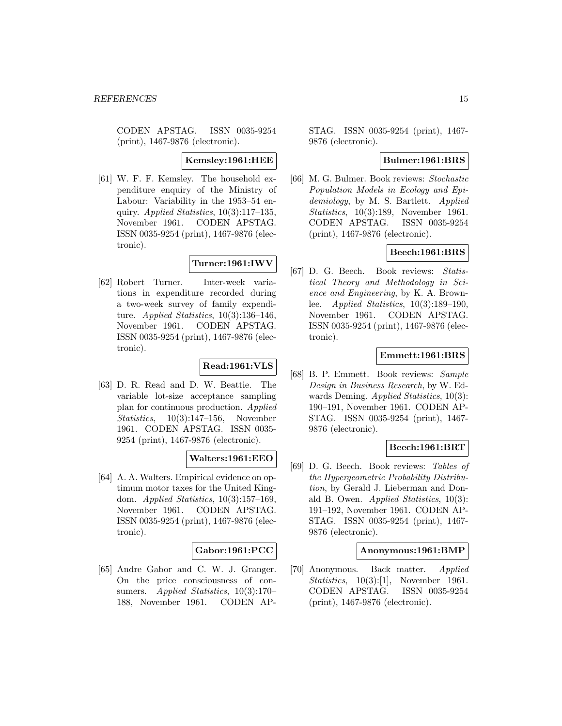CODEN APSTAG. ISSN 0035-9254 (print), 1467-9876 (electronic).

### **Kemsley:1961:HEE**

[61] W. F. F. Kemsley. The household expenditure enquiry of the Ministry of Labour: Variability in the 1953–54 enquiry. Applied Statistics,  $10(3):117-135$ , November 1961. CODEN APSTAG. ISSN 0035-9254 (print), 1467-9876 (electronic).

# **Turner:1961:IWV**

[62] Robert Turner. Inter-week variations in expenditure recorded during a two-week survey of family expenditure. Applied Statistics,  $10(3):136-146$ , November 1961. CODEN APSTAG. ISSN 0035-9254 (print), 1467-9876 (electronic).

# **Read:1961:VLS**

[63] D. R. Read and D. W. Beattie. The variable lot-size acceptance sampling plan for continuous production. Applied Statistics, 10(3):147–156, November 1961. CODEN APSTAG. ISSN 0035- 9254 (print), 1467-9876 (electronic).

# **Walters:1961:EEO**

[64] A. A. Walters. Empirical evidence on optimum motor taxes for the United Kingdom. Applied Statistics, 10(3):157–169, November 1961. CODEN APSTAG. ISSN 0035-9254 (print), 1467-9876 (electronic).

# **Gabor:1961:PCC**

[65] Andre Gabor and C. W. J. Granger. On the price consciousness of consumers. Applied Statistics, 10(3):170– 188, November 1961. CODEN AP- STAG. ISSN 0035-9254 (print), 1467- 9876 (electronic).

# **Bulmer:1961:BRS**

[66] M. G. Bulmer. Book reviews: Stochastic Population Models in Ecology and Epidemiology, by M. S. Bartlett. Applied Statistics, 10(3):189, November 1961. CODEN APSTAG. ISSN 0035-9254 (print), 1467-9876 (electronic).

# **Beech:1961:BRS**

[67] D. G. Beech. Book reviews: Statistical Theory and Methodology in Science and Engineering, by K. A. Brownlee. Applied Statistics, 10(3):189–190, November 1961. CODEN APSTAG. ISSN 0035-9254 (print), 1467-9876 (electronic).

# **Emmett:1961:BRS**

[68] B. P. Emmett. Book reviews: Sample Design in Business Research, by W. Edwards Deming. Applied Statistics, 10(3): 190–191, November 1961. CODEN AP-STAG. ISSN 0035-9254 (print), 1467- 9876 (electronic).

# **Beech:1961:BRT**

[69] D. G. Beech. Book reviews: Tables of the Hypergeometric Probability Distribution, by Gerald J. Lieberman and Donald B. Owen. Applied Statistics, 10(3): 191–192, November 1961. CODEN AP-STAG. ISSN 0035-9254 (print), 1467- 9876 (electronic).

# **Anonymous:1961:BMP**

[70] Anonymous. Back matter. Applied Statistics, 10(3):[1], November 1961. CODEN APSTAG. ISSN 0035-9254 (print), 1467-9876 (electronic).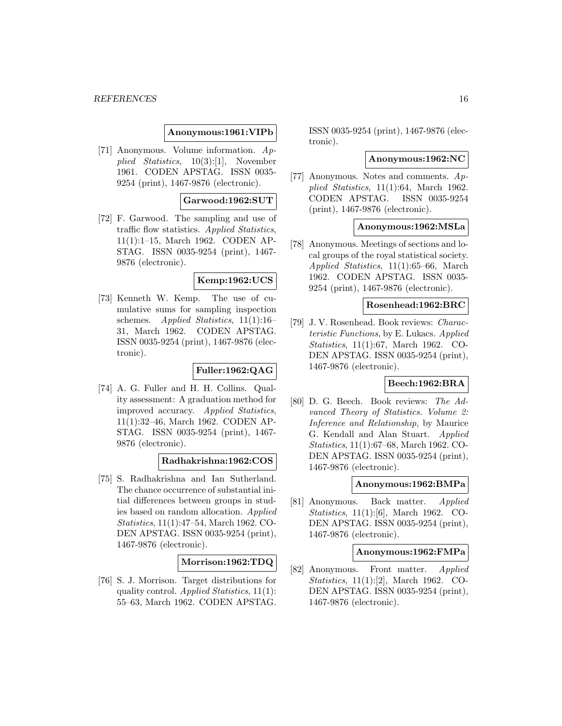### **Anonymous:1961:VIPb**

[71] Anonymous. Volume information. Applied Statistics, 10(3):[1], November 1961. CODEN APSTAG. ISSN 0035- 9254 (print), 1467-9876 (electronic).

### **Garwood:1962:SUT**

[72] F. Garwood. The sampling and use of traffic flow statistics. Applied Statistics, 11(1):1–15, March 1962. CODEN AP-STAG. ISSN 0035-9254 (print), 1467- 9876 (electronic).

### **Kemp:1962:UCS**

[73] Kenneth W. Kemp. The use of cumulative sums for sampling inspection schemes. Applied Statistics, 11(1):16– 31, March 1962. CODEN APSTAG. ISSN 0035-9254 (print), 1467-9876 (electronic).

# **Fuller:1962:QAG**

[74] A. G. Fuller and H. H. Collins. Quality assessment: A graduation method for improved accuracy. Applied Statistics, 11(1):32–46, March 1962. CODEN AP-STAG. ISSN 0035-9254 (print), 1467- 9876 (electronic).

### **Radhakrishna:1962:COS**

[75] S. Radhakrishna and Ian Sutherland. The chance occurrence of substantial initial differences between groups in studies based on random allocation. Applied Statistics, 11(1):47–54, March 1962. CO-DEN APSTAG. ISSN 0035-9254 (print), 1467-9876 (electronic).

# **Morrison:1962:TDQ**

[76] S. J. Morrison. Target distributions for quality control. Applied Statistics, 11(1): 55–63, March 1962. CODEN APSTAG.

ISSN 0035-9254 (print), 1467-9876 (electronic).

#### **Anonymous:1962:NC**

[77] Anonymous. Notes and comments. Applied Statistics, 11(1):64, March 1962. CODEN APSTAG. ISSN 0035-9254 (print), 1467-9876 (electronic).

# **Anonymous:1962:MSLa**

[78] Anonymous. Meetings of sections and local groups of the royal statistical society. Applied Statistics, 11(1):65–66, March 1962. CODEN APSTAG. ISSN 0035- 9254 (print), 1467-9876 (electronic).

# **Rosenhead:1962:BRC**

[79] J. V. Rosenhead. Book reviews: Characteristic Functions, by E. Lukacs. Applied Statistics, 11(1):67, March 1962. CO-DEN APSTAG. ISSN 0035-9254 (print), 1467-9876 (electronic).

# **Beech:1962:BRA**

[80] D. G. Beech. Book reviews: The Advanced Theory of Statistics. Volume 2: Inference and Relationship, by Maurice G. Kendall and Alan Stuart. Applied Statistics, 11(1):67–68, March 1962. CO-DEN APSTAG. ISSN 0035-9254 (print), 1467-9876 (electronic).

### **Anonymous:1962:BMPa**

[81] Anonymous. Back matter. Applied Statistics, 11(1):[6], March 1962. CO-DEN APSTAG. ISSN 0035-9254 (print), 1467-9876 (electronic).

### **Anonymous:1962:FMPa**

[82] Anonymous. Front matter. Applied Statistics, 11(1):[2], March 1962. CO-DEN APSTAG. ISSN 0035-9254 (print), 1467-9876 (electronic).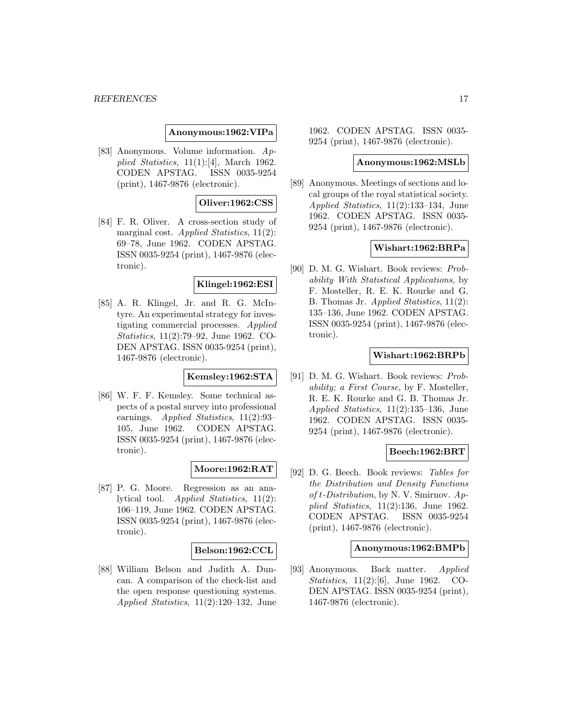### **Anonymous:1962:VIPa**

[83] Anonymous. Volume information. Applied Statistics,  $11(1):[4]$ , March 1962. CODEN APSTAG. ISSN 0035-9254 (print), 1467-9876 (electronic).

# **Oliver:1962:CSS**

[84] F. R. Oliver. A cross-section study of marginal cost. Applied Statistics,  $11(2)$ : 69–78, June 1962. CODEN APSTAG. ISSN 0035-9254 (print), 1467-9876 (electronic).

# **Klingel:1962:ESI**

[85] A. R. Klingel, Jr. and R. G. McIntyre. An experimental strategy for investigating commercial processes. Applied Statistics, 11(2):79–92, June 1962. CO-DEN APSTAG. ISSN 0035-9254 (print), 1467-9876 (electronic).

# **Kemsley:1962:STA**

[86] W. F. F. Kemsley. Some technical aspects of a postal survey into professional earnings. Applied Statistics, 11(2):93– 105, June 1962. CODEN APSTAG. ISSN 0035-9254 (print), 1467-9876 (electronic).

# **Moore:1962:RAT**

[87] P. G. Moore. Regression as an analytical tool. Applied Statistics, 11(2): 106–119, June 1962. CODEN APSTAG. ISSN 0035-9254 (print), 1467-9876 (electronic).

### **Belson:1962:CCL**

[88] William Belson and Judith A. Duncan. A comparison of the check-list and the open response questioning systems. Applied Statistics, 11(2):120–132, June 1962. CODEN APSTAG. ISSN 0035- 9254 (print), 1467-9876 (electronic).

### **Anonymous:1962:MSLb**

[89] Anonymous. Meetings of sections and local groups of the royal statistical society. Applied Statistics, 11(2):133–134, June 1962. CODEN APSTAG. ISSN 0035- 9254 (print), 1467-9876 (electronic).

### **Wishart:1962:BRPa**

[90] D. M. G. Wishart. Book reviews: Probability With Statistical Applications, by F. Mosteller, R. E. K. Rourke and G. B. Thomas Jr. Applied Statistics, 11(2): 135–136, June 1962. CODEN APSTAG. ISSN 0035-9254 (print), 1467-9876 (electronic).

### **Wishart:1962:BRPb**

[91] D. M. G. Wishart. Book reviews: Probability; a First Course, by F. Mosteller, R. E. K. Rourke and G. B. Thomas Jr. Applied Statistics, 11(2):135–136, June 1962. CODEN APSTAG. ISSN 0035- 9254 (print), 1467-9876 (electronic).

### **Beech:1962:BRT**

[92] D. G. Beech. Book reviews: Tables for the Distribution and Density Functions of t-Distribution, by N. V. Smirnov. Applied Statistics, 11(2):136, June 1962. CODEN APSTAG. ISSN 0035-9254 (print), 1467-9876 (electronic).

### **Anonymous:1962:BMPb**

[93] Anonymous. Back matter. Applied Statistics, 11(2):[6], June 1962. CO-DEN APSTAG. ISSN 0035-9254 (print), 1467-9876 (electronic).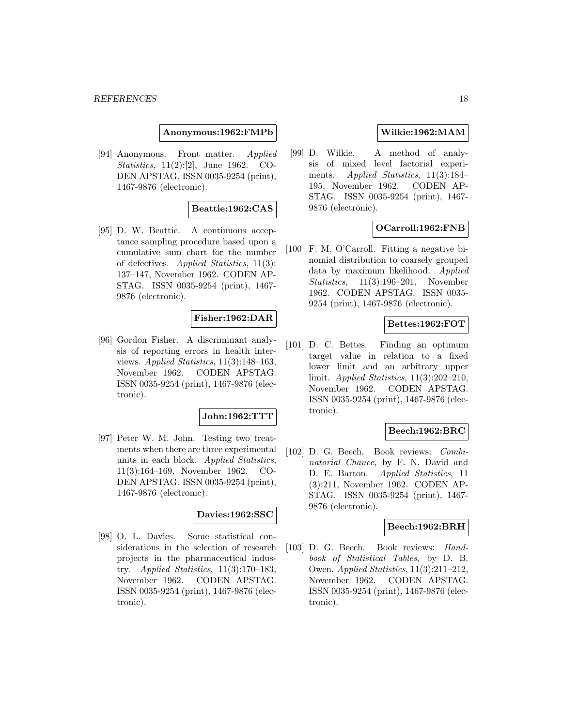**Anonymous:1962:FMPb**

[94] Anonymous. Front matter. Applied Statistics, 11(2):[2], June 1962. CO-DEN APSTAG. ISSN 0035-9254 (print), 1467-9876 (electronic).

# **Beattie:1962:CAS**

[95] D. W. Beattie. A continuous acceptance sampling procedure based upon a cumulative sum chart for the number of defectives. Applied Statistics, 11(3): 137–147, November 1962. CODEN AP-STAG. ISSN 0035-9254 (print), 1467- 9876 (electronic).

# **Fisher:1962:DAR**

[96] Gordon Fisher. A discriminant analysis of reporting errors in health interviews. Applied Statistics, 11(3):148–163, November 1962. CODEN APSTAG. ISSN 0035-9254 (print), 1467-9876 (electronic).

### **John:1962:TTT**

[97] Peter W. M. John. Testing two treatments when there are three experimental units in each block. Applied Statistics, 11(3):164–169, November 1962. CO-DEN APSTAG. ISSN 0035-9254 (print), 1467-9876 (electronic).

### **Davies:1962:SSC**

[98] O. L. Davies. Some statistical considerations in the selection of research projects in the pharmaceutical industry. Applied Statistics, 11(3):170–183, November 1962. CODEN APSTAG. ISSN 0035-9254 (print), 1467-9876 (electronic).

# **Wilkie:1962:MAM**

[99] D. Wilkie. A method of analysis of mixed level factorial experiments. Applied Statistics, 11(3):184– 195, November 1962. CODEN AP-STAG. ISSN 0035-9254 (print), 1467- 9876 (electronic).

# **OCarroll:1962:FNB**

[100] F. M. O'Carroll. Fitting a negative binomial distribution to coarsely grouped data by maximum likelihood. Applied Statistics, 11(3):196–201, November 1962. CODEN APSTAG. ISSN 0035- 9254 (print), 1467-9876 (electronic).

# **Bettes:1962:FOT**

[101] D. C. Bettes. Finding an optimum target value in relation to a fixed lower limit and an arbitrary upper limit. Applied Statistics, 11(3):202–210, November 1962. CODEN APSTAG. ISSN 0035-9254 (print), 1467-9876 (electronic).

### **Beech:1962:BRC**

[102] D. G. Beech. Book reviews: Combinatorial Chance, by F. N. David and D. E. Barton. Applied Statistics, 11 (3):211, November 1962. CODEN AP-STAG. ISSN 0035-9254 (print), 1467- 9876 (electronic).

### **Beech:1962:BRH**

[103] D. G. Beech. Book reviews: Handbook of Statistical Tables, by D. B. Owen. Applied Statistics, 11(3):211–212, November 1962. CODEN APSTAG. ISSN 0035-9254 (print), 1467-9876 (electronic).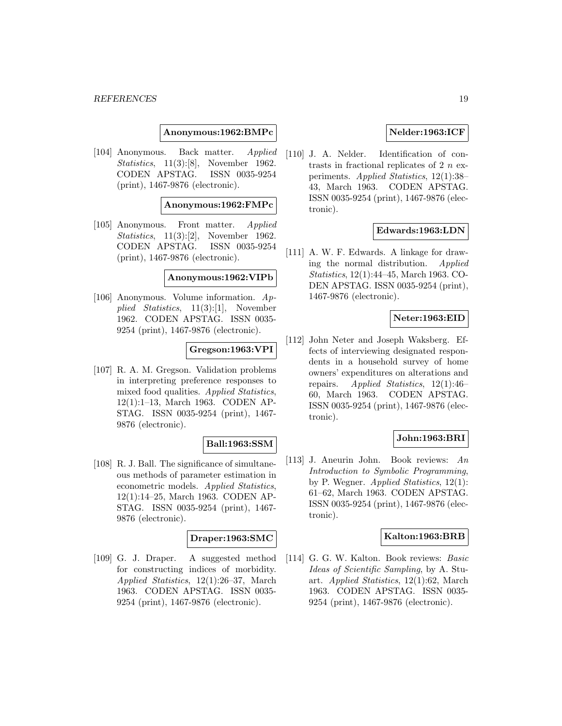**Anonymous:1962:BMPc**

[104] Anonymous. Back matter. Applied Statistics, 11(3):[8], November 1962. CODEN APSTAG. ISSN 0035-9254 (print), 1467-9876 (electronic).

### **Anonymous:1962:FMPc**

[105] Anonymous. Front matter. Applied Statistics, 11(3):[2], November 1962. CODEN APSTAG. ISSN 0035-9254 (print), 1467-9876 (electronic).

#### **Anonymous:1962:VIPb**

[106] Anonymous. Volume information. Applied Statistics, 11(3):[1], November 1962. CODEN APSTAG. ISSN 0035- 9254 (print), 1467-9876 (electronic).

### **Gregson:1963:VPI**

[107] R. A. M. Gregson. Validation problems in interpreting preference responses to mixed food qualities. Applied Statistics, 12(1):1–13, March 1963. CODEN AP-STAG. ISSN 0035-9254 (print), 1467- 9876 (electronic).

# **Ball:1963:SSM**

[108] R. J. Ball. The significance of simultaneous methods of parameter estimation in econometric models. Applied Statistics, 12(1):14–25, March 1963. CODEN AP-STAG. ISSN 0035-9254 (print), 1467- 9876 (electronic).

# **Draper:1963:SMC**

[109] G. J. Draper. A suggested method for constructing indices of morbidity. Applied Statistics, 12(1):26–37, March 1963. CODEN APSTAG. ISSN 0035- 9254 (print), 1467-9876 (electronic).

### **Nelder:1963:ICF**

[110] J. A. Nelder. Identification of contrasts in fractional replicates of  $2n$  experiments. Applied Statistics, 12(1):38– 43, March 1963. CODEN APSTAG. ISSN 0035-9254 (print), 1467-9876 (electronic).

# **Edwards:1963:LDN**

[111] A. W. F. Edwards. A linkage for drawing the normal distribution. Applied Statistics, 12(1):44–45, March 1963. CO-DEN APSTAG. ISSN 0035-9254 (print), 1467-9876 (electronic).

# **Neter:1963:EID**

[112] John Neter and Joseph Waksberg. Effects of interviewing designated respondents in a household survey of home owners' expenditures on alterations and repairs. Applied Statistics, 12(1):46– 60, March 1963. CODEN APSTAG. ISSN 0035-9254 (print), 1467-9876 (electronic).

# **John:1963:BRI**

[113] J. Aneurin John. Book reviews: An Introduction to Symbolic Programming, by P. Wegner. Applied Statistics, 12(1): 61–62, March 1963. CODEN APSTAG. ISSN 0035-9254 (print), 1467-9876 (electronic).

# **Kalton:1963:BRB**

[114] G. G. W. Kalton. Book reviews: Basic Ideas of Scientific Sampling, by A. Stuart. Applied Statistics, 12(1):62, March 1963. CODEN APSTAG. ISSN 0035- 9254 (print), 1467-9876 (electronic).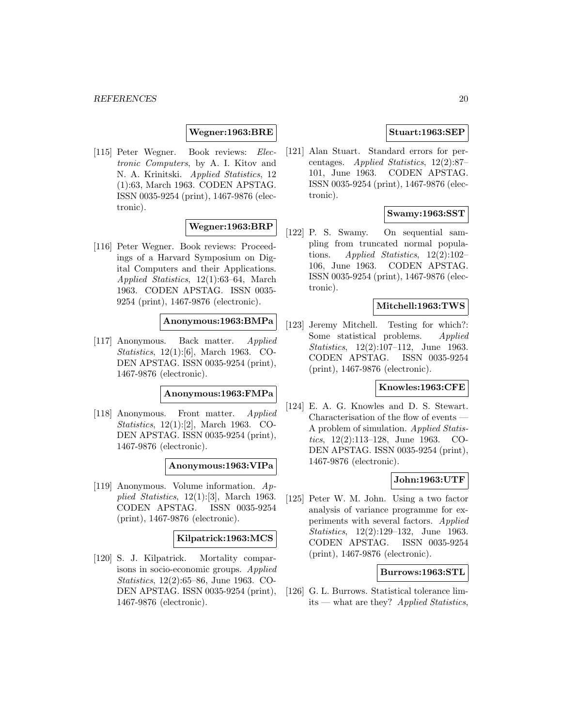### **Wegner:1963:BRE**

[115] Peter Wegner. Book reviews: Electronic Computers, by A. I. Kitov and N. A. Krinitski. Applied Statistics, 12 (1):63, March 1963. CODEN APSTAG. ISSN 0035-9254 (print), 1467-9876 (electronic).

# **Wegner:1963:BRP**

[116] Peter Wegner. Book reviews: Proceedings of a Harvard Symposium on Digital Computers and their Applications. Applied Statistics, 12(1):63–64, March 1963. CODEN APSTAG. ISSN 0035- 9254 (print), 1467-9876 (electronic).

# **Anonymous:1963:BMPa**

[117] Anonymous. Back matter. Applied Statistics, 12(1):[6], March 1963. CO-DEN APSTAG. ISSN 0035-9254 (print), 1467-9876 (electronic).

### **Anonymous:1963:FMPa**

[118] Anonymous. Front matter. Applied Statistics, 12(1):[2], March 1963. CO-DEN APSTAG. ISSN 0035-9254 (print), 1467-9876 (electronic).

### **Anonymous:1963:VIPa**

[119] Anonymous. Volume information. Applied Statistics,  $12(1):[3]$ , March 1963. CODEN APSTAG. ISSN 0035-9254 (print), 1467-9876 (electronic).

### **Kilpatrick:1963:MCS**

[120] S. J. Kilpatrick. Mortality comparisons in socio-economic groups. Applied Statistics, 12(2):65–86, June 1963. CO-DEN APSTAG. ISSN 0035-9254 (print), 1467-9876 (electronic).

### **Stuart:1963:SEP**

[121] Alan Stuart. Standard errors for percentages. Applied Statistics, 12(2):87– 101, June 1963. CODEN APSTAG. ISSN 0035-9254 (print), 1467-9876 (electronic).

# **Swamy:1963:SST**

[122] P. S. Swamy. On sequential sampling from truncated normal populations. Applied Statistics, 12(2):102– 106, June 1963. CODEN APSTAG. ISSN 0035-9254 (print), 1467-9876 (electronic).

### **Mitchell:1963:TWS**

[123] Jeremy Mitchell. Testing for which?: Some statistical problems. Applied Statistics, 12(2):107–112, June 1963. CODEN APSTAG. ISSN 0035-9254 (print), 1467-9876 (electronic).

# **Knowles:1963:CFE**

[124] E. A. G. Knowles and D. S. Stewart. Characterisation of the flow of events — A problem of simulation. Applied Statistics, 12(2):113–128, June 1963. CO-DEN APSTAG. ISSN 0035-9254 (print), 1467-9876 (electronic).

# **John:1963:UTF**

[125] Peter W. M. John. Using a two factor analysis of variance programme for experiments with several factors. Applied Statistics, 12(2):129–132, June 1963. CODEN APSTAG. ISSN 0035-9254 (print), 1467-9876 (electronic).

# **Burrows:1963:STL**

[126] G. L. Burrows. Statistical tolerance limits — what are they? Applied Statistics,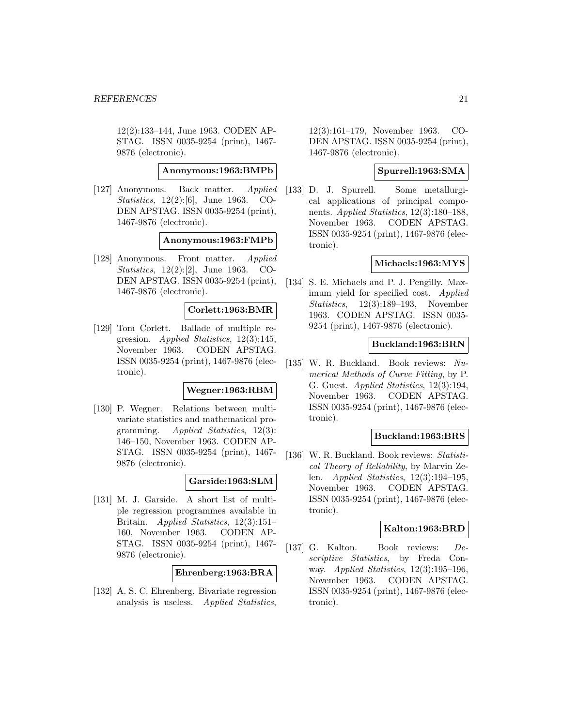12(2):133–144, June 1963. CODEN AP-STAG. ISSN 0035-9254 (print), 1467- 9876 (electronic).

**Anonymous:1963:BMPb**

[127] Anonymous. Back matter. Applied Statistics, 12(2):[6], June 1963. CO-DEN APSTAG. ISSN 0035-9254 (print), 1467-9876 (electronic).

### **Anonymous:1963:FMPb**

[128] Anonymous. Front matter. Applied Statistics, 12(2):[2], June 1963. CO-DEN APSTAG. ISSN 0035-9254 (print), 1467-9876 (electronic).

### **Corlett:1963:BMR**

[129] Tom Corlett. Ballade of multiple regression. Applied Statistics, 12(3):145, November 1963. CODEN APSTAG. ISSN 0035-9254 (print), 1467-9876 (electronic).

### **Wegner:1963:RBM**

[130] P. Wegner. Relations between multivariate statistics and mathematical programming. Applied Statistics, 12(3): 146–150, November 1963. CODEN AP-STAG. ISSN 0035-9254 (print), 1467- 9876 (electronic).

# **Garside:1963:SLM**

[131] M. J. Garside. A short list of multiple regression programmes available in Britain. Applied Statistics, 12(3):151– 160, November 1963. CODEN AP-STAG. ISSN 0035-9254 (print), 1467- 9876 (electronic).

### **Ehrenberg:1963:BRA**

[132] A. S. C. Ehrenberg. Bivariate regression analysis is useless. Applied Statistics,

12(3):161–179, November 1963. CO-DEN APSTAG. ISSN 0035-9254 (print), 1467-9876 (electronic).

# **Spurrell:1963:SMA**

[133] D. J. Spurrell. Some metallurgical applications of principal components. Applied Statistics, 12(3):180–188, November 1963. CODEN APSTAG. ISSN 0035-9254 (print), 1467-9876 (electronic).

### **Michaels:1963:MYS**

[134] S. E. Michaels and P. J. Pengilly. Maximum yield for specified cost. Applied Statistics, 12(3):189–193, November 1963. CODEN APSTAG. ISSN 0035- 9254 (print), 1467-9876 (electronic).

# **Buckland:1963:BRN**

[135] W. R. Buckland. Book reviews: Numerical Methods of Curve Fitting, by P. G. Guest. Applied Statistics, 12(3):194, November 1963. CODEN APSTAG. ISSN 0035-9254 (print), 1467-9876 (electronic).

### **Buckland:1963:BRS**

[136] W. R. Buckland. Book reviews: Statistical Theory of Reliability, by Marvin Zelen. Applied Statistics, 12(3):194–195, November 1963. CODEN APSTAG. ISSN 0035-9254 (print), 1467-9876 (electronic).

# **Kalton:1963:BRD**

[137] G. Kalton. Book reviews: Descriptive Statistics, by Freda Conway. Applied Statistics, 12(3):195–196, November 1963. CODEN APSTAG. ISSN 0035-9254 (print), 1467-9876 (electronic).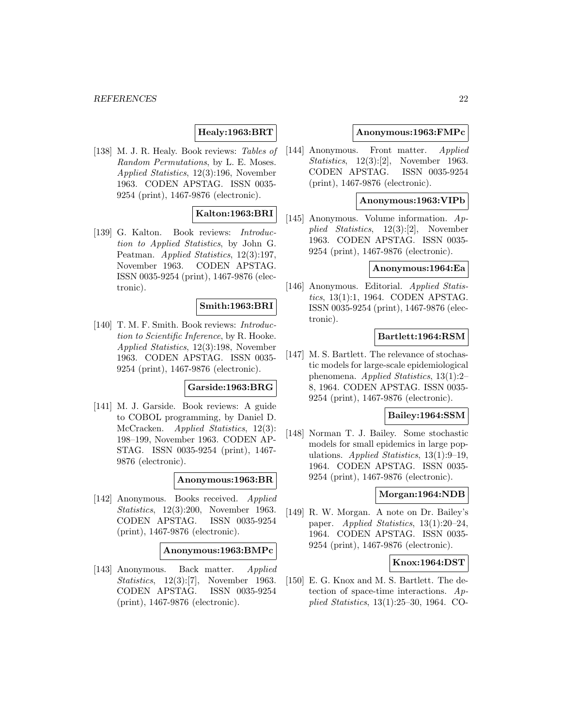# **Healy:1963:BRT**

[138] M. J. R. Healy. Book reviews: Tables of Random Permutations, by L. E. Moses. Applied Statistics, 12(3):196, November 1963. CODEN APSTAG. ISSN 0035- 9254 (print), 1467-9876 (electronic).

# **Kalton:1963:BRI**

[139] G. Kalton. Book reviews: Introduction to Applied Statistics, by John G. Peatman. Applied Statistics, 12(3):197, November 1963. CODEN APSTAG. ISSN 0035-9254 (print), 1467-9876 (electronic).

### **Smith:1963:BRI**

[140] T. M. F. Smith. Book reviews: Introduction to Scientific Inference, by R. Hooke. Applied Statistics, 12(3):198, November 1963. CODEN APSTAG. ISSN 0035- 9254 (print), 1467-9876 (electronic).

# **Garside:1963:BRG**

[141] M. J. Garside. Book reviews: A guide to COBOL programming, by Daniel D. McCracken. Applied Statistics, 12(3): 198–199, November 1963. CODEN AP-STAG. ISSN 0035-9254 (print), 1467- 9876 (electronic).

### **Anonymous:1963:BR**

[142] Anonymous. Books received. Applied Statistics, 12(3):200, November 1963. CODEN APSTAG. ISSN 0035-9254 (print), 1467-9876 (electronic).

### **Anonymous:1963:BMPc**

[143] Anonymous. Back matter. Applied Statistics, 12(3):[7], November 1963. CODEN APSTAG. ISSN 0035-9254 (print), 1467-9876 (electronic).

### **Anonymous:1963:FMPc**

[144] Anonymous. Front matter. Applied Statistics, 12(3):[2], November 1963. CODEN APSTAG. ISSN 0035-9254 (print), 1467-9876 (electronic).

# **Anonymous:1963:VIPb**

[145] Anonymous. Volume information. Applied Statistics, 12(3):[2], November 1963. CODEN APSTAG. ISSN 0035- 9254 (print), 1467-9876 (electronic).

### **Anonymous:1964:Ea**

[146] Anonymous. Editorial. Applied Statistics, 13(1):1, 1964. CODEN APSTAG. ISSN 0035-9254 (print), 1467-9876 (electronic).

# **Bartlett:1964:RSM**

[147] M. S. Bartlett. The relevance of stochastic models for large-scale epidemiological phenomena. Applied Statistics, 13(1):2– 8, 1964. CODEN APSTAG. ISSN 0035- 9254 (print), 1467-9876 (electronic).

### **Bailey:1964:SSM**

[148] Norman T. J. Bailey. Some stochastic models for small epidemics in large populations. Applied Statistics, 13(1):9–19, 1964. CODEN APSTAG. ISSN 0035- 9254 (print), 1467-9876 (electronic).

# **Morgan:1964:NDB**

[149] R. W. Morgan. A note on Dr. Bailey's paper. Applied Statistics, 13(1):20–24, 1964. CODEN APSTAG. ISSN 0035- 9254 (print), 1467-9876 (electronic).

### **Knox:1964:DST**

[150] E. G. Knox and M. S. Bartlett. The detection of space-time interactions. Applied Statistics, 13(1):25–30, 1964. CO-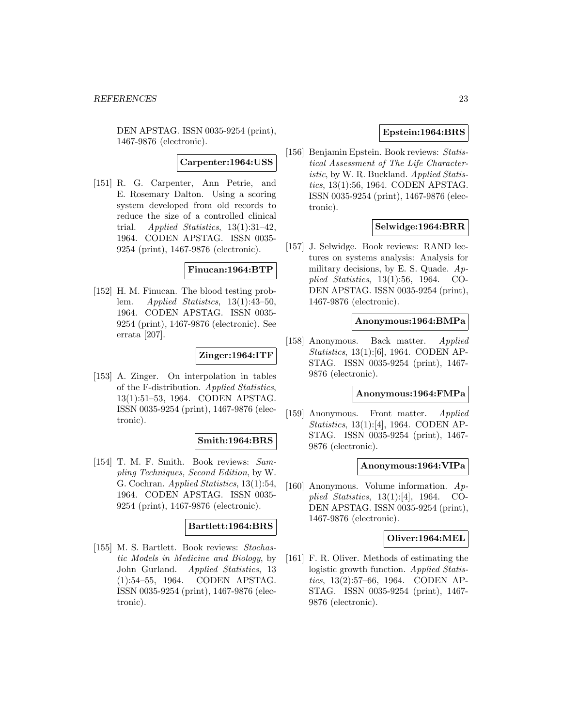DEN APSTAG. ISSN 0035-9254 (print), 1467-9876 (electronic).

**Carpenter:1964:USS**

[151] R. G. Carpenter, Ann Petrie, and E. Rosemary Dalton. Using a scoring system developed from old records to reduce the size of a controlled clinical trial. Applied Statistics, 13(1):31–42, 1964. CODEN APSTAG. ISSN 0035- 9254 (print), 1467-9876 (electronic).

### **Finucan:1964:BTP**

[152] H. M. Finucan. The blood testing problem. Applied Statistics, 13(1):43–50, 1964. CODEN APSTAG. ISSN 0035- 9254 (print), 1467-9876 (electronic). See errata [207].

# **Zinger:1964:ITF**

[153] A. Zinger. On interpolation in tables of the F-distribution. Applied Statistics, 13(1):51–53, 1964. CODEN APSTAG. ISSN 0035-9254 (print), 1467-9876 (electronic).

# **Smith:1964:BRS**

[154] T. M. F. Smith. Book reviews: Sampling Techniques, Second Edition, by W. G. Cochran. Applied Statistics, 13(1):54, 1964. CODEN APSTAG. ISSN 0035- 9254 (print), 1467-9876 (electronic).

### **Bartlett:1964:BRS**

[155] M. S. Bartlett. Book reviews: Stochastic Models in Medicine and Biology, by John Gurland. Applied Statistics, 13 (1):54–55, 1964. CODEN APSTAG. ISSN 0035-9254 (print), 1467-9876 (electronic).

# **Epstein:1964:BRS**

[156] Benjamin Epstein. Book reviews: Statistical Assessment of The Life Characteristic, by W. R. Buckland. Applied Statistics, 13(1):56, 1964. CODEN APSTAG. ISSN 0035-9254 (print), 1467-9876 (electronic).

# **Selwidge:1964:BRR**

[157] J. Selwidge. Book reviews: RAND lectures on systems analysis: Analysis for military decisions, by E. S. Quade.  $Ap$ plied Statistics, 13(1):56, 1964. CO-DEN APSTAG. ISSN 0035-9254 (print), 1467-9876 (electronic).

### **Anonymous:1964:BMPa**

[158] Anonymous. Back matter. Applied Statistics, 13(1):[6], 1964. CODEN AP-STAG. ISSN 0035-9254 (print), 1467- 9876 (electronic).

# **Anonymous:1964:FMPa**

[159] Anonymous. Front matter. Applied Statistics, 13(1):[4], 1964. CODEN AP-STAG. ISSN 0035-9254 (print), 1467- 9876 (electronic).

### **Anonymous:1964:VIPa**

[160] Anonymous. Volume information. Applied Statistics, 13(1):[4], 1964. CO-DEN APSTAG. ISSN 0035-9254 (print), 1467-9876 (electronic).

### **Oliver:1964:MEL**

[161] F. R. Oliver. Methods of estimating the logistic growth function. Applied Statistics, 13(2):57–66, 1964. CODEN AP-STAG. ISSN 0035-9254 (print), 1467- 9876 (electronic).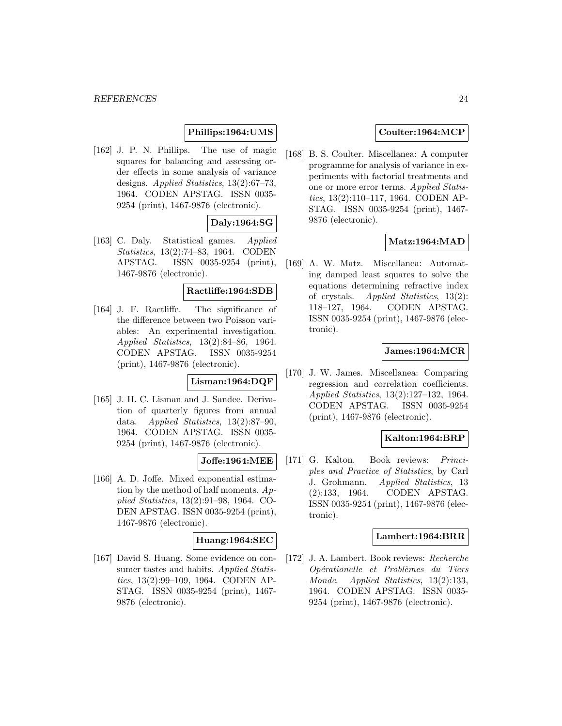# **Phillips:1964:UMS**

[162] J. P. N. Phillips. The use of magic squares for balancing and assessing order effects in some analysis of variance designs. Applied Statistics, 13(2):67–73, 1964. CODEN APSTAG. ISSN 0035- 9254 (print), 1467-9876 (electronic).

# **Daly:1964:SG**

[163] C. Daly. Statistical games. Applied Statistics, 13(2):74–83, 1964. CODEN APSTAG. ISSN 0035-9254 (print), 1467-9876 (electronic).

# **Ractliffe:1964:SDB**

[164] J. F. Ractliffe. The significance of the difference between two Poisson variables: An experimental investigation. Applied Statistics, 13(2):84–86, 1964. CODEN APSTAG. ISSN 0035-9254 (print), 1467-9876 (electronic).

# **Lisman:1964:DQF**

[165] J. H. C. Lisman and J. Sandee. Derivation of quarterly figures from annual data. Applied Statistics, 13(2):87–90, 1964. CODEN APSTAG. ISSN 0035- 9254 (print), 1467-9876 (electronic).

# **Joffe:1964:MEE**

[166] A. D. Joffe. Mixed exponential estimation by the method of half moments.  $Ap$ plied Statistics, 13(2):91–98, 1964. CO-DEN APSTAG. ISSN 0035-9254 (print), 1467-9876 (electronic).

# **Huang:1964:SEC**

[167] David S. Huang. Some evidence on consumer tastes and habits. Applied Statistics, 13(2):99–109, 1964. CODEN AP-STAG. ISSN 0035-9254 (print), 1467- 9876 (electronic).

# **Coulter:1964:MCP**

[168] B. S. Coulter. Miscellanea: A computer programme for analysis of variance in experiments with factorial treatments and one or more error terms. Applied Statistics, 13(2):110–117, 1964. CODEN AP-STAG. ISSN 0035-9254 (print), 1467- 9876 (electronic).

### **Matz:1964:MAD**

[169] A. W. Matz. Miscellanea: Automating damped least squares to solve the equations determining refractive index of crystals. Applied Statistics, 13(2): 118–127, 1964. CODEN APSTAG. ISSN 0035-9254 (print), 1467-9876 (electronic).

# **James:1964:MCR**

[170] J. W. James. Miscellanea: Comparing regression and correlation coefficients. Applied Statistics, 13(2):127–132, 1964. CODEN APSTAG. ISSN 0035-9254 (print), 1467-9876 (electronic).

# **Kalton:1964:BRP**

[171] G. Kalton. Book reviews: Principles and Practice of Statistics, by Carl J. Grohmann. Applied Statistics, 13 (2):133, 1964. CODEN APSTAG. ISSN 0035-9254 (print), 1467-9876 (electronic).

### **Lambert:1964:BRR**

[172] J. A. Lambert. Book reviews: Recherche Opérationelle et Problèmes du Tiers Monde. Applied Statistics, 13(2):133, 1964. CODEN APSTAG. ISSN 0035- 9254 (print), 1467-9876 (electronic).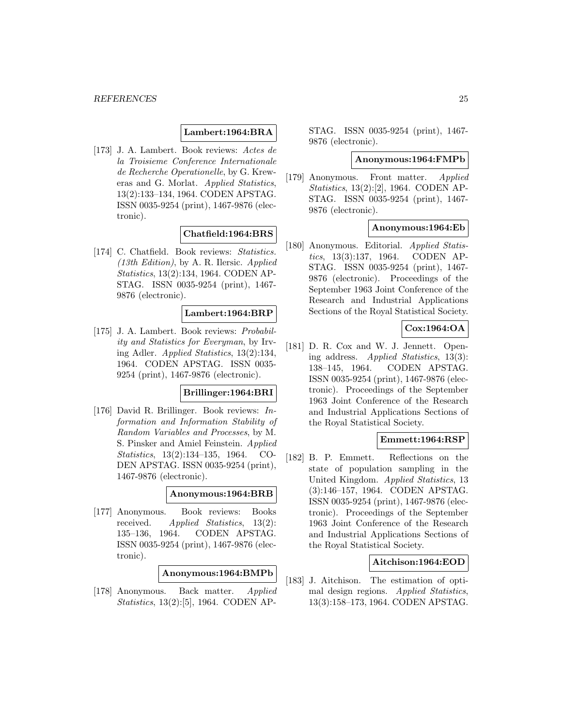# **Lambert:1964:BRA**

[173] J. A. Lambert. Book reviews: Actes de la Troisieme Conference Internationale de Recherche Operationelle, by G. Kreweras and G. Morlat. Applied Statistics, 13(2):133–134, 1964. CODEN APSTAG. ISSN 0035-9254 (print), 1467-9876 (electronic).

### **Chatfield:1964:BRS**

[174] C. Chatfield. Book reviews: Statistics. (13th Edition), by A. R. Ilersic. Applied Statistics, 13(2):134, 1964. CODEN AP-STAG. ISSN 0035-9254 (print), 1467- 9876 (electronic).

### **Lambert:1964:BRP**

[175] J. A. Lambert. Book reviews: Probability and Statistics for Everyman, by Irving Adler. Applied Statistics, 13(2):134, 1964. CODEN APSTAG. ISSN 0035- 9254 (print), 1467-9876 (electronic).

### **Brillinger:1964:BRI**

[176] David R. Brillinger. Book reviews: Information and Information Stability of Random Variables and Processes, by M. S. Pinsker and Amiel Feinstein. Applied Statistics, 13(2):134–135, 1964. CO-DEN APSTAG. ISSN 0035-9254 (print), 1467-9876 (electronic).

### **Anonymous:1964:BRB**

[177] Anonymous. Book reviews: Books received. Applied Statistics, 13(2): 135–136, 1964. CODEN APSTAG. ISSN 0035-9254 (print), 1467-9876 (electronic).

### **Anonymous:1964:BMPb**

[178] Anonymous. Back matter. Applied Statistics, 13(2):[5], 1964. CODEN AP-

STAG. ISSN 0035-9254 (print), 1467- 9876 (electronic).

#### **Anonymous:1964:FMPb**

[179] Anonymous. Front matter. Applied Statistics, 13(2):[2], 1964. CODEN AP-STAG. ISSN 0035-9254 (print), 1467- 9876 (electronic).

# **Anonymous:1964:Eb**

[180] Anonymous. Editorial. Applied Statistics, 13(3):137, 1964. CODEN AP-STAG. ISSN 0035-9254 (print), 1467- 9876 (electronic). Proceedings of the September 1963 Joint Conference of the Research and Industrial Applications Sections of the Royal Statistical Society.

# **Cox:1964:OA**

[181] D. R. Cox and W. J. Jennett. Opening address. Applied Statistics, 13(3): 138–145, 1964. CODEN APSTAG. ISSN 0035-9254 (print), 1467-9876 (electronic). Proceedings of the September 1963 Joint Conference of the Research and Industrial Applications Sections of the Royal Statistical Society.

### **Emmett:1964:RSP**

[182] B. P. Emmett. Reflections on the state of population sampling in the United Kingdom. Applied Statistics, 13 (3):146–157, 1964. CODEN APSTAG. ISSN 0035-9254 (print), 1467-9876 (electronic). Proceedings of the September 1963 Joint Conference of the Research and Industrial Applications Sections of the Royal Statistical Society.

### **Aitchison:1964:EOD**

[183] J. Aitchison. The estimation of optimal design regions. Applied Statistics, 13(3):158–173, 1964. CODEN APSTAG.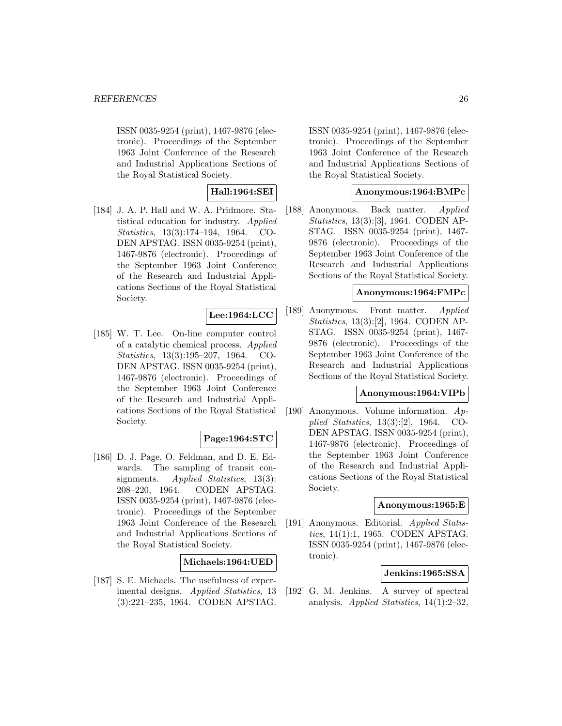ISSN 0035-9254 (print), 1467-9876 (electronic). Proceedings of the September 1963 Joint Conference of the Research and Industrial Applications Sections of the Royal Statistical Society.

# **Hall:1964:SEI**

[184] J. A. P. Hall and W. A. Pridmore. Statistical education for industry. Applied Statistics, 13(3):174–194, 1964. CO-DEN APSTAG. ISSN 0035-9254 (print), 1467-9876 (electronic). Proceedings of the September 1963 Joint Conference of the Research and Industrial Applications Sections of the Royal Statistical Society.

# **Lee:1964:LCC**

[185] W. T. Lee. On-line computer control of a catalytic chemical process. Applied Statistics, 13(3):195–207, 1964. CO-DEN APSTAG. ISSN 0035-9254 (print), 1467-9876 (electronic). Proceedings of the September 1963 Joint Conference of the Research and Industrial Applications Sections of the Royal Statistical Society.

# **Page:1964:STC**

[186] D. J. Page, O. Feldman, and D. E. Edwards. The sampling of transit consignments. Applied Statistics, 13(3): 208–220, 1964. CODEN APSTAG. ISSN 0035-9254 (print), 1467-9876 (electronic). Proceedings of the September 1963 Joint Conference of the Research and Industrial Applications Sections of the Royal Statistical Society.

# **Michaels:1964:UED**

[187] S. E. Michaels. The usefulness of experimental designs. Applied Statistics, 13 (3):221–235, 1964. CODEN APSTAG.

ISSN 0035-9254 (print), 1467-9876 (electronic). Proceedings of the September 1963 Joint Conference of the Research and Industrial Applications Sections of the Royal Statistical Society.

# **Anonymous:1964:BMPc**

[188] Anonymous. Back matter. Applied Statistics, 13(3):[3], 1964. CODEN AP-STAG. ISSN 0035-9254 (print), 1467- 9876 (electronic). Proceedings of the September 1963 Joint Conference of the Research and Industrial Applications Sections of the Royal Statistical Society.

# **Anonymous:1964:FMPc**

[189] Anonymous. Front matter. Applied Statistics, 13(3):[2], 1964. CODEN AP-STAG. ISSN 0035-9254 (print), 1467- 9876 (electronic). Proceedings of the September 1963 Joint Conference of the Research and Industrial Applications Sections of the Royal Statistical Society.

# **Anonymous:1964:VIPb**

[190] Anonymous. Volume information. Applied Statistics, 13(3):[2], 1964. CO-DEN APSTAG. ISSN 0035-9254 (print), 1467-9876 (electronic). Proceedings of the September 1963 Joint Conference of the Research and Industrial Applications Sections of the Royal Statistical Society.

# **Anonymous:1965:E**

[191] Anonymous. Editorial. Applied Statistics, 14(1):1, 1965. CODEN APSTAG. ISSN 0035-9254 (print), 1467-9876 (electronic).

# **Jenkins:1965:SSA**

[192] G. M. Jenkins. A survey of spectral analysis. Applied Statistics,  $14(1):2-32$ ,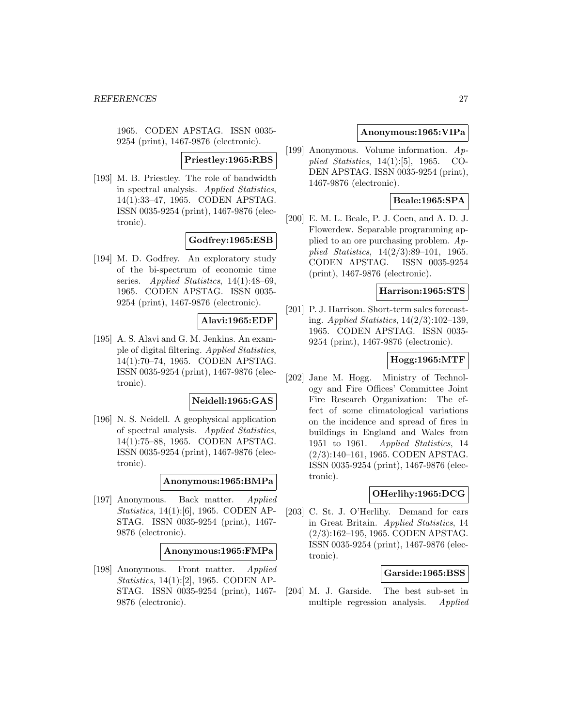1965. CODEN APSTAG. ISSN 0035- 9254 (print), 1467-9876 (electronic).

# **Priestley:1965:RBS**

[193] M. B. Priestley. The role of bandwidth in spectral analysis. Applied Statistics, 14(1):33–47, 1965. CODEN APSTAG. ISSN 0035-9254 (print), 1467-9876 (electronic).

# **Godfrey:1965:ESB**

[194] M. D. Godfrey. An exploratory study of the bi-spectrum of economic time series. Applied Statistics, 14(1):48-69, 1965. CODEN APSTAG. ISSN 0035- 9254 (print), 1467-9876 (electronic).

# **Alavi:1965:EDF**

[195] A. S. Alavi and G. M. Jenkins. An example of digital filtering. Applied Statistics, 14(1):70–74, 1965. CODEN APSTAG. ISSN 0035-9254 (print), 1467-9876 (electronic).

# **Neidell:1965:GAS**

[196] N. S. Neidell. A geophysical application of spectral analysis. Applied Statistics, 14(1):75–88, 1965. CODEN APSTAG. ISSN 0035-9254 (print), 1467-9876 (electronic).

# **Anonymous:1965:BMPa**

[197] Anonymous. Back matter. Applied Statistics, 14(1):[6], 1965. CODEN AP-STAG. ISSN 0035-9254 (print), 1467- 9876 (electronic).

### **Anonymous:1965:FMPa**

[198] Anonymous. Front matter. Applied Statistics, 14(1):[2], 1965. CODEN AP-STAG. ISSN 0035-9254 (print), 1467- 9876 (electronic).

# **Anonymous:1965:VIPa**

[199] Anonymous. Volume information. Applied Statistics, 14(1):[5], 1965. CO-DEN APSTAG. ISSN 0035-9254 (print), 1467-9876 (electronic).

# **Beale:1965:SPA**

[200] E. M. L. Beale, P. J. Coen, and A. D. J. Flowerdew. Separable programming applied to an ore purchasing problem. Applied Statistics, 14(2/3):89–101, 1965. CODEN APSTAG. ISSN 0035-9254 (print), 1467-9876 (electronic).

# **Harrison:1965:STS**

[201] P. J. Harrison. Short-term sales forecasting. Applied Statistics, 14(2/3):102–139, 1965. CODEN APSTAG. ISSN 0035- 9254 (print), 1467-9876 (electronic).

### **Hogg:1965:MTF**

[202] Jane M. Hogg. Ministry of Technology and Fire Offices' Committee Joint Fire Research Organization: The effect of some climatological variations on the incidence and spread of fires in buildings in England and Wales from 1951 to 1961. Applied Statistics, 14 (2/3):140–161, 1965. CODEN APSTAG. ISSN 0035-9254 (print), 1467-9876 (electronic).

# **OHerlihy:1965:DCG**

[203] C. St. J. O'Herlihy. Demand for cars in Great Britain. Applied Statistics, 14 (2/3):162–195, 1965. CODEN APSTAG. ISSN 0035-9254 (print), 1467-9876 (electronic).

### **Garside:1965:BSS**

[204] M. J. Garside. The best sub-set in multiple regression analysis. Applied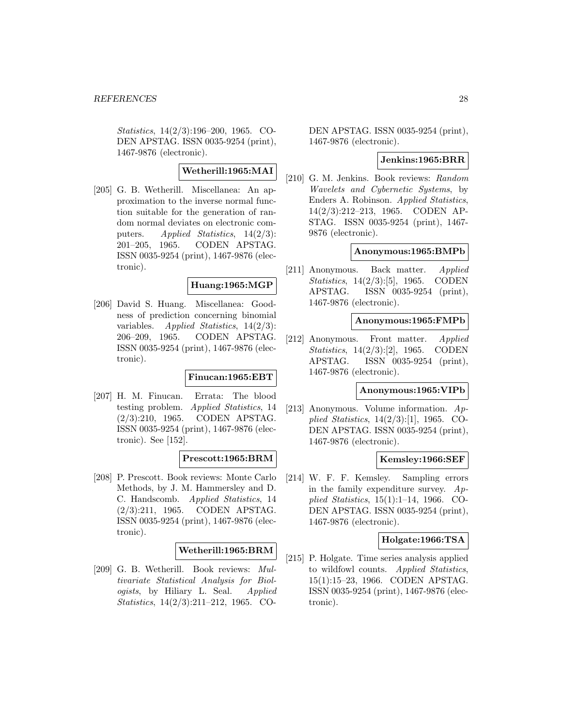Statistics, 14(2/3):196–200, 1965. CO-DEN APSTAG. ISSN 0035-9254 (print), 1467-9876 (electronic).

# **Wetherill:1965:MAI**

[205] G. B. Wetherill. Miscellanea: An approximation to the inverse normal function suitable for the generation of random normal deviates on electronic computers. Applied Statistics,  $14(2/3)$ : 201–205, 1965. CODEN APSTAG. ISSN 0035-9254 (print), 1467-9876 (electronic).

# **Huang:1965:MGP**

[206] David S. Huang. Miscellanea: Goodness of prediction concerning binomial variables. Applied Statistics,  $14(2/3)$ : 206–209, 1965. CODEN APSTAG. ISSN 0035-9254 (print), 1467-9876 (electronic).

### **Finucan:1965:EBT**

[207] H. M. Finucan. Errata: The blood testing problem. Applied Statistics, 14 (2/3):210, 1965. CODEN APSTAG. ISSN 0035-9254 (print), 1467-9876 (electronic). See [152].

# **Prescott:1965:BRM**

[208] P. Prescott. Book reviews: Monte Carlo Methods, by J. M. Hammersley and D. C. Handscomb. Applied Statistics, 14 (2/3):211, 1965. CODEN APSTAG. ISSN 0035-9254 (print), 1467-9876 (electronic).

# **Wetherill:1965:BRM**

[209] G. B. Wetherill. Book reviews: Multivariate Statistical Analysis for Biologists, by Hiliary L. Seal. Applied Statistics, 14(2/3):211–212, 1965. CO-

DEN APSTAG. ISSN 0035-9254 (print), 1467-9876 (electronic).

# **Jenkins:1965:BRR**

[210] G. M. Jenkins. Book reviews: Random Wavelets and Cybernetic Systems, by Enders A. Robinson. Applied Statistics, 14(2/3):212–213, 1965. CODEN AP-STAG. ISSN 0035-9254 (print), 1467- 9876 (electronic).

### **Anonymous:1965:BMPb**

[211] Anonymous. Back matter. Applied Statistics, 14(2/3):[5], 1965. CODEN APSTAG. ISSN 0035-9254 (print), 1467-9876 (electronic).

### **Anonymous:1965:FMPb**

[212] Anonymous. Front matter. Applied Statistics, 14(2/3):[2], 1965. CODEN APSTAG. ISSN 0035-9254 (print), 1467-9876 (electronic).

### **Anonymous:1965:VIPb**

[213] Anonymous. Volume information. Applied Statistics, 14(2/3):[1], 1965. CO-DEN APSTAG. ISSN 0035-9254 (print), 1467-9876 (electronic).

# **Kemsley:1966:SEF**

[214] W. F. F. Kemsley. Sampling errors in the family expenditure survey.  $Ap$ plied Statistics, 15(1):1–14, 1966. CO-DEN APSTAG. ISSN 0035-9254 (print), 1467-9876 (electronic).

# **Holgate:1966:TSA**

[215] P. Holgate. Time series analysis applied to wildfowl counts. Applied Statistics, 15(1):15–23, 1966. CODEN APSTAG. ISSN 0035-9254 (print), 1467-9876 (electronic).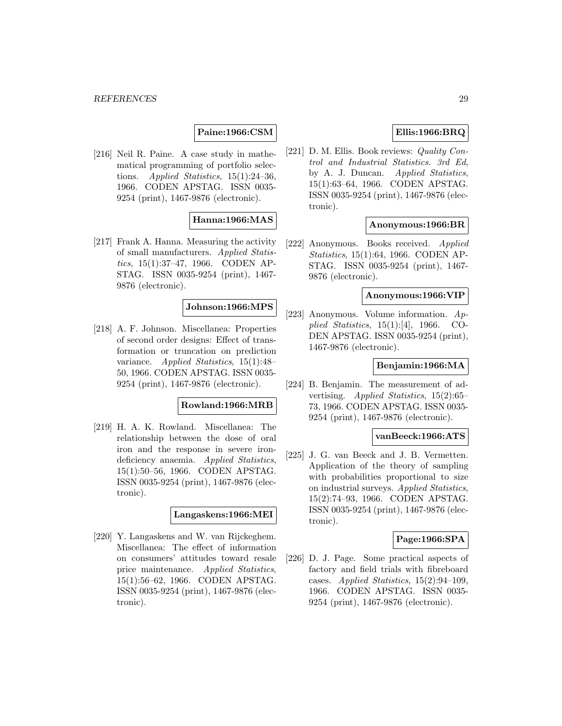# **Paine:1966:CSM**

[216] Neil R. Paine. A case study in mathematical programming of portfolio selections. Applied Statistics, 15(1):24–36, 1966. CODEN APSTAG. ISSN 0035- 9254 (print), 1467-9876 (electronic).

# **Hanna:1966:MAS**

[217] Frank A. Hanna. Measuring the activity of small manufacturers. Applied Statistics, 15(1):37–47, 1966. CODEN AP-STAG. ISSN 0035-9254 (print), 1467- 9876 (electronic).

# **Johnson:1966:MPS**

[218] A. F. Johnson. Miscellanea: Properties of second order designs: Effect of transformation or truncation on prediction variance. Applied Statistics, 15(1):48– 50, 1966. CODEN APSTAG. ISSN 0035- 9254 (print), 1467-9876 (electronic).

### **Rowland:1966:MRB**

[219] H. A. K. Rowland. Miscellanea: The relationship between the dose of oral iron and the response in severe irondeficiency anaemia. Applied Statistics, 15(1):50–56, 1966. CODEN APSTAG. ISSN 0035-9254 (print), 1467-9876 (electronic).

### **Langaskens:1966:MEI**

[220] Y. Langaskens and W. van Rijckeghem. Miscellanea: The effect of information on consumers' attitudes toward resale price maintenance. Applied Statistics, 15(1):56–62, 1966. CODEN APSTAG. ISSN 0035-9254 (print), 1467-9876 (electronic).

# **Ellis:1966:BRQ**

[221] D. M. Ellis. Book reviews: *Quality Con*trol and Industrial Statistics. 3rd Ed, by A. J. Duncan. Applied Statistics, 15(1):63–64, 1966. CODEN APSTAG. ISSN 0035-9254 (print), 1467-9876 (electronic).

### **Anonymous:1966:BR**

[222] Anonymous. Books received. Applied Statistics, 15(1):64, 1966. CODEN AP-STAG. ISSN 0035-9254 (print), 1467- 9876 (electronic).

#### **Anonymous:1966:VIP**

[223] Anonymous. Volume information. Applied Statistics, 15(1):[4], 1966. CO-DEN APSTAG. ISSN 0035-9254 (print), 1467-9876 (electronic).

### **Benjamin:1966:MA**

[224] B. Benjamin. The measurement of advertising. Applied Statistics, 15(2):65– 73, 1966. CODEN APSTAG. ISSN 0035- 9254 (print), 1467-9876 (electronic).

### **vanBeeck:1966:ATS**

[225] J. G. van Beeck and J. B. Vermetten. Application of the theory of sampling with probabilities proportional to size on industrial surveys. Applied Statistics, 15(2):74–93, 1966. CODEN APSTAG. ISSN 0035-9254 (print), 1467-9876 (electronic).

# **Page:1966:SPA**

[226] D. J. Page. Some practical aspects of factory and field trials with fibreboard cases. Applied Statistics, 15(2):94–109, 1966. CODEN APSTAG. ISSN 0035- 9254 (print), 1467-9876 (electronic).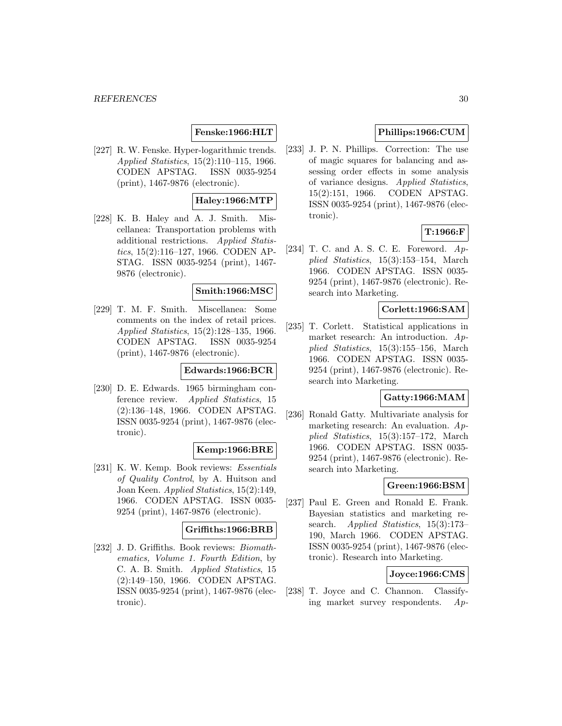# **Fenske:1966:HLT**

[227] R. W. Fenske. Hyper-logarithmic trends. Applied Statistics, 15(2):110–115, 1966. CODEN APSTAG. ISSN 0035-9254 (print), 1467-9876 (electronic).

# **Haley:1966:MTP**

[228] K. B. Haley and A. J. Smith. Miscellanea: Transportation problems with additional restrictions. Applied Statistics, 15(2):116–127, 1966. CODEN AP-STAG. ISSN 0035-9254 (print), 1467- 9876 (electronic).

### **Smith:1966:MSC**

[229] T. M. F. Smith. Miscellanea: Some comments on the index of retail prices. Applied Statistics, 15(2):128–135, 1966. CODEN APSTAG. ISSN 0035-9254 (print), 1467-9876 (electronic).

### **Edwards:1966:BCR**

[230] D. E. Edwards. 1965 birmingham conference review. Applied Statistics, 15 (2):136–148, 1966. CODEN APSTAG. ISSN 0035-9254 (print), 1467-9876 (electronic).

# **Kemp:1966:BRE**

[231] K. W. Kemp. Book reviews: Essentials of Quality Control, by A. Huitson and Joan Keen. Applied Statistics, 15(2):149, 1966. CODEN APSTAG. ISSN 0035- 9254 (print), 1467-9876 (electronic).

# **Griffiths:1966:BRB**

[232] J. D. Griffiths. Book reviews: Biomathematics, Volume 1. Fourth Edition, by C. A. B. Smith. Applied Statistics, 15 (2):149–150, 1966. CODEN APSTAG. ISSN 0035-9254 (print), 1467-9876 (electronic).

# **Phillips:1966:CUM**

[233] J. P. N. Phillips. Correction: The use of magic squares for balancing and assessing order effects in some analysis of variance designs. Applied Statistics, 15(2):151, 1966. CODEN APSTAG. ISSN 0035-9254 (print), 1467-9876 (electronic).

# **T:1966:F**

[234] T. C. and A. S. C. E. Foreword. Applied Statistics, 15(3):153–154, March 1966. CODEN APSTAG. ISSN 0035- 9254 (print), 1467-9876 (electronic). Research into Marketing.

### **Corlett:1966:SAM**

[235] T. Corlett. Statistical applications in market research: An introduction. Applied Statistics, 15(3):155–156, March 1966. CODEN APSTAG. ISSN 0035- 9254 (print), 1467-9876 (electronic). Research into Marketing.

### **Gatty:1966:MAM**

[236] Ronald Gatty. Multivariate analysis for marketing research: An evaluation. Applied Statistics, 15(3):157–172, March 1966. CODEN APSTAG. ISSN 0035- 9254 (print), 1467-9876 (electronic). Research into Marketing.

### **Green:1966:BSM**

[237] Paul E. Green and Ronald E. Frank. Bayesian statistics and marketing research. *Applied Statistics*, 15(3):173– 190, March 1966. CODEN APSTAG. ISSN 0035-9254 (print), 1467-9876 (electronic). Research into Marketing.

### **Joyce:1966:CMS**

[238] T. Joyce and C. Channon. Classifying market survey respondents. Ap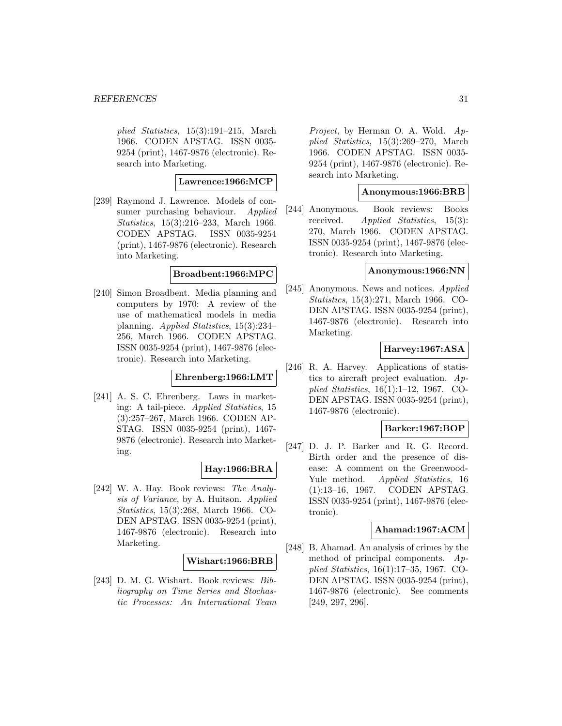plied Statistics, 15(3):191–215, March 1966. CODEN APSTAG. ISSN 0035- 9254 (print), 1467-9876 (electronic). Research into Marketing.

# **Lawrence:1966:MCP**

[239] Raymond J. Lawrence. Models of consumer purchasing behaviour. Applied Statistics, 15(3):216–233, March 1966. CODEN APSTAG. ISSN 0035-9254 (print), 1467-9876 (electronic). Research into Marketing.

# **Broadbent:1966:MPC**

[240] Simon Broadbent. Media planning and computers by 1970: A review of the use of mathematical models in media planning. Applied Statistics, 15(3):234– 256, March 1966. CODEN APSTAG. ISSN 0035-9254 (print), 1467-9876 (electronic). Research into Marketing.

# **Ehrenberg:1966:LMT**

[241] A. S. C. Ehrenberg. Laws in marketing: A tail-piece. Applied Statistics, 15 (3):257–267, March 1966. CODEN AP-STAG. ISSN 0035-9254 (print), 1467- 9876 (electronic). Research into Marketing.

# **Hay:1966:BRA**

[242] W. A. Hay. Book reviews: The Analysis of Variance, by A. Huitson. Applied Statistics, 15(3):268, March 1966. CO-DEN APSTAG. ISSN 0035-9254 (print), 1467-9876 (electronic). Research into Marketing.

# **Wishart:1966:BRB**

[243] D. M. G. Wishart. Book reviews: Bibliography on Time Series and Stochastic Processes: An International Team Project, by Herman O. A. Wold. Applied Statistics, 15(3):269–270, March 1966. CODEN APSTAG. ISSN 0035- 9254 (print), 1467-9876 (electronic). Research into Marketing.

# **Anonymous:1966:BRB**

[244] Anonymous. Book reviews: Books received. Applied Statistics, 15(3): 270, March 1966. CODEN APSTAG. ISSN 0035-9254 (print), 1467-9876 (electronic). Research into Marketing.

### **Anonymous:1966:NN**

[245] Anonymous. News and notices. Applied Statistics, 15(3):271, March 1966. CO-DEN APSTAG. ISSN 0035-9254 (print), 1467-9876 (electronic). Research into Marketing.

# **Harvey:1967:ASA**

[246] R. A. Harvey. Applications of statistics to aircraft project evaluation. Applied Statistics, 16(1):1–12, 1967. CO-DEN APSTAG. ISSN 0035-9254 (print), 1467-9876 (electronic).

# **Barker:1967:BOP**

[247] D. J. P. Barker and R. G. Record. Birth order and the presence of disease: A comment on the Greenwood-Yule method. *Applied Statistics*, 16 (1):13–16, 1967. CODEN APSTAG. ISSN 0035-9254 (print), 1467-9876 (electronic).

### **Ahamad:1967:ACM**

[248] B. Ahamad. An analysis of crimes by the method of principal components.  $Ap$ plied Statistics, 16(1):17–35, 1967. CO-DEN APSTAG. ISSN 0035-9254 (print), 1467-9876 (electronic). See comments [249, 297, 296].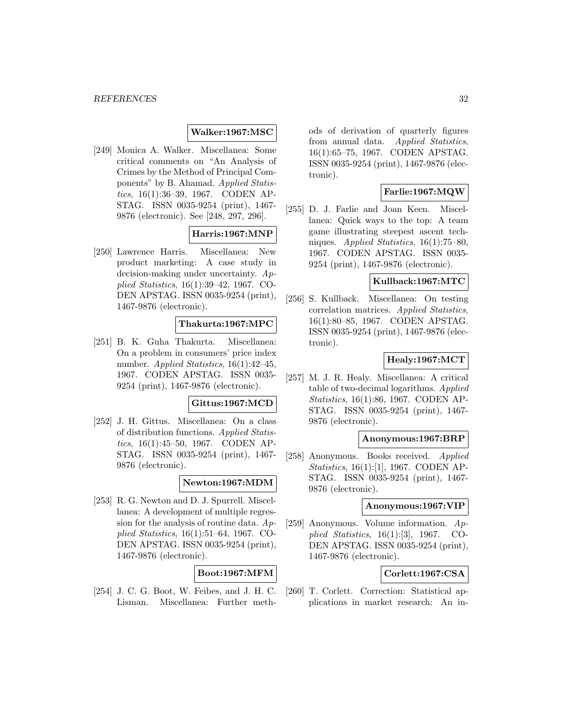# **Walker:1967:MSC**

[249] Monica A. Walker. Miscellanea: Some critical comments on "An Analysis of Crimes by the Method of Principal Components" by B. Ahamad. Applied Statistics, 16(1):36–39, 1967. CODEN AP-STAG. ISSN 0035-9254 (print), 1467- 9876 (electronic). See [248, 297, 296].

# **Harris:1967:MNP**

[250] Lawrence Harris. Miscellanea: New product marketing: A case study in decision-making under uncertainty. Applied Statistics, 16(1):39–42, 1967. CO-DEN APSTAG. ISSN 0035-9254 (print), 1467-9876 (electronic).

### **Thakurta:1967:MPC**

[251] B. K. Guha Thakurta. Miscellanea: On a problem in consumers' price index number. Applied Statistics, 16(1):42–45, 1967. CODEN APSTAG. ISSN 0035- 9254 (print), 1467-9876 (electronic).

### **Gittus:1967:MCD**

[252] J. H. Gittus. Miscellanea: On a class of distribution functions. Applied Statistics, 16(1):45–50, 1967. CODEN AP-STAG. ISSN 0035-9254 (print), 1467- 9876 (electronic).

# **Newton:1967:MDM**

[253] R. G. Newton and D. J. Spurrell. Miscellanea: A development of multiple regression for the analysis of routine data. Applied Statistics, 16(1):51–64, 1967. CO-DEN APSTAG. ISSN 0035-9254 (print), 1467-9876 (electronic).

# **Boot:1967:MFM**

[254] J. C. G. Boot, W. Feibes, and J. H. C. Lisman. Miscellanea: Further meth-

ods of derivation of quarterly figures from annual data. Applied Statistics, 16(1):65–75, 1967. CODEN APSTAG. ISSN 0035-9254 (print), 1467-9876 (electronic).

# **Farlie:1967:MQW**

[255] D. J. Farlie and Joan Keen. Miscellanea: Quick ways to the top: A team game illustrating steepest ascent techniques. Applied Statistics, 16(1):75–80, 1967. CODEN APSTAG. ISSN 0035- 9254 (print), 1467-9876 (electronic).

# **Kullback:1967:MTC**

[256] S. Kullback. Miscellanea: On testing correlation matrices. Applied Statistics, 16(1):80–85, 1967. CODEN APSTAG. ISSN 0035-9254 (print), 1467-9876 (electronic).

### **Healy:1967:MCT**

[257] M. J. R. Healy. Miscellanea: A critical table of two-decimal logarithms. Applied Statistics, 16(1):86, 1967. CODEN AP-STAG. ISSN 0035-9254 (print), 1467- 9876 (electronic).

# **Anonymous:1967:BRP**

[258] Anonymous. Books received. Applied Statistics, 16(1):[1], 1967. CODEN AP-STAG. ISSN 0035-9254 (print), 1467- 9876 (electronic).

### **Anonymous:1967:VIP**

[259] Anonymous. Volume information. Applied Statistics, 16(1):[3], 1967. CO-DEN APSTAG. ISSN 0035-9254 (print), 1467-9876 (electronic).

# **Corlett:1967:CSA**

[260] T. Corlett. Correction: Statistical applications in market research: An in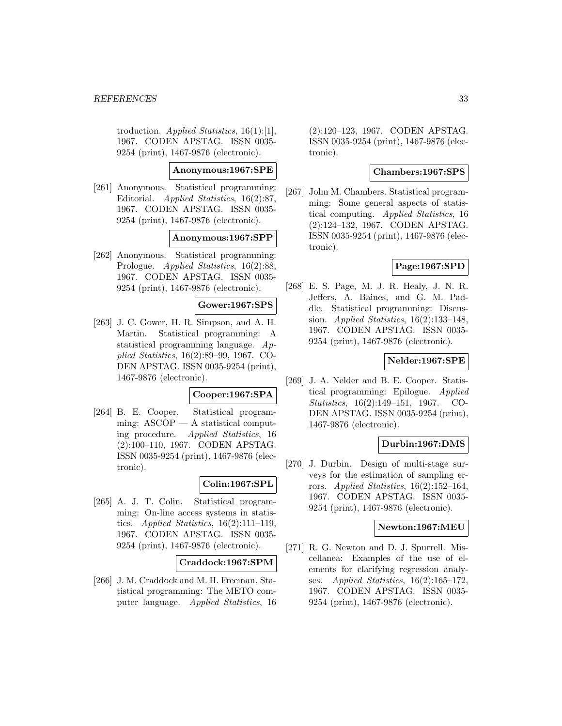troduction. Applied Statistics, 16(1):[1], 1967. CODEN APSTAG. ISSN 0035- 9254 (print), 1467-9876 (electronic).

# **Anonymous:1967:SPE**

[261] Anonymous. Statistical programming: Editorial. Applied Statistics, 16(2):87, 1967. CODEN APSTAG. ISSN 0035- 9254 (print), 1467-9876 (electronic).

### **Anonymous:1967:SPP**

[262] Anonymous. Statistical programming: Prologue. Applied Statistics, 16(2):88, 1967. CODEN APSTAG. ISSN 0035- 9254 (print), 1467-9876 (electronic).

# **Gower:1967:SPS**

[263] J. C. Gower, H. R. Simpson, and A. H. Martin. Statistical programming: A statistical programming language. Applied Statistics, 16(2):89–99, 1967. CO-DEN APSTAG. ISSN 0035-9254 (print), 1467-9876 (electronic).

### **Cooper:1967:SPA**

[264] B. E. Cooper. Statistical programming:  $ASCOP - A$  statistical computing procedure. Applied Statistics, 16 (2):100–110, 1967. CODEN APSTAG. ISSN 0035-9254 (print), 1467-9876 (electronic).

### **Colin:1967:SPL**

[265] A. J. T. Colin. Statistical programming: On-line access systems in statistics. Applied Statistics,  $16(2):111-119$ , 1967. CODEN APSTAG. ISSN 0035- 9254 (print), 1467-9876 (electronic).

### **Craddock:1967:SPM**

[266] J. M. Craddock and M. H. Freeman. Statistical programming: The METO computer language. Applied Statistics, 16

(2):120–123, 1967. CODEN APSTAG. ISSN 0035-9254 (print), 1467-9876 (electronic).

### **Chambers:1967:SPS**

[267] John M. Chambers. Statistical programming: Some general aspects of statistical computing. Applied Statistics, 16 (2):124–132, 1967. CODEN APSTAG. ISSN 0035-9254 (print), 1467-9876 (electronic).

# **Page:1967:SPD**

[268] E. S. Page, M. J. R. Healy, J. N. R. Jeffers, A. Baines, and G. M. Paddle. Statistical programming: Discussion. Applied Statistics, 16(2):133–148, 1967. CODEN APSTAG. ISSN 0035- 9254 (print), 1467-9876 (electronic).

### **Nelder:1967:SPE**

[269] J. A. Nelder and B. E. Cooper. Statistical programming: Epilogue. Applied Statistics, 16(2):149–151, 1967. CO-DEN APSTAG. ISSN 0035-9254 (print), 1467-9876 (electronic).

# **Durbin:1967:DMS**

[270] J. Durbin. Design of multi-stage surveys for the estimation of sampling errors. Applied Statistics,  $16(2):152-164$ , 1967. CODEN APSTAG. ISSN 0035- 9254 (print), 1467-9876 (electronic).

### **Newton:1967:MEU**

[271] R. G. Newton and D. J. Spurrell. Miscellanea: Examples of the use of elements for clarifying regression analyses. Applied Statistics, 16(2):165–172, 1967. CODEN APSTAG. ISSN 0035- 9254 (print), 1467-9876 (electronic).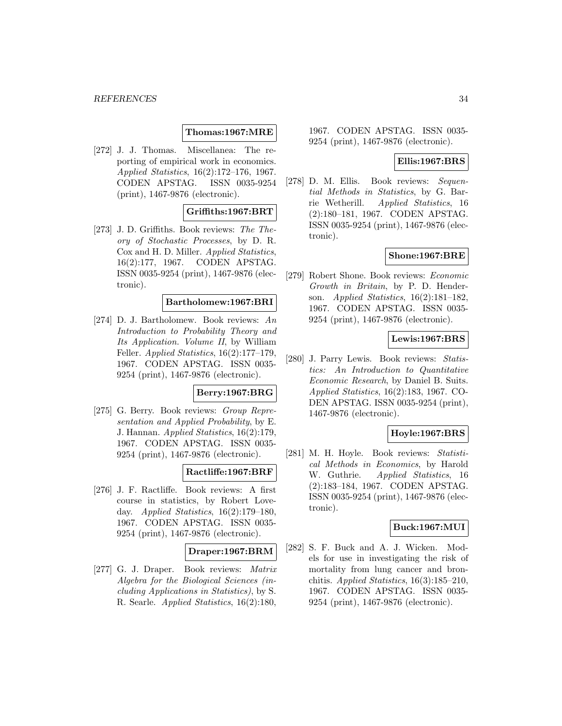### **Thomas:1967:MRE**

[272] J. J. Thomas. Miscellanea: The reporting of empirical work in economics. Applied Statistics, 16(2):172–176, 1967. CODEN APSTAG. ISSN 0035-9254 (print), 1467-9876 (electronic).

# **Griffiths:1967:BRT**

[273] J. D. Griffiths. Book reviews: The Theory of Stochastic Processes, by D. R. Cox and H. D. Miller. Applied Statistics, 16(2):177, 1967. CODEN APSTAG. ISSN 0035-9254 (print), 1467-9876 (electronic).

# **Bartholomew:1967:BRI**

[274] D. J. Bartholomew. Book reviews: An Introduction to Probability Theory and Its Application. Volume II, by William Feller. Applied Statistics, 16(2):177–179, 1967. CODEN APSTAG. ISSN 0035- 9254 (print), 1467-9876 (electronic).

# **Berry:1967:BRG**

[275] G. Berry. Book reviews: Group Representation and Applied Probability, by E. J. Hannan. Applied Statistics, 16(2):179, 1967. CODEN APSTAG. ISSN 0035- 9254 (print), 1467-9876 (electronic).

# **Ractliffe:1967:BRF**

[276] J. F. Ractliffe. Book reviews: A first course in statistics, by Robert Loveday. Applied Statistics,  $16(2):179-180$ , 1967. CODEN APSTAG. ISSN 0035- 9254 (print), 1467-9876 (electronic).

### **Draper:1967:BRM**

[277] G. J. Draper. Book reviews: Matrix Algebra for the Biological Sciences (including Applications in Statistics), by S. R. Searle. Applied Statistics, 16(2):180,

1967. CODEN APSTAG. ISSN 0035- 9254 (print), 1467-9876 (electronic).

### **Ellis:1967:BRS**

[278] D. M. Ellis. Book reviews: Sequential Methods in Statistics, by G. Barrie Wetherill. Applied Statistics, 16 (2):180–181, 1967. CODEN APSTAG. ISSN 0035-9254 (print), 1467-9876 (electronic).

### **Shone:1967:BRE**

[279] Robert Shone. Book reviews: Economic Growth in Britain, by P. D. Henderson. Applied Statistics, 16(2):181–182, 1967. CODEN APSTAG. ISSN 0035- 9254 (print), 1467-9876 (electronic).

### **Lewis:1967:BRS**

[280] J. Parry Lewis. Book reviews: Statistics: An Introduction to Quantitative Economic Research, by Daniel B. Suits. Applied Statistics, 16(2):183, 1967. CO-DEN APSTAG. ISSN 0035-9254 (print), 1467-9876 (electronic).

### **Hoyle:1967:BRS**

[281] M. H. Hoyle. Book reviews: Statistical Methods in Economics, by Harold W. Guthrie. Applied Statistics, 16 (2):183–184, 1967. CODEN APSTAG. ISSN 0035-9254 (print), 1467-9876 (electronic).

### **Buck:1967:MUI**

[282] S. F. Buck and A. J. Wicken. Models for use in investigating the risk of mortality from lung cancer and bronchitis. Applied Statistics, 16(3):185–210, 1967. CODEN APSTAG. ISSN 0035- 9254 (print), 1467-9876 (electronic).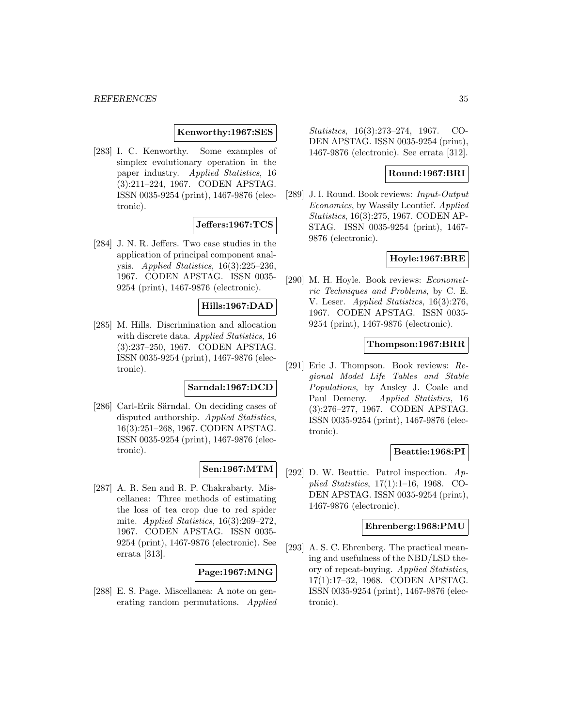### **Kenworthy:1967:SES**

[283] I. C. Kenworthy. Some examples of simplex evolutionary operation in the paper industry. Applied Statistics, 16 (3):211–224, 1967. CODEN APSTAG. ISSN 0035-9254 (print), 1467-9876 (electronic).

# **Jeffers:1967:TCS**

[284] J. N. R. Jeffers. Two case studies in the application of principal component analysis. Applied Statistics, 16(3):225–236, 1967. CODEN APSTAG. ISSN 0035- 9254 (print), 1467-9876 (electronic).

# **Hills:1967:DAD**

[285] M. Hills. Discrimination and allocation with discrete data. Applied Statistics, 16 (3):237–250, 1967. CODEN APSTAG. ISSN 0035-9254 (print), 1467-9876 (electronic).

# **Sarndal:1967:DCD**

[286] Carl-Erik Särndal. On deciding cases of disputed authorship. Applied Statistics, 16(3):251–268, 1967. CODEN APSTAG. ISSN 0035-9254 (print), 1467-9876 (electronic).

# **Sen:1967:MTM**

[287] A. R. Sen and R. P. Chakrabarty. Miscellanea: Three methods of estimating the loss of tea crop due to red spider mite. Applied Statistics, 16(3):269–272, 1967. CODEN APSTAG. ISSN 0035- 9254 (print), 1467-9876 (electronic). See errata [313].

### **Page:1967:MNG**

[288] E. S. Page. Miscellanea: A note on generating random permutations. Applied Statistics, 16(3):273–274, 1967. CO-DEN APSTAG. ISSN 0035-9254 (print), 1467-9876 (electronic). See errata [312].

### **Round:1967:BRI**

[289] J. I. Round. Book reviews: Input-Output Economics, by Wassily Leontief. Applied Statistics, 16(3):275, 1967. CODEN AP-STAG. ISSN 0035-9254 (print), 1467- 9876 (electronic).

### **Hoyle:1967:BRE**

[290] M. H. Hoyle. Book reviews: Econometric Techniques and Problems, by C. E. V. Leser. Applied Statistics, 16(3):276, 1967. CODEN APSTAG. ISSN 0035- 9254 (print), 1467-9876 (electronic).

### **Thompson:1967:BRR**

[291] Eric J. Thompson. Book reviews: Regional Model Life Tables and Stable Populations, by Ansley J. Coale and Paul Demeny. Applied Statistics, 16 (3):276–277, 1967. CODEN APSTAG. ISSN 0035-9254 (print), 1467-9876 (electronic).

### **Beattie:1968:PI**

[292] D. W. Beattie. Patrol inspection.  $Ap$ plied Statistics, 17(1):1–16, 1968. CO-DEN APSTAG. ISSN 0035-9254 (print), 1467-9876 (electronic).

#### **Ehrenberg:1968:PMU**

[293] A. S. C. Ehrenberg. The practical meaning and usefulness of the NBD/LSD theory of repeat-buying. Applied Statistics, 17(1):17–32, 1968. CODEN APSTAG. ISSN 0035-9254 (print), 1467-9876 (electronic).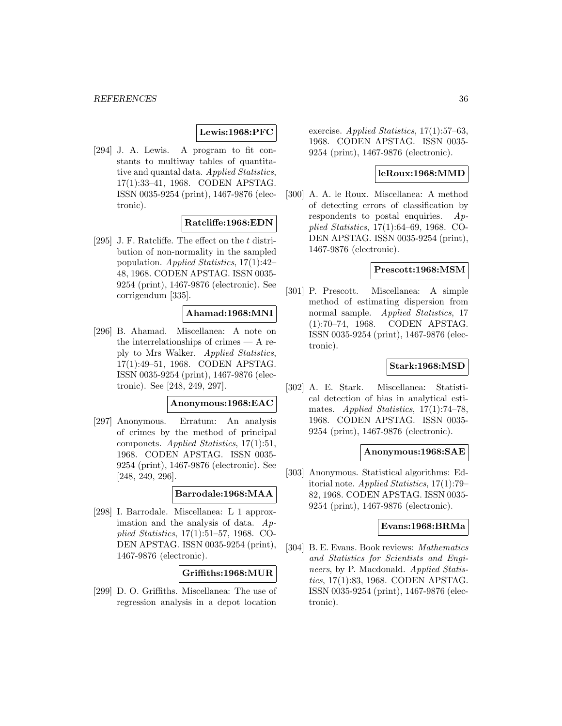### **Lewis:1968:PFC**

[294] J. A. Lewis. A program to fit constants to multiway tables of quantitative and quantal data. Applied Statistics, 17(1):33–41, 1968. CODEN APSTAG. ISSN 0035-9254 (print), 1467-9876 (electronic).

# **Ratcliffe:1968:EDN**

[295] J. F. Ratcliffe. The effect on the  $t$  distribution of non-normality in the sampled population. Applied Statistics, 17(1):42– 48, 1968. CODEN APSTAG. ISSN 0035- 9254 (print), 1467-9876 (electronic). See corrigendum [335].

# **Ahamad:1968:MNI**

[296] B. Ahamad. Miscellanea: A note on the interrelationships of crimes — A reply to Mrs Walker. Applied Statistics, 17(1):49–51, 1968. CODEN APSTAG. ISSN 0035-9254 (print), 1467-9876 (electronic). See [248, 249, 297].

### **Anonymous:1968:EAC**

[297] Anonymous. Erratum: An analysis of crimes by the method of principal componets. Applied Statistics, 17(1):51, 1968. CODEN APSTAG. ISSN 0035- 9254 (print), 1467-9876 (electronic). See [248, 249, 296].

# **Barrodale:1968:MAA**

[298] I. Barrodale. Miscellanea: L 1 approximation and the analysis of data. Applied Statistics, 17(1):51–57, 1968. CO-DEN APSTAG. ISSN 0035-9254 (print), 1467-9876 (electronic).

# **Griffiths:1968:MUR**

[299] D. O. Griffiths. Miscellanea: The use of regression analysis in a depot location

exercise. Applied Statistics,  $17(1):57-63$ , 1968. CODEN APSTAG. ISSN 0035- 9254 (print), 1467-9876 (electronic).

# **leRoux:1968:MMD**

[300] A. A. le Roux. Miscellanea: A method of detecting errors of classification by respondents to postal enquiries.  $Ap$ plied Statistics, 17(1):64–69, 1968. CO-DEN APSTAG. ISSN 0035-9254 (print), 1467-9876 (electronic).

### **Prescott:1968:MSM**

[301] P. Prescott. Miscellanea: A simple method of estimating dispersion from normal sample. Applied Statistics, 17 (1):70–74, 1968. CODEN APSTAG. ISSN 0035-9254 (print), 1467-9876 (electronic).

# **Stark:1968:MSD**

[302] A. E. Stark. Miscellanea: Statistical detection of bias in analytical estimates. Applied Statistics, 17(1):74–78, 1968. CODEN APSTAG. ISSN 0035- 9254 (print), 1467-9876 (electronic).

### **Anonymous:1968:SAE**

[303] Anonymous. Statistical algorithms: Editorial note. Applied Statistics, 17(1):79– 82, 1968. CODEN APSTAG. ISSN 0035- 9254 (print), 1467-9876 (electronic).

### **Evans:1968:BRMa**

[304] B. E. Evans. Book reviews: Mathematics and Statistics for Scientists and Engineers, by P. Macdonald. Applied Statistics, 17(1):83, 1968. CODEN APSTAG. ISSN 0035-9254 (print), 1467-9876 (electronic).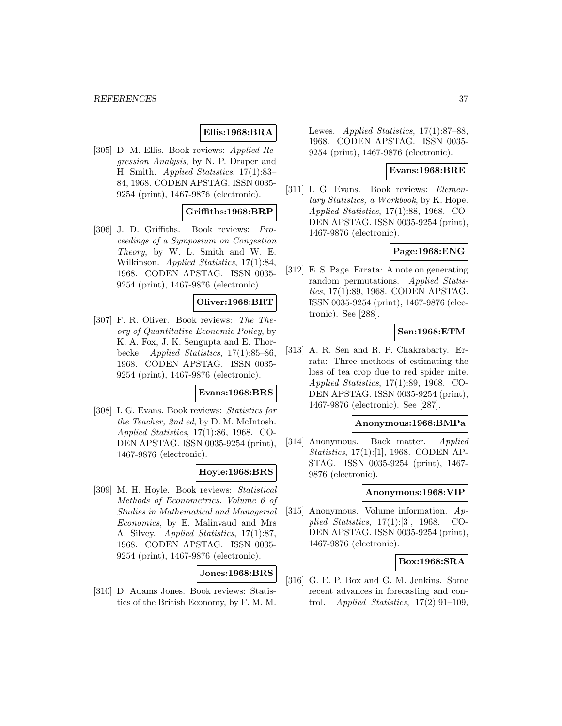# **Ellis:1968:BRA**

[305] D. M. Ellis. Book reviews: Applied Regression Analysis, by N. P. Draper and H. Smith. Applied Statistics, 17(1):83– 84, 1968. CODEN APSTAG. ISSN 0035- 9254 (print), 1467-9876 (electronic).

# **Griffiths:1968:BRP**

[306] J. D. Griffiths. Book reviews: Proceedings of a Symposium on Congestion Theory, by W. L. Smith and W. E. Wilkinson. Applied Statistics, 17(1):84, 1968. CODEN APSTAG. ISSN 0035- 9254 (print), 1467-9876 (electronic).

# **Oliver:1968:BRT**

[307] F. R. Oliver. Book reviews: The Theory of Quantitative Economic Policy, by K. A. Fox, J. K. Sengupta and E. Thorbecke. Applied Statistics, 17(1):85–86, 1968. CODEN APSTAG. ISSN 0035- 9254 (print), 1467-9876 (electronic).

### **Evans:1968:BRS**

[308] I. G. Evans. Book reviews: Statistics for the Teacher, 2nd ed, by D. M. McIntosh. Applied Statistics, 17(1):86, 1968. CO-DEN APSTAG. ISSN 0035-9254 (print), 1467-9876 (electronic).

# **Hoyle:1968:BRS**

[309] M. H. Hoyle. Book reviews: Statistical Methods of Econometrics. Volume 6 of Studies in Mathematical and Managerial Economics, by E. Malinvaud and Mrs A. Silvey. Applied Statistics, 17(1):87, 1968. CODEN APSTAG. ISSN 0035- 9254 (print), 1467-9876 (electronic).

### **Jones:1968:BRS**

[310] D. Adams Jones. Book reviews: Statistics of the British Economy, by F. M. M. Lewes. Applied Statistics, 17(1):87–88, 1968. CODEN APSTAG. ISSN 0035- 9254 (print), 1467-9876 (electronic).

### **Evans:1968:BRE**

[311] I. G. Evans. Book reviews: Elementary Statistics, a Workbook, by K. Hope. Applied Statistics, 17(1):88, 1968. CO-DEN APSTAG. ISSN 0035-9254 (print), 1467-9876 (electronic).

### **Page:1968:ENG**

[312] E. S. Page. Errata: A note on generating random permutations. Applied Statistics, 17(1):89, 1968. CODEN APSTAG. ISSN 0035-9254 (print), 1467-9876 (electronic). See [288].

# **Sen:1968:ETM**

[313] A. R. Sen and R. P. Chakrabarty. Errata: Three methods of estimating the loss of tea crop due to red spider mite. Applied Statistics, 17(1):89, 1968. CO-DEN APSTAG. ISSN 0035-9254 (print), 1467-9876 (electronic). See [287].

# **Anonymous:1968:BMPa**

[314] Anonymous. Back matter. Applied Statistics, 17(1):[1], 1968. CODEN AP-STAG. ISSN 0035-9254 (print), 1467- 9876 (electronic).

### **Anonymous:1968:VIP**

[315] Anonymous. Volume information. Applied Statistics, 17(1):[3], 1968. CO-DEN APSTAG. ISSN 0035-9254 (print), 1467-9876 (electronic).

### **Box:1968:SRA**

[316] G. E. P. Box and G. M. Jenkins. Some recent advances in forecasting and control. Applied Statistics,  $17(2):91-109$ .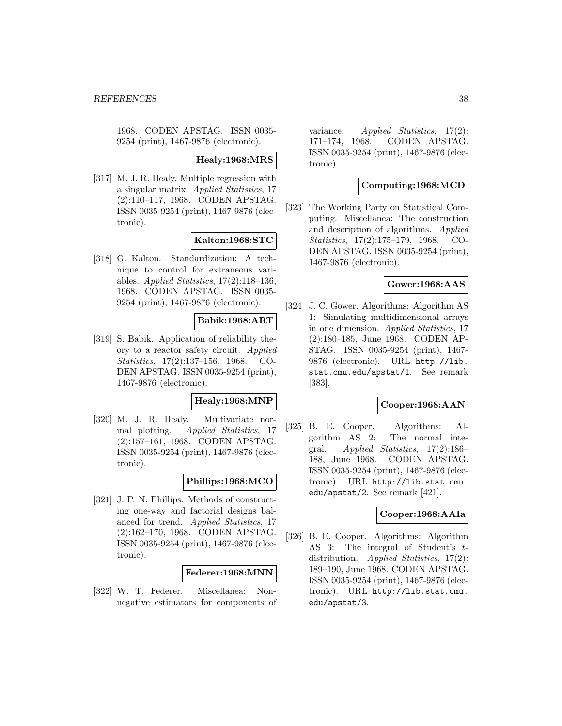1968. CODEN APSTAG. ISSN 0035- 9254 (print), 1467-9876 (electronic).

# **Healy:1968:MRS**

[317] M. J. R. Healy. Multiple regression with a singular matrix. Applied Statistics, 17 (2):110–117, 1968. CODEN APSTAG. ISSN 0035-9254 (print), 1467-9876 (electronic).

# **Kalton:1968:STC**

[318] G. Kalton. Standardization: A technique to control for extraneous variables. Applied Statistics, 17(2):118–136, 1968. CODEN APSTAG. ISSN 0035- 9254 (print), 1467-9876 (electronic).

# **Babik:1968:ART**

[319] S. Babik. Application of reliability theory to a reactor safety circuit. Applied Statistics, 17(2):137–156, 1968. CO-DEN APSTAG. ISSN 0035-9254 (print), 1467-9876 (electronic).

# **Healy:1968:MNP**

[320] M. J. R. Healy. Multivariate normal plotting. Applied Statistics, 17 (2):157–161, 1968. CODEN APSTAG. ISSN 0035-9254 (print), 1467-9876 (electronic).

# **Phillips:1968:MCO**

[321] J. P. N. Phillips. Methods of constructing one-way and factorial designs balanced for trend. Applied Statistics, 17 (2):162–170, 1968. CODEN APSTAG. ISSN 0035-9254 (print), 1467-9876 (electronic).

### **Federer:1968:MNN**

[322] W. T. Federer. Miscellanea: Nonnegative estimators for components of variance. Applied Statistics,  $17(2)$ : 171–174, 1968. CODEN APSTAG. ISSN 0035-9254 (print), 1467-9876 (electronic).

# **Computing:1968:MCD**

[323] The Working Party on Statistical Computing. Miscellanea: The construction and description of algorithms. Applied Statistics, 17(2):175–179, 1968. CO-DEN APSTAG. ISSN 0035-9254 (print), 1467-9876 (electronic).

### **Gower:1968:AAS**

[324] J. C. Gower. Algorithms: Algorithm AS 1: Simulating multidimensional arrays in one dimension. Applied Statistics, 17 (2):180–185, June 1968. CODEN AP-STAG. ISSN 0035-9254 (print), 1467- 9876 (electronic). URL http://lib. stat.cmu.edu/apstat/1. See remark [383].

### **Cooper:1968:AAN**

[325] B. E. Cooper. Algorithms: Algorithm AS 2: The normal integral. Applied Statistics, 17(2):186– 188, June 1968. CODEN APSTAG. ISSN 0035-9254 (print), 1467-9876 (electronic). URL http://lib.stat.cmu. edu/apstat/2. See remark [421].

### **Cooper:1968:AAIa**

[326] B. E. Cooper. Algorithms: Algorithm AS 3: The integral of Student's tdistribution. Applied Statistics, 17(2): 189–190, June 1968. CODEN APSTAG. ISSN 0035-9254 (print), 1467-9876 (electronic). URL http://lib.stat.cmu. edu/apstat/3.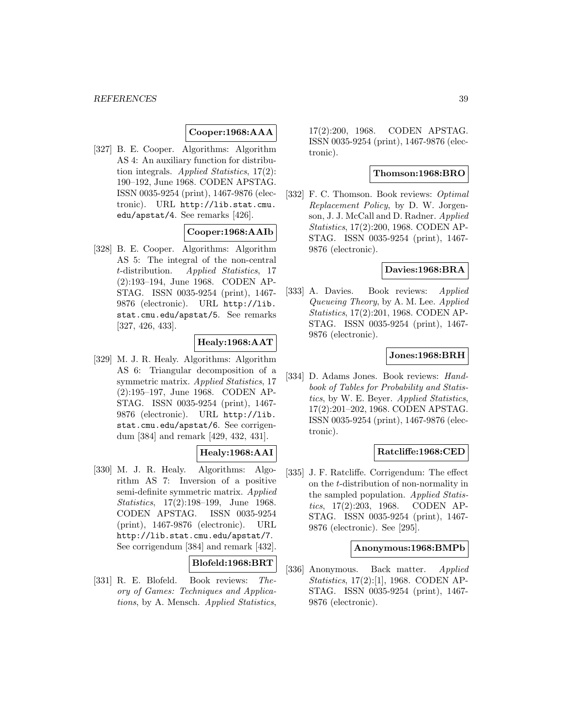# **Cooper:1968:AAA**

[327] B. E. Cooper. Algorithms: Algorithm AS 4: An auxiliary function for distribution integrals. Applied Statistics, 17(2): 190–192, June 1968. CODEN APSTAG. ISSN 0035-9254 (print), 1467-9876 (electronic). URL http://lib.stat.cmu. edu/apstat/4. See remarks [426].

# **Cooper:1968:AAIb**

[328] B. E. Cooper. Algorithms: Algorithm AS 5: The integral of the non-central t-distribution. Applied Statistics, 17 (2):193–194, June 1968. CODEN AP-STAG. ISSN 0035-9254 (print), 1467- 9876 (electronic). URL http://lib. stat.cmu.edu/apstat/5. See remarks [327, 426, 433].

# **Healy:1968:AAT**

[329] M. J. R. Healy. Algorithms: Algorithm AS 6: Triangular decomposition of a symmetric matrix. Applied Statistics, 17 (2):195–197, June 1968. CODEN AP-STAG. ISSN 0035-9254 (print), 1467- 9876 (electronic). URL http://lib. stat.cmu.edu/apstat/6. See corrigendum [384] and remark [429, 432, 431].

# **Healy:1968:AAI**

[330] M. J. R. Healy. Algorithms: Algorithm AS 7: Inversion of a positive semi-definite symmetric matrix. Applied Statistics, 17(2):198–199, June 1968. CODEN APSTAG. ISSN 0035-9254 (print), 1467-9876 (electronic). URL http://lib.stat.cmu.edu/apstat/7. See corrigendum [384] and remark [432].

### **Blofeld:1968:BRT**

[331] R. E. Blofeld. Book reviews: Theory of Games: Techniques and Applications, by A. Mensch. Applied Statistics,

17(2):200, 1968. CODEN APSTAG. ISSN 0035-9254 (print), 1467-9876 (electronic).

#### **Thomson:1968:BRO**

[332] F. C. Thomson. Book reviews: *Optimal* Replacement Policy, by D. W. Jorgenson, J. J. McCall and D. Radner. Applied Statistics, 17(2):200, 1968. CODEN AP-STAG. ISSN 0035-9254 (print), 1467- 9876 (electronic).

### **Davies:1968:BRA**

[333] A. Davies. Book reviews: Applied Queueing Theory, by A. M. Lee. Applied Statistics, 17(2):201, 1968. CODEN AP-STAG. ISSN 0035-9254 (print), 1467- 9876 (electronic).

### **Jones:1968:BRH**

[334] D. Adams Jones. Book reviews: Handbook of Tables for Probability and Statistics, by W. E. Beyer. Applied Statistics, 17(2):201–202, 1968. CODEN APSTAG. ISSN 0035-9254 (print), 1467-9876 (electronic).

### **Ratcliffe:1968:CED**

[335] J. F. Ratcliffe. Corrigendum: The effect on the t-distribution of non-normality in the sampled population. Applied Statistics, 17(2):203, 1968. CODEN AP-STAG. ISSN 0035-9254 (print), 1467- 9876 (electronic). See [295].

### **Anonymous:1968:BMPb**

[336] Anonymous. Back matter. Applied Statistics, 17(2):[1], 1968. CODEN AP-STAG. ISSN 0035-9254 (print), 1467- 9876 (electronic).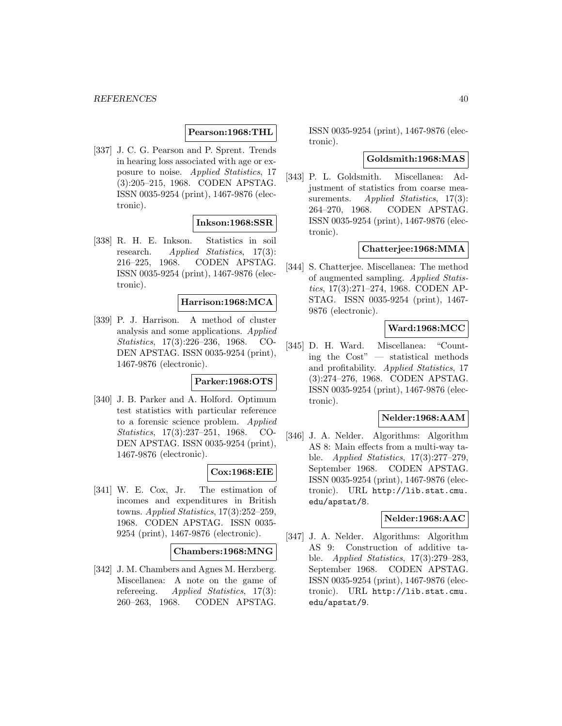# **Pearson:1968:THL**

[337] J. C. G. Pearson and P. Sprent. Trends in hearing loss associated with age or exposure to noise. Applied Statistics, 17 (3):205–215, 1968. CODEN APSTAG. ISSN 0035-9254 (print), 1467-9876 (electronic).

# **Inkson:1968:SSR**

[338] R. H. E. Inkson. Statistics in soil research. Applied Statistics, 17(3): 216–225, 1968. CODEN APSTAG. ISSN 0035-9254 (print), 1467-9876 (electronic).

# **Harrison:1968:MCA**

[339] P. J. Harrison. A method of cluster analysis and some applications. Applied Statistics, 17(3):226–236, 1968. CO-DEN APSTAG. ISSN 0035-9254 (print), 1467-9876 (electronic).

### **Parker:1968:OTS**

[340] J. B. Parker and A. Holford. Optimum test statistics with particular reference to a forensic science problem. Applied Statistics, 17(3):237–251, 1968. CO-DEN APSTAG. ISSN 0035-9254 (print), 1467-9876 (electronic).

# **Cox:1968:EIE**

[341] W. E. Cox, Jr. The estimation of incomes and expenditures in British towns. Applied Statistics, 17(3):252–259, 1968. CODEN APSTAG. ISSN 0035- 9254 (print), 1467-9876 (electronic).

### **Chambers:1968:MNG**

[342] J. M. Chambers and Agnes M. Herzberg. Miscellanea: A note on the game of refereeing. Applied Statistics, 17(3): 260–263, 1968. CODEN APSTAG.

ISSN 0035-9254 (print), 1467-9876 (electronic).

### **Goldsmith:1968:MAS**

[343] P. L. Goldsmith. Miscellanea: Adjustment of statistics from coarse measurements. *Applied Statistics*, 17(3): 264–270, 1968. CODEN APSTAG. ISSN 0035-9254 (print), 1467-9876 (electronic).

### **Chatterjee:1968:MMA**

[344] S. Chatterjee. Miscellanea: The method of augmented sampling. Applied Statistics, 17(3):271–274, 1968. CODEN AP-STAG. ISSN 0035-9254 (print), 1467- 9876 (electronic).

# **Ward:1968:MCC**

[345] D. H. Ward. Miscellanea: "Counting the Cost" — statistical methods and profitability. Applied Statistics, 17 (3):274–276, 1968. CODEN APSTAG. ISSN 0035-9254 (print), 1467-9876 (electronic).

### **Nelder:1968:AAM**

[346] J. A. Nelder. Algorithms: Algorithm AS 8: Main effects from a multi-way table. Applied Statistics, 17(3):277–279, September 1968. CODEN APSTAG. ISSN 0035-9254 (print), 1467-9876 (electronic). URL http://lib.stat.cmu. edu/apstat/8.

# **Nelder:1968:AAC**

[347] J. A. Nelder. Algorithms: Algorithm AS 9: Construction of additive table. Applied Statistics, 17(3):279–283, September 1968. CODEN APSTAG. ISSN 0035-9254 (print), 1467-9876 (electronic). URL http://lib.stat.cmu. edu/apstat/9.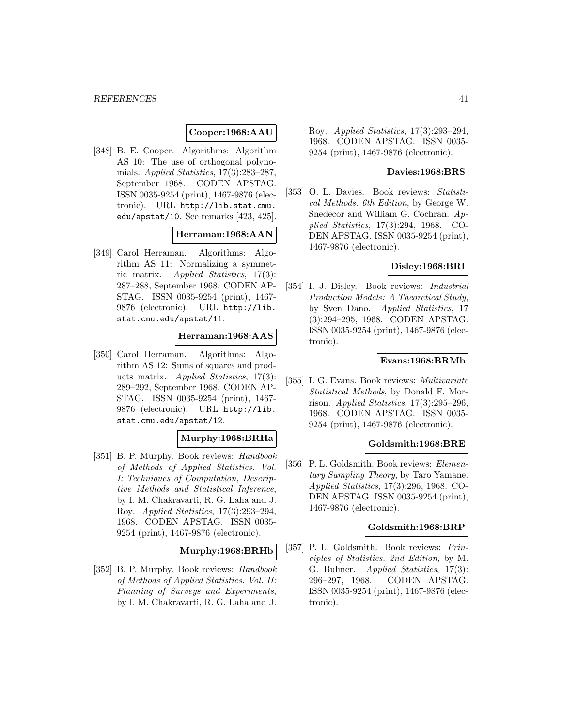### **Cooper:1968:AAU**

[348] B. E. Cooper. Algorithms: Algorithm AS 10: The use of orthogonal polynomials. Applied Statistics, 17(3):283–287, September 1968. CODEN APSTAG. ISSN 0035-9254 (print), 1467-9876 (electronic). URL http://lib.stat.cmu. edu/apstat/10. See remarks [423, 425].

### **Herraman:1968:AAN**

[349] Carol Herraman. Algorithms: Algorithm AS 11: Normalizing a symmetric matrix. Applied Statistics, 17(3): 287–288, September 1968. CODEN AP-STAG. ISSN 0035-9254 (print), 1467- 9876 (electronic). URL http://lib. stat.cmu.edu/apstat/11.

# **Herraman:1968:AAS**

[350] Carol Herraman. Algorithms: Algorithm AS 12: Sums of squares and products matrix. Applied Statistics, 17(3): 289–292, September 1968. CODEN AP-STAG. ISSN 0035-9254 (print), 1467- 9876 (electronic). URL http://lib. stat.cmu.edu/apstat/12.

# **Murphy:1968:BRHa**

[351] B. P. Murphy. Book reviews: *Handbook* of Methods of Applied Statistics. Vol. I: Techniques of Computation, Descriptive Methods and Statistical Inference, by I. M. Chakravarti, R. G. Laha and J. Roy. Applied Statistics, 17(3):293–294, 1968. CODEN APSTAG. ISSN 0035- 9254 (print), 1467-9876 (electronic).

### **Murphy:1968:BRHb**

[352] B. P. Murphy. Book reviews: Handbook of Methods of Applied Statistics. Vol. II: Planning of Surveys and Experiments, by I. M. Chakravarti, R. G. Laha and J.

Roy. Applied Statistics, 17(3):293–294, 1968. CODEN APSTAG. ISSN 0035- 9254 (print), 1467-9876 (electronic).

### **Davies:1968:BRS**

[353] O. L. Davies. Book reviews: Statistical Methods. 6th Edition, by George W. Snedecor and William G. Cochran. Applied Statistics, 17(3):294, 1968. CO-DEN APSTAG. ISSN 0035-9254 (print), 1467-9876 (electronic).

# **Disley:1968:BRI**

[354] I. J. Disley. Book reviews: Industrial Production Models: A Theoretical Study, by Sven Dano. Applied Statistics, 17 (3):294–295, 1968. CODEN APSTAG. ISSN 0035-9254 (print), 1467-9876 (electronic).

# **Evans:1968:BRMb**

[355] I. G. Evans. Book reviews: Multivariate Statistical Methods, by Donald F. Morrison. Applied Statistics, 17(3):295–296, 1968. CODEN APSTAG. ISSN 0035- 9254 (print), 1467-9876 (electronic).

# **Goldsmith:1968:BRE**

[356] P. L. Goldsmith. Book reviews: Elementary Sampling Theory, by Taro Yamane. Applied Statistics, 17(3):296, 1968. CO-DEN APSTAG. ISSN 0035-9254 (print), 1467-9876 (electronic).

#### **Goldsmith:1968:BRP**

[357] P. L. Goldsmith. Book reviews: Principles of Statistics. 2nd Edition, by M. G. Bulmer. Applied Statistics, 17(3): 296–297, 1968. CODEN APSTAG. ISSN 0035-9254 (print), 1467-9876 (electronic).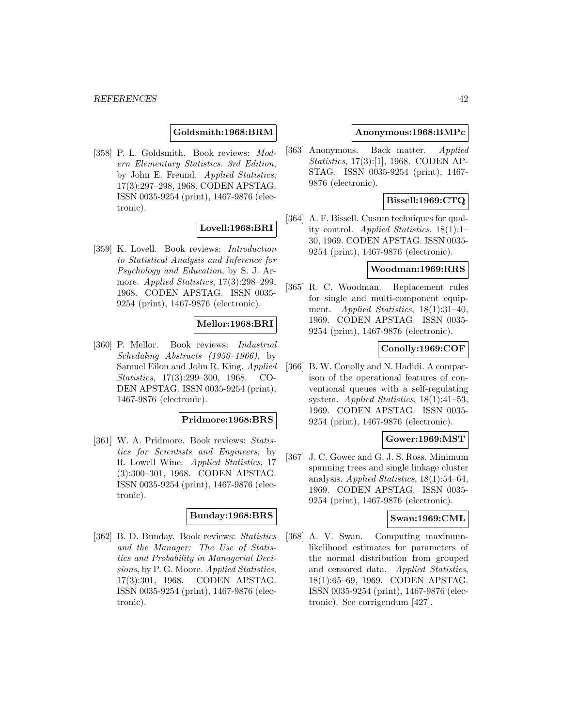### **Goldsmith:1968:BRM**

[358] P. L. Goldsmith. Book reviews: Modern Elementary Statistics. 3rd Edition, by John E. Freund. Applied Statistics, 17(3):297–298, 1968. CODEN APSTAG. ISSN 0035-9254 (print), 1467-9876 (electronic).

# **Lovell:1968:BRI**

[359] K. Lovell. Book reviews: Introduction to Statistical Analysis and Inference for Psychology and Education, by S. J. Armore. Applied Statistics, 17(3):298-299, 1968. CODEN APSTAG. ISSN 0035- 9254 (print), 1467-9876 (electronic).

# **Mellor:1968:BRI**

[360] P. Mellor. Book reviews: Industrial Scheduling Abstracts (1950–1966), by Samuel Eilon and John R. King. Applied Statistics, 17(3):299–300, 1968. CO-DEN APSTAG. ISSN 0035-9254 (print), 1467-9876 (electronic).

### **Pridmore:1968:BRS**

[361] W. A. Pridmore. Book reviews: Statistics for Scientists and Engineers, by R. Lowell Wine. Applied Statistics, 17 (3):300–301, 1968. CODEN APSTAG. ISSN 0035-9254 (print), 1467-9876 (electronic).

# **Bunday:1968:BRS**

[362] B. D. Bunday. Book reviews: Statistics and the Manager: The Use of Statistics and Probability in Managerial Decisions, by P. G. Moore. Applied Statistics, 17(3):301, 1968. CODEN APSTAG. ISSN 0035-9254 (print), 1467-9876 (electronic).

### **Anonymous:1968:BMPc**

[363] Anonymous. Back matter. Applied Statistics, 17(3):[1], 1968. CODEN AP-STAG. ISSN 0035-9254 (print), 1467- 9876 (electronic).

# **Bissell:1969:CTQ**

[364] A. F. Bissell. Cusum techniques for quality control. Applied Statistics, 18(1):1– 30, 1969. CODEN APSTAG. ISSN 0035- 9254 (print), 1467-9876 (electronic).

### **Woodman:1969:RRS**

[365] R. C. Woodman. Replacement rules for single and multi-component equipment. *Applied Statistics*, 18(1):31–40, 1969. CODEN APSTAG. ISSN 0035- 9254 (print), 1467-9876 (electronic).

# **Conolly:1969:COF**

[366] B. W. Conolly and N. Hadidi. A comparison of the operational features of conventional queues with a self-regulating system. Applied Statistics, 18(1):41–53, 1969. CODEN APSTAG. ISSN 0035- 9254 (print), 1467-9876 (electronic).

### **Gower:1969:MST**

[367] J. C. Gower and G. J. S. Ross. Minimum spanning trees and single linkage cluster analysis. Applied Statistics, 18(1):54–64, 1969. CODEN APSTAG. ISSN 0035- 9254 (print), 1467-9876 (electronic).

# **Swan:1969:CML**

[368] A. V. Swan. Computing maximumlikelihood estimates for parameters of the normal distribution from grouped and censored data. Applied Statistics, 18(1):65–69, 1969. CODEN APSTAG. ISSN 0035-9254 (print), 1467-9876 (electronic). See corrigendum [427].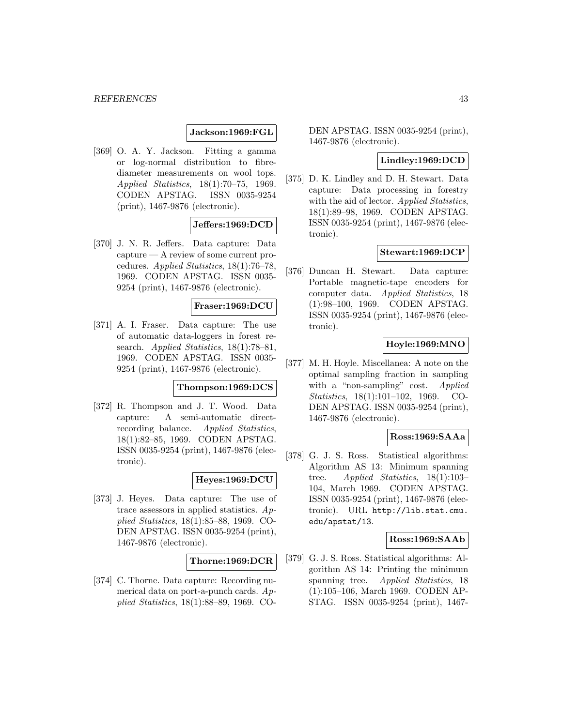**Jackson:1969:FGL**

[369] O. A. Y. Jackson. Fitting a gamma or log-normal distribution to fibrediameter measurements on wool tops. Applied Statistics, 18(1):70–75, 1969. CODEN APSTAG. ISSN 0035-9254 (print), 1467-9876 (electronic).

# **Jeffers:1969:DCD**

[370] J. N. R. Jeffers. Data capture: Data capture — A review of some current procedures. Applied Statistics, 18(1):76–78, 1969. CODEN APSTAG. ISSN 0035- 9254 (print), 1467-9876 (electronic).

# **Fraser:1969:DCU**

[371] A. I. Fraser. Data capture: The use of automatic data-loggers in forest research. Applied Statistics, 18(1):78-81, 1969. CODEN APSTAG. ISSN 0035- 9254 (print), 1467-9876 (electronic).

# **Thompson:1969:DCS**

[372] R. Thompson and J. T. Wood. Data capture: A semi-automatic directrecording balance. Applied Statistics, 18(1):82–85, 1969. CODEN APSTAG. ISSN 0035-9254 (print), 1467-9876 (electronic).

# **Heyes:1969:DCU**

[373] J. Heyes. Data capture: The use of trace assessors in applied statistics. Applied Statistics, 18(1):85–88, 1969. CO-DEN APSTAG. ISSN 0035-9254 (print), 1467-9876 (electronic).

### **Thorne:1969:DCR**

[374] C. Thorne. Data capture: Recording numerical data on port-a-punch cards. Applied Statistics, 18(1):88–89, 1969. CO-

DEN APSTAG. ISSN 0035-9254 (print), 1467-9876 (electronic).

# **Lindley:1969:DCD**

[375] D. K. Lindley and D. H. Stewart. Data capture: Data processing in forestry with the aid of lector. Applied Statistics, 18(1):89–98, 1969. CODEN APSTAG. ISSN 0035-9254 (print), 1467-9876 (electronic).

# **Stewart:1969:DCP**

[376] Duncan H. Stewart. Data capture: Portable magnetic-tape encoders for computer data. Applied Statistics, 18 (1):98–100, 1969. CODEN APSTAG. ISSN 0035-9254 (print), 1467-9876 (electronic).

# **Hoyle:1969:MNO**

[377] M. H. Hoyle. Miscellanea: A note on the optimal sampling fraction in sampling with a "non-sampling" cost. Applied Statistics, 18(1):101–102, 1969. CO-DEN APSTAG. ISSN 0035-9254 (print), 1467-9876 (electronic).

### **Ross:1969:SAAa**

[378] G. J. S. Ross. Statistical algorithms: Algorithm AS 13: Minimum spanning tree. Applied Statistics, 18(1):103– 104, March 1969. CODEN APSTAG. ISSN 0035-9254 (print), 1467-9876 (electronic). URL http://lib.stat.cmu. edu/apstat/13.

### **Ross:1969:SAAb**

[379] G. J. S. Ross. Statistical algorithms: Algorithm AS 14: Printing the minimum spanning tree. *Applied Statistics*, 18 (1):105–106, March 1969. CODEN AP-STAG. ISSN 0035-9254 (print), 1467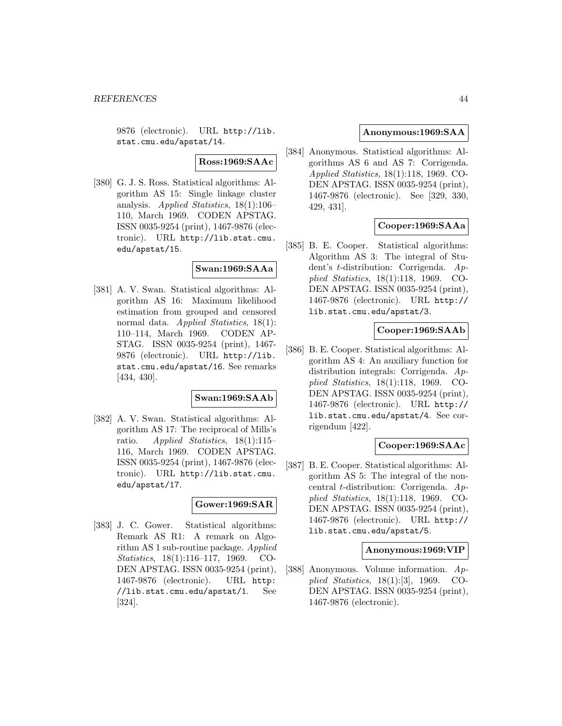9876 (electronic). URL http://lib. stat.cmu.edu/apstat/14.

# **Ross:1969:SAAc**

[380] G. J. S. Ross. Statistical algorithms: Algorithm AS 15: Single linkage cluster analysis. Applied Statistics, 18(1):106– 110, March 1969. CODEN APSTAG. ISSN 0035-9254 (print), 1467-9876 (electronic). URL http://lib.stat.cmu. edu/apstat/15.

# **Swan:1969:SAAa**

[381] A. V. Swan. Statistical algorithms: Algorithm AS 16: Maximum likelihood estimation from grouped and censored normal data. Applied Statistics, 18(1): 110–114, March 1969. CODEN AP-STAG. ISSN 0035-9254 (print), 1467- 9876 (electronic). URL http://lib. stat.cmu.edu/apstat/16. See remarks [434, 430].

### **Swan:1969:SAAb**

[382] A. V. Swan. Statistical algorithms: Algorithm AS 17: The reciprocal of Mills's ratio. Applied Statistics, 18(1):115– 116, March 1969. CODEN APSTAG. ISSN 0035-9254 (print), 1467-9876 (electronic). URL http://lib.stat.cmu. edu/apstat/17.

# **Gower:1969:SAR**

[383] J. C. Gower. Statistical algorithms: Remark AS R1: A remark on Algorithm AS 1 sub-routine package. Applied Statistics, 18(1):116–117, 1969. CO-DEN APSTAG. ISSN 0035-9254 (print), 1467-9876 (electronic). URL http: //lib.stat.cmu.edu/apstat/1. See [324].

### **Anonymous:1969:SAA**

[384] Anonymous. Statistical algorithms: Algorithms AS 6 and AS 7: Corrigenda. Applied Statistics, 18(1):118, 1969. CO-DEN APSTAG. ISSN 0035-9254 (print), 1467-9876 (electronic). See [329, 330, 429, 431].

# **Cooper:1969:SAAa**

[385] B. E. Cooper. Statistical algorithms: Algorithm AS 3: The integral of Student's t-distribution: Corrigenda. Applied Statistics, 18(1):118, 1969. CO-DEN APSTAG. ISSN 0035-9254 (print), 1467-9876 (electronic). URL http:// lib.stat.cmu.edu/apstat/3.

# **Cooper:1969:SAAb**

[386] B. E. Cooper. Statistical algorithms: Algorithm AS 4: An auxiliary function for distribution integrals: Corrigenda. Applied Statistics, 18(1):118, 1969. CO-DEN APSTAG. ISSN 0035-9254 (print), 1467-9876 (electronic). URL http:// lib.stat.cmu.edu/apstat/4. See corrigendum [422].

### **Cooper:1969:SAAc**

[387] B. E. Cooper. Statistical algorithms: Algorithm AS 5: The integral of the noncentral t-distribution: Corrigenda. Applied Statistics, 18(1):118, 1969. CO-DEN APSTAG. ISSN 0035-9254 (print), 1467-9876 (electronic). URL http:// lib.stat.cmu.edu/apstat/5.

### **Anonymous:1969:VIP**

[388] Anonymous. Volume information. Applied Statistics, 18(1):[3], 1969. CO-DEN APSTAG. ISSN 0035-9254 (print), 1467-9876 (electronic).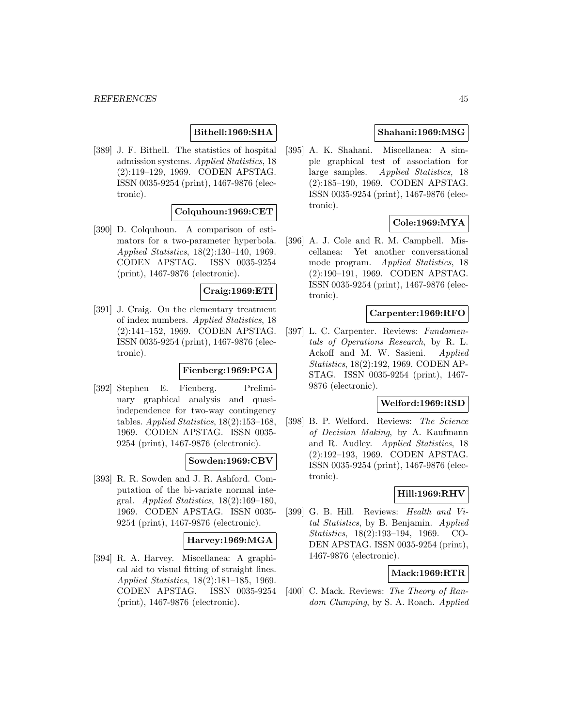# **Bithell:1969:SHA**

[389] J. F. Bithell. The statistics of hospital admission systems. Applied Statistics, 18 (2):119–129, 1969. CODEN APSTAG. ISSN 0035-9254 (print), 1467-9876 (electronic).

# **Colquhoun:1969:CET**

[390] D. Colquhoun. A comparison of estimators for a two-parameter hyperbola. Applied Statistics, 18(2):130–140, 1969. CODEN APSTAG. ISSN 0035-9254 (print), 1467-9876 (electronic).

# **Craig:1969:ETI**

[391] J. Craig. On the elementary treatment of index numbers. Applied Statistics, 18 (2):141–152, 1969. CODEN APSTAG. ISSN 0035-9254 (print), 1467-9876 (electronic).

### **Fienberg:1969:PGA**

[392] Stephen E. Fienberg. Preliminary graphical analysis and quasiindependence for two-way contingency tables. Applied Statistics, 18(2):153–168, 1969. CODEN APSTAG. ISSN 0035- 9254 (print), 1467-9876 (electronic).

# **Sowden:1969:CBV**

[393] R. R. Sowden and J. R. Ashford. Computation of the bi-variate normal integral. Applied Statistics,  $18(2):169-180$ , 1969. CODEN APSTAG. ISSN 0035- 9254 (print), 1467-9876 (electronic).

### **Harvey:1969:MGA**

[394] R. A. Harvey. Miscellanea: A graphical aid to visual fitting of straight lines. Applied Statistics, 18(2):181–185, 1969. CODEN APSTAG. ISSN 0035-9254 (print), 1467-9876 (electronic).

# **Shahani:1969:MSG**

[395] A. K. Shahani. Miscellanea: A simple graphical test of association for large samples. Applied Statistics, 18 (2):185–190, 1969. CODEN APSTAG. ISSN 0035-9254 (print), 1467-9876 (electronic).

# **Cole:1969:MYA**

[396] A. J. Cole and R. M. Campbell. Miscellanea: Yet another conversational mode program. Applied Statistics, 18 (2):190–191, 1969. CODEN APSTAG. ISSN 0035-9254 (print), 1467-9876 (electronic).

# **Carpenter:1969:RFO**

[397] L. C. Carpenter. Reviews: Fundamentals of Operations Research, by R. L. Ackoff and M. W. Sasieni. Applied Statistics, 18(2):192, 1969. CODEN AP-STAG. ISSN 0035-9254 (print), 1467- 9876 (electronic).

# **Welford:1969:RSD**

[398] B. P. Welford. Reviews: The Science of Decision Making, by A. Kaufmann and R. Audley. Applied Statistics, 18 (2):192–193, 1969. CODEN APSTAG. ISSN 0035-9254 (print), 1467-9876 (electronic).

# **Hill:1969:RHV**

[399] G. B. Hill. Reviews: Health and Vital Statistics, by B. Benjamin. Applied Statistics, 18(2):193–194, 1969. CO-DEN APSTAG. ISSN 0035-9254 (print), 1467-9876 (electronic).

# **Mack:1969:RTR**

[400] C. Mack. Reviews: The Theory of Random Clumping, by S. A. Roach. Applied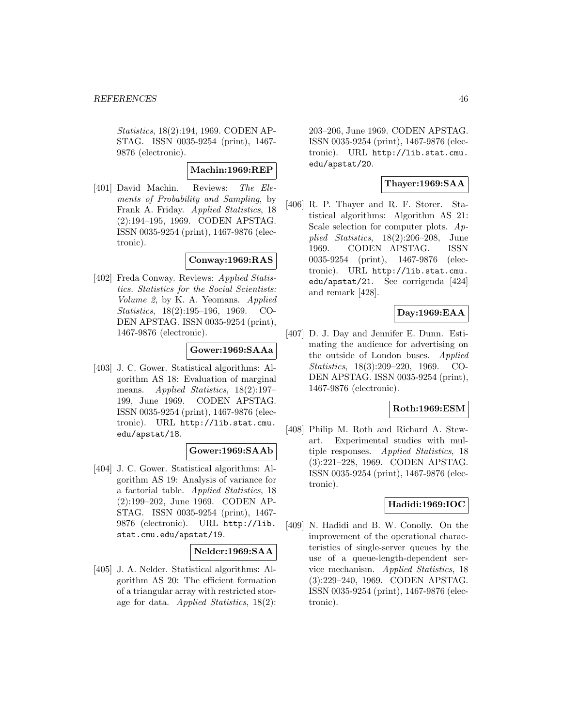Statistics, 18(2):194, 1969. CODEN AP-STAG. ISSN 0035-9254 (print), 1467- 9876 (electronic).

# **Machin:1969:REP**

[401] David Machin. Reviews: The Elements of Probability and Sampling, by Frank A. Friday. Applied Statistics, 18 (2):194–195, 1969. CODEN APSTAG. ISSN 0035-9254 (print), 1467-9876 (electronic).

# **Conway:1969:RAS**

[402] Freda Conway. Reviews: Applied Statistics. Statistics for the Social Scientists: Volume 2, by K. A. Yeomans. Applied Statistics, 18(2):195–196, 1969. CO-DEN APSTAG. ISSN 0035-9254 (print), 1467-9876 (electronic).

# **Gower:1969:SAAa**

[403] J. C. Gower. Statistical algorithms: Algorithm AS 18: Evaluation of marginal means. Applied Statistics, 18(2):197– 199, June 1969. CODEN APSTAG. ISSN 0035-9254 (print), 1467-9876 (electronic). URL http://lib.stat.cmu. edu/apstat/18.

# **Gower:1969:SAAb**

[404] J. C. Gower. Statistical algorithms: Algorithm AS 19: Analysis of variance for a factorial table. Applied Statistics, 18 (2):199–202, June 1969. CODEN AP-STAG. ISSN 0035-9254 (print), 1467- 9876 (electronic). URL http://lib. stat.cmu.edu/apstat/19.

# **Nelder:1969:SAA**

[405] J. A. Nelder. Statistical algorithms: Algorithm AS 20: The efficient formation of a triangular array with restricted storage for data. Applied Statistics, 18(2): 203–206, June 1969. CODEN APSTAG. ISSN 0035-9254 (print), 1467-9876 (electronic). URL http://lib.stat.cmu. edu/apstat/20.

# **Thayer:1969:SAA**

[406] R. P. Thayer and R. F. Storer. Statistical algorithms: Algorithm AS 21: Scale selection for computer plots.  $Ap$ plied Statistics, 18(2):206–208, June 1969. CODEN APSTAG. ISSN 0035-9254 (print), 1467-9876 (electronic). URL http://lib.stat.cmu. edu/apstat/21. See corrigenda [424] and remark [428].

# **Day:1969:EAA**

[407] D. J. Day and Jennifer E. Dunn. Estimating the audience for advertising on the outside of London buses. *Applied* Statistics, 18(3):209–220, 1969. CO-DEN APSTAG. ISSN 0035-9254 (print), 1467-9876 (electronic).

# **Roth:1969:ESM**

[408] Philip M. Roth and Richard A. Stewart. Experimental studies with multiple responses. Applied Statistics, 18 (3):221–228, 1969. CODEN APSTAG. ISSN 0035-9254 (print), 1467-9876 (electronic).

# **Hadidi:1969:IOC**

[409] N. Hadidi and B. W. Conolly. On the improvement of the operational characteristics of single-server queues by the use of a queue-length-dependent service mechanism. Applied Statistics, 18 (3):229–240, 1969. CODEN APSTAG. ISSN 0035-9254 (print), 1467-9876 (electronic).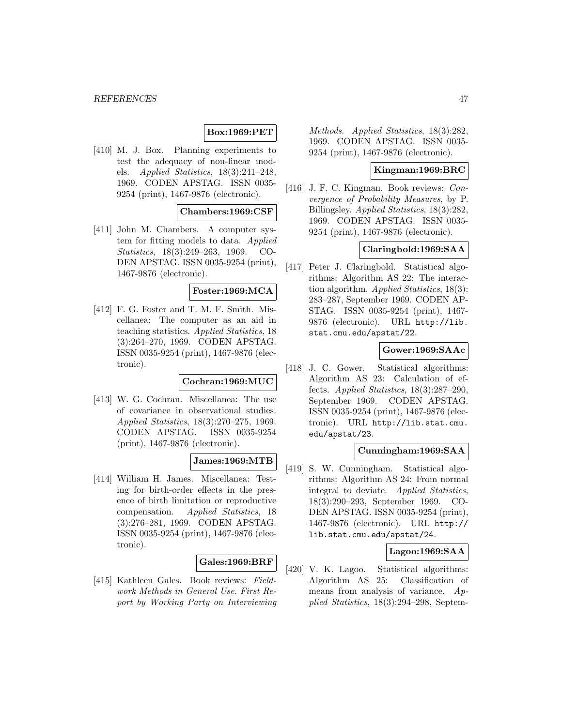# **Box:1969:PET**

[410] M. J. Box. Planning experiments to test the adequacy of non-linear models. Applied Statistics, 18(3):241–248, 1969. CODEN APSTAG. ISSN 0035- 9254 (print), 1467-9876 (electronic).

### **Chambers:1969:CSF**

[411] John M. Chambers. A computer system for fitting models to data. Applied Statistics, 18(3):249–263, 1969. CO-DEN APSTAG. ISSN 0035-9254 (print), 1467-9876 (electronic).

# **Foster:1969:MCA**

[412] F. G. Foster and T. M. F. Smith. Miscellanea: The computer as an aid in teaching statistics. Applied Statistics, 18 (3):264–270, 1969. CODEN APSTAG. ISSN 0035-9254 (print), 1467-9876 (electronic).

# **Cochran:1969:MUC**

[413] W. G. Cochran. Miscellanea: The use of covariance in observational studies. Applied Statistics, 18(3):270–275, 1969. CODEN APSTAG. ISSN 0035-9254 (print), 1467-9876 (electronic).

# **James:1969:MTB**

[414] William H. James. Miscellanea: Testing for birth-order effects in the presence of birth limitation or reproductive compensation. Applied Statistics, 18 (3):276–281, 1969. CODEN APSTAG. ISSN 0035-9254 (print), 1467-9876 (electronic).

# **Gales:1969:BRF**

[415] Kathleen Gales. Book reviews: Fieldwork Methods in General Use. First Report by Working Party on Interviewing

Methods. Applied Statistics, 18(3):282, 1969. CODEN APSTAG. ISSN 0035- 9254 (print), 1467-9876 (electronic).

### **Kingman:1969:BRC**

[416] J. F. C. Kingman. Book reviews: Convergence of Probability Measures, by P. Billingsley. Applied Statistics, 18(3):282, 1969. CODEN APSTAG. ISSN 0035- 9254 (print), 1467-9876 (electronic).

### **Claringbold:1969:SAA**

[417] Peter J. Claringbold. Statistical algorithms: Algorithm AS 22: The interaction algorithm. Applied Statistics, 18(3): 283–287, September 1969. CODEN AP-STAG. ISSN 0035-9254 (print), 1467- 9876 (electronic). URL http://lib. stat.cmu.edu/apstat/22.

### **Gower:1969:SAAc**

[418] J. C. Gower. Statistical algorithms: Algorithm AS 23: Calculation of effects. Applied Statistics, 18(3):287–290, September 1969. CODEN APSTAG. ISSN 0035-9254 (print), 1467-9876 (electronic). URL http://lib.stat.cmu. edu/apstat/23.

# **Cunningham:1969:SAA**

[419] S. W. Cunningham. Statistical algorithms: Algorithm AS 24: From normal integral to deviate. Applied Statistics, 18(3):290–293, September 1969. CO-DEN APSTAG. ISSN 0035-9254 (print), 1467-9876 (electronic). URL http:// lib.stat.cmu.edu/apstat/24.

# **Lagoo:1969:SAA**

[420] V. K. Lagoo. Statistical algorithms: Algorithm AS 25: Classification of means from analysis of variance. Applied Statistics, 18(3):294–298, Septem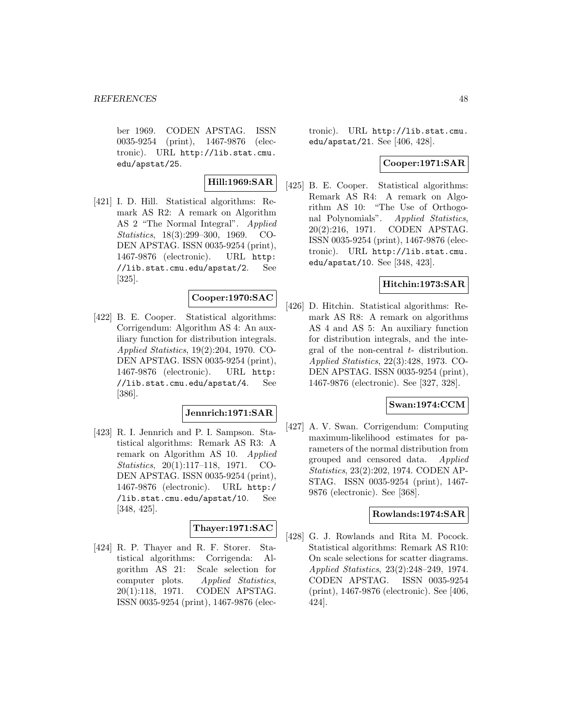ber 1969. CODEN APSTAG. ISSN 0035-9254 (print), 1467-9876 (electronic). URL http://lib.stat.cmu. edu/apstat/25.

# **Hill:1969:SAR**

[421] I. D. Hill. Statistical algorithms: Remark AS R2: A remark on Algorithm AS 2 "The Normal Integral". Applied Statistics, 18(3):299–300, 1969. CO-DEN APSTAG. ISSN 0035-9254 (print), 1467-9876 (electronic). URL http: //lib.stat.cmu.edu/apstat/2. See [325].

# **Cooper:1970:SAC**

[422] B. E. Cooper. Statistical algorithms: Corrigendum: Algorithm AS 4: An auxiliary function for distribution integrals. Applied Statistics, 19(2):204, 1970. CO-DEN APSTAG. ISSN 0035-9254 (print), 1467-9876 (electronic). URL http: //lib.stat.cmu.edu/apstat/4. See [386].

# **Jennrich:1971:SAR**

[423] R. I. Jennrich and P. I. Sampson. Statistical algorithms: Remark AS R3: A remark on Algorithm AS 10. Applied Statistics, 20(1):117–118, 1971. CO-DEN APSTAG. ISSN 0035-9254 (print), 1467-9876 (electronic). URL http:/ /lib.stat.cmu.edu/apstat/10. See [348, 425].

# **Thayer:1971:SAC**

[424] R. P. Thayer and R. F. Storer. Statistical algorithms: Corrigenda: Algorithm AS 21: Scale selection for computer plots. Applied Statistics, 20(1):118, 1971. CODEN APSTAG. ISSN 0035-9254 (print), 1467-9876 (electronic). URL http://lib.stat.cmu. edu/apstat/21. See [406, 428].

# **Cooper:1971:SAR**

[425] B. E. Cooper. Statistical algorithms: Remark AS R4: A remark on Algorithm AS 10: "The Use of Orthogonal Polynomials". Applied Statistics, 20(2):216, 1971. CODEN APSTAG. ISSN 0035-9254 (print), 1467-9876 (electronic). URL http://lib.stat.cmu. edu/apstat/10. See [348, 423].

### **Hitchin:1973:SAR**

[426] D. Hitchin. Statistical algorithms: Remark AS R8: A remark on algorithms AS 4 and AS 5: An auxiliary function for distribution integrals, and the integral of the non-central t- distribution. Applied Statistics, 22(3):428, 1973. CO-DEN APSTAG. ISSN 0035-9254 (print), 1467-9876 (electronic). See [327, 328].

### **Swan:1974:CCM**

[427] A. V. Swan. Corrigendum: Computing maximum-likelihood estimates for parameters of the normal distribution from grouped and censored data. Applied Statistics, 23(2):202, 1974. CODEN AP-STAG. ISSN 0035-9254 (print), 1467- 9876 (electronic). See [368].

### **Rowlands:1974:SAR**

[428] G. J. Rowlands and Rita M. Pocock. Statistical algorithms: Remark AS R10: On scale selections for scatter diagrams. Applied Statistics, 23(2):248–249, 1974. CODEN APSTAG. ISSN 0035-9254 (print), 1467-9876 (electronic). See [406, 424].